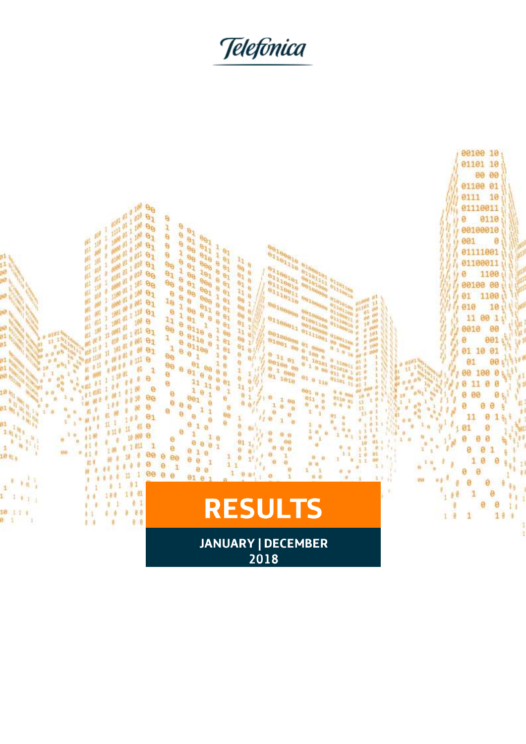Telefònica

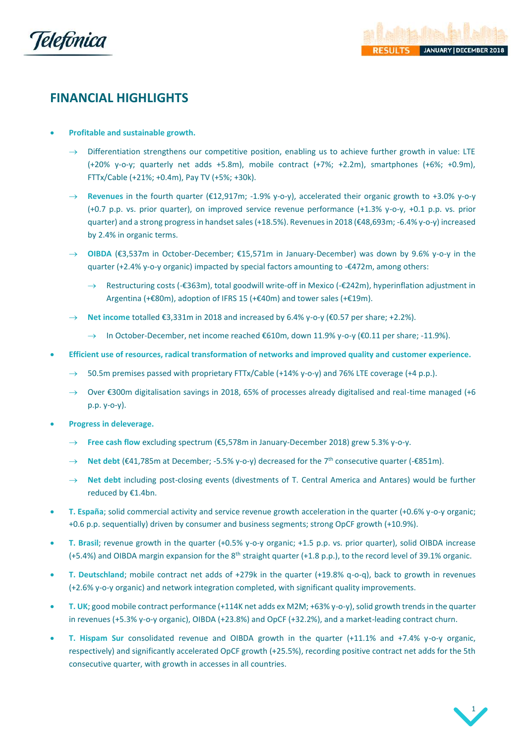

# **FINANCIAL HIGHLIGHTS**

- **Profitable and sustainable growth.** 
	- $\rightarrow$  Differentiation strengthens our competitive position, enabling us to achieve further growth in value: LTE (+20% y-o-y; quarterly net adds +5.8m), mobile contract (+7%; +2.2m), smartphones (+6%; +0.9m), FTTx/Cable (+21%; +0.4m), Pay TV (+5%; +30k).
	- → **Revenues** in the fourth quarter (€12,917m; -1.9% y-o-y), accelerated their organic growth to +3.0% y-o-y (+0.7 p.p. vs. prior quarter), on improved service revenue performance (+1.3% y-o-y, +0.1 p.p. vs. prior quarter) and a strong progress in handset sales (+18.5%). Revenues in 2018 (€48,693m; -6.4% y-o-y) increased by 2.4% in organic terms.
	- → **OIBDA** (€3,537m in October-December; €15,571m in January-December) was down by 9.6% y-o-y in the quarter (+2.4% y-o-y organic) impacted by special factors amounting to -€472m, among others:
		- Restructuring costs (-€363m), total goodwill write-off in Mexico (-€242m), hyperinflation adjustment in Argentina (+€80m), adoption of IFRS 15 (+€40m) and tower sales (+€19m).
	- → **Net income** totalled €3,331m in 2018 and increased by 6.4% y-o-y (€0.57 per share; +2.2%).
		- → In October-December, net income reached €610m, down 11.9% y-o-y (€0.11 per share; -11.9%).
- **Efficient use of resources, radical transformation of networks and improved quality and customer experience.**
	- 50.5m premises passed with proprietary FTTx/Cable (+14% y-o-y) and 76% LTE coverage (+4 p.p.).
	- $\rightarrow$  Over €300m digitalisation savings in 2018, 65% of processes already digitalised and real-time managed (+6 p.p. y-o-y).
- **Progress in deleverage.**
	- → **Free cash flow** excluding spectrum (€5,578m in January-December 2018) grew 5.3% y-o-y.
	- → **Net debt** (€41,785m at December; -5.5% y-o-y) decreased for the 7<sup>th</sup> consecutive quarter (-€851m).
	- → **Net debt** including post-closing events (divestments of T. Central America and Antares) would be further reduced by €1.4bn.
- **T. España**; solid commercial activity and service revenue growth acceleration in the quarter (+0.6% y-o-y organic; +0.6 p.p. sequentially) driven by consumer and business segments; strong OpCF growth (+10.9%).
- **T. Brasil**; revenue growth in the quarter (+0.5% y-o-y organic; +1.5 p.p. vs. prior quarter), solid OIBDA increase (+5.4%) and OIBDA margin expansion for the 8th straight quarter (+1.8 p.p.), to the record level of 39.1% organic.
- **T. Deutschland**; mobile contract net adds of +279k in the quarter (+19.8% q-o-q), back to growth in revenues (+2.6% y-o-y organic) and network integration completed, with significant quality improvements.
- **T. UK**; good mobile contract performance (+114K net adds ex M2M; +63% y-o-y), solid growth trends in the quarter in revenues (+5.3% y-o-y organic), OIBDA (+23.8%) and OpCF (+32.2%), and a market-leading contract churn.
- **T. Hispam Sur** consolidated revenue and OIBDA growth in the quarter (+11.1% and +7.4% y-o-y organic, respectively) and significantly accelerated OpCF growth (+25.5%), recording positive contract net adds for the 5th consecutive quarter, with growth in accesses in all countries.

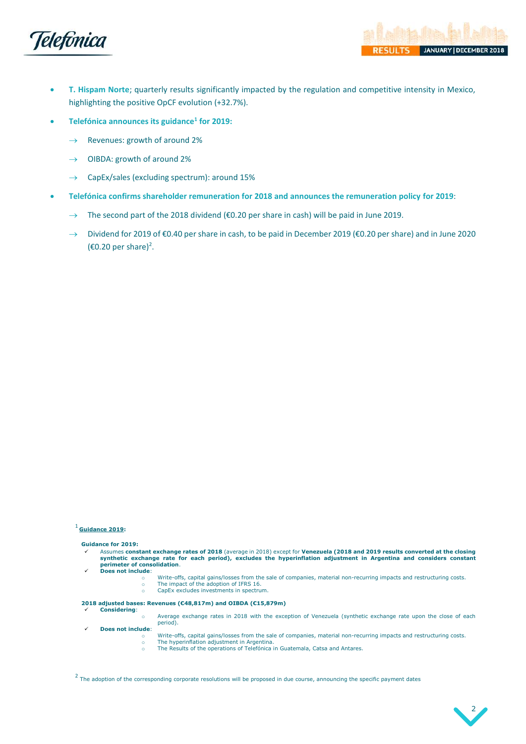

- **T. Hispam Norte**; quarterly results significantly impacted by the regulation and competitive intensity in Mexico, highlighting the positive OpCF evolution (+32.7%).
- **Telefónica announces its guidance<sup>1</sup> for 2019:**
	- $\rightarrow$  Revenues: growth of around 2%
	- $\rightarrow$  OIBDA: growth of around 2%
	- $\rightarrow$  CapEx/sales (excluding spectrum): around 15%
- **Telefónica confirms shareholder remuneration for 2018 and announces the remuneration policy for 2019**:
	- $\rightarrow$  The second part of the 2018 dividend (€0.20 per share in cash) will be paid in June 2019.
	- → Dividend for 2019 of €0.40 per share in cash, to be paid in December 2019 (€0.20 per share) and in June 2020 (€0.20 per share)<sup>2</sup>.

### <sup>1</sup> **Guidance 2019:**

#### **Guidance for 2019:**

- Assumes constant exchange rates of 2018 (average in 2018) except for Venezuela (2018 and 2019 results converted at the closing<br>synthetic exchange rate for each period), excludes the hyperinflation adjustment in Argentina **perimeter of consolidation**.
- Does not include:
	- Write-offs, capital gains/losses from the sale of companies, material non-recurring impacts and restructuring costs. o The impact of the adoption of IFRS 16.
	- CapEx excludes investments in spectrum.

### **2018 adjusted bases: Revenues (€48,817m) and OIBDA (€15,879m)**

- ✓ **Considering**:
	- o Average exchange rates in 2018 with the exception of Venezuela (synthetic exchange rate upon the close of each period).
- ✓ **Does not include**:
	- Write-offs, capital gains/losses from the sale of companies, material non-recurring impacts and restructuring costs. The hyperinflation adjustment in Argentina.
	- o The Results of the operations of Telefónica in Guatemala, Catsa and Antares.

 $<sup>2</sup>$  The adoption of the corresponding corporate resolutions will be proposed in due course, announcing the specific payment dates</sup>

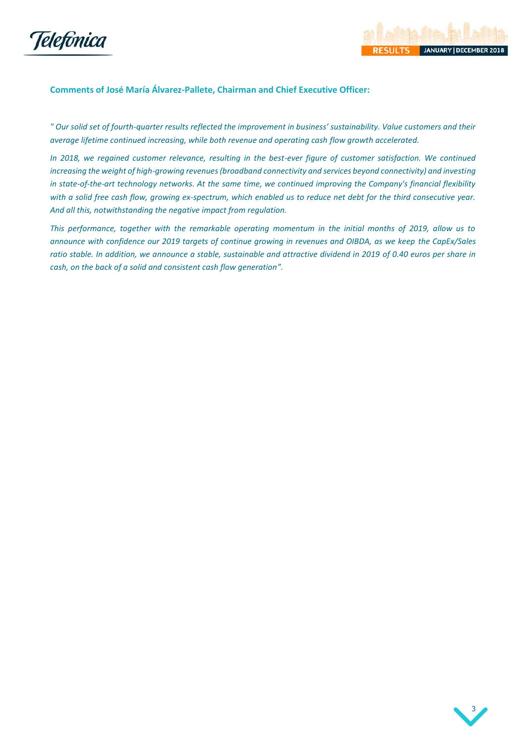



## **Comments of José María Álvarez-Pallete, Chairman and Chief Executive Officer:**

*" Our solid set of fourth-quarter results reflected the improvement in business' sustainability. Value customers and their average lifetime continued increasing, while both revenue and operating cash flow growth accelerated.* 

*In 2018, we regained customer relevance, resulting in the best-ever figure of customer satisfaction. We continued increasing the weight of high-growing revenues (broadband connectivity and services beyond connectivity) and investing in state-of-the-art technology networks. At the same time, we continued improving the Company's financial flexibility with a solid free cash flow, growing ex-spectrum, which enabled us to reduce net debt for the third consecutive year. And all this, notwithstanding the negative impact from regulation.* 

*This performance, together with the remarkable operating momentum in the initial months of 2019, allow us to announce with confidence our 2019 targets of continue growing in revenues and OIBDA, as we keep the CapEx/Sales ratio stable. In addition, we announce a stable, sustainable and attractive dividend in 2019 of 0.40 euros per share in cash, on the back of a solid and consistent cash flow generation".*

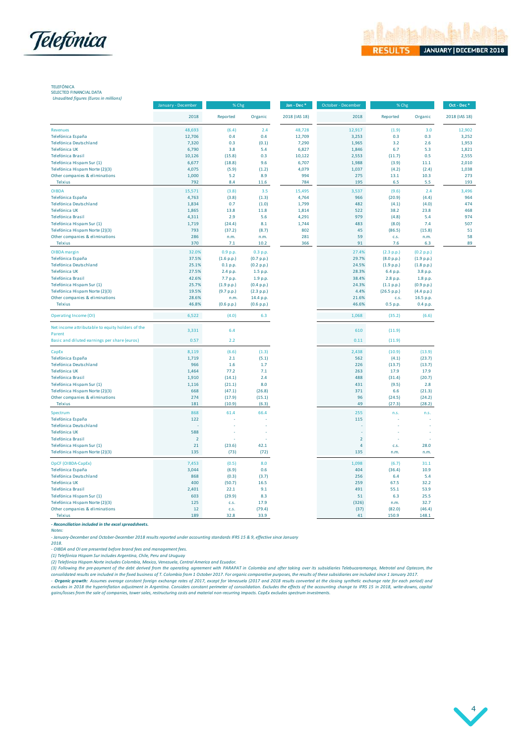



TELEFÓNICA SELECTED FINANCIAL DATA

*Unaudited figures (Euros in millions)*

|                                                  | January - December | % Chg      |            | Jan - Dec*    | October - December | $\%$ Chg    |            | Oct - Dec*    |  |
|--------------------------------------------------|--------------------|------------|------------|---------------|--------------------|-------------|------------|---------------|--|
|                                                  | 2018               | Reported   | Organic    | 2018 (IAS 18) | 2018               | Reported    | Organic    | 2018 (IAS 18) |  |
| <b>Revenues</b>                                  | 48,693             | (6.4)      | 2.4        | 48,728        | 12,917             | (1.9)       | 3.0        | 12,902        |  |
| Telefónica España                                | 12,706             | 0.4        | 0.4        | 12,709        | 3,253              | 0.3         | 0.3        | 3,252         |  |
| Telefónica Deutschland                           | 7,320              | 0.3        | (0.1)      | 7,290         | 1,965              | 3.2         | 2.6        | 1,953         |  |
| Telefónica UK                                    | 6,790              | 3.8        | 5.4        | 6,827         | 1,846              | 6.7         | 5.3        | 1,821         |  |
| Telefónica Brasil                                | 10,126             | (15.8)     | 0.3        | 10,122        | 2,553              | (11.7)      | 0.5        | 2,555         |  |
| Telefónica Hispam Sur (1)                        | 6,677              | (18.8)     | 9.6        | 6,707         | 1,988              | (3.9)       | 11.1       | 2,010         |  |
| Telefónica Hispam Norte (2)(3)                   | 4,075              | (5.9)      | (1.2)      | 4,079         | 1,037              | (4.2)       | (2.4)      | 1,038         |  |
| Other companies & eliminations                   | 1,000              | 5.2        | 8.9        | 994           | 275                | 13.1        | 10.3       | 273           |  |
| Telxius                                          | 792                | 8.4        | 11.6       | 784           | 195                | 6.5         | 5.5        | 193           |  |
| <b>OIBDA</b>                                     | 15,571             | (3.8)      | 3.5        | 15,495        | 3,537              | (9.6)       | 2.4        | 3.496         |  |
| Telefónica España                                | 4,763              | (3.8)      | (1.3)      | 4,764         | 966                | (20.9)      | (4.4)      | 964           |  |
| Telefónica Deutschland                           | 1,834              | 0.7        | (1.0)      | 1,799         | 482                | (4.1)       | (4.0)      | 474           |  |
| Telefónica UK                                    | 1,865              | 13.8       | 11.8       | 1,814         | 522                | 38.2        | 23.8       | 468           |  |
| <b>Telefónica Brasil</b>                         | 4,311              | 2.9        | 5.6        | 4,291         | 979                | (4.8)       | 5.4        | 974           |  |
| Telefónica Hispam Sur (1)                        | 1,719              | (24.4)     | 8.1        | 1,744         | 483                | (8.0)       | 7.4        | 507           |  |
| Telefónica Hispam Norte (2)(3)                   | 793                | (37.2)     | (8.7)      | 802           | 45                 | (86.5)      | (15.8)     | 51            |  |
| Other companies & eliminations                   | 286                | n.m.       | n.m.       | 281           | 59                 | c.s.        | n.m.       | 58            |  |
| Telxius                                          | 370                | 7.1        | 10.2       | 366           | 91                 | 7.6         | 6.3        | 89            |  |
| OIBDA margin                                     | 32.0%              | 0.9 p.p.   | 0.3 p.p.   |               | 27.4%              | (2.3 p.p.)  | (0.2 p.p.) |               |  |
| Telefónica España                                | 37.5%              | (1.6 p.p.) | (0.7 p.p.) |               | 29.7%              | (8.0 p.p.)  | (1.9 p.p.) |               |  |
| Telefónica Deutschland                           | 25.1%              | 0.1 p.p.   | (0.2 p.p.) |               | 24.5%              | (1.9 p.p.)  | (1.8 p.p.) |               |  |
| Telefónica UK                                    | 27.5%              | 2.4 p.p.   | 1.5 p.p.   |               | 28.3%              | 6.4 p.p.    | 3.8 p.p.   |               |  |
| Telefónica Brasil                                | 42.6%              | 7.7 p.p.   | 1.9 p.p.   |               | 38.4%              | 2.8 p.p.    | 1.8 p.p.   |               |  |
| Telefónica Hispam Sur (1)                        | 25.7%              | (1.9 p.p.) | (0.4 p.p.) |               | 24.3%              | (1.1 p.p.)  | (0.9 p.p.) |               |  |
| Telefónica Hispam Norte (2)(3)                   | 19.5%              | (9.7 p.p.) | (2.3 p.p.) |               | 4.4%               | (26.5 p.p.) | (4.4 p.p.) |               |  |
| Other companies & eliminations                   | 28.6%              | n.m.       | 14.4 p.p.  |               | 21.6%              | C.S.        | 16.5 p.p.  |               |  |
| <b>Telxius</b>                                   | 46.8%              | (0.6 p.p.) | (0.6 p.p.) |               | 46.6%              | 0.5 p.p.    | 0.4 p.p.   |               |  |
| Operating Income (OI)                            | 6,522              | (4.0)      | 6.3        |               | 1,068              | (35.2)      | (6.6)      |               |  |
| Net income attributable to equity holders of the | 3,331              | 6.4        |            |               | 610                | (11.9)      |            |               |  |
| Parent                                           |                    |            |            |               |                    |             |            |               |  |
| Basic and diluted earnings per share (euros)     | 0.57               | 2.2        |            |               | 0.11               | (11.9)      |            |               |  |
| CapEx                                            | 8,119              | (6.6)      | (1.3)      |               | 2,438              | (10.9)      | (13.9)     |               |  |
| Telefónica España                                | 1,719              | 2.1        | (5.1)      |               | 562                | (4.1)       | (23.7)     |               |  |
| Telefónica Deutschland                           | 966                | 1.6        | $1.7$      |               | 226                | (13.7)      | (13.7)     |               |  |
| Telefónica UK                                    | 1,464              | 77.2       | 7.1        |               | 263                | 17.9        | 17.9       |               |  |
| Telefónica Brasil                                | 1,910              | (14.1)     | 2.4        |               | 488                | (31.4)      | (20.7)     |               |  |
| Telefónica Hispam Sur (1)                        | 1,116              | (21.1)     | 8.0        |               | 431                | (9.5)       | 2.8        |               |  |
| Telefónica Hispam Norte (2)(3)                   | 668                | (47.1)     | (26.8)     |               | 371                | 6.6         | (21.3)     |               |  |
| Other companies & eliminations                   | 274                | (17.9)     | (15.1)     |               | 96                 | (24.5)      | (24.2)     |               |  |
| Telxius                                          | 181                | (10.9)     | (6.3)      |               | 49                 | (27.3)      | (28.2)     |               |  |
| Spectrum                                         | 868                | 61.4       | 66.4       |               | 255                | n.s.        | n.S.       |               |  |
| Telefónica España                                | 122                |            |            |               | 115                |             |            |               |  |
| Telefónica Deutschland                           |                    |            |            |               |                    |             |            |               |  |
| Telefónica UK                                    | 588                |            |            |               |                    |             |            |               |  |
| Telefónica Brasil                                | $\overline{2}$     |            |            |               | $\overline{2}$     |             |            |               |  |
| Telefónica Hispam Sur (1)                        | 21                 | (23.6)     | 42.1       |               | $\overline{4}$     | c.s.        | 28.0       |               |  |
| Telefónica Hispam Norte (2)(3)                   | 135                | (73)       | (72)       |               | 135                | n.m.        | n.m.       |               |  |
| OpCF (OIBDA-CapEx)                               | 7,453              | (0.5)      | 8.0        |               | 1,098              | (6.7)       | 31.1       |               |  |
| Telefónica España                                | 3,044              | (6.9)      | 0.6        |               | 404                | (36.4)      | 10.9       |               |  |
| Telefónica Deutschland                           | 868                | (0.3)      | (3.7)      |               | 256                | 6.4         | 5.4        |               |  |
| Telefónica UK                                    | 400                | (50.7)     | 16.5       |               | 259                | 67.5        | 32.2       |               |  |
| Telefónica Brasil                                | 2,401              | 22.1       | 9.1        |               | 491                | 55.1        | 53.9       |               |  |
| Telefónica Hispam Sur (1)                        | 603                | (29.9)     | 8.3        |               | 51                 | 6.3         | 25.5       |               |  |
| Telefónica Hispam Norte (2)(3)                   | 125                | c.s.       | 17.9       |               | (326)              | n.m.        | 32.7       |               |  |
| Other companies & eliminations                   | 12                 | c.s.       | (79.4)     |               | (37)               | (82.0)      | (46.4)     |               |  |
| Telxius                                          | 189                | 32.8       | 33.9       |               | 41                 | 150.9       | 148.1      |               |  |

*- Reconciliation included in the excel spreadsheets.*

*Notes:* 

*- January-December and October-December 2018 results reported under accounting standards IFRS 15 & 9, effective since January* 

*2018.*

*(1) Telefónica Hispam Sur includes Argentina, Chile, Peru and Uruguay - OIBDA and OI are presented before brand fees and management fees.*

*(2) Telefónica Hispam Norte includes Colombia, Mexico, Venezuela, Central America and Ecuador.*

Notes:<br>2018.<br>2018.<br>- OIBDA and OI are presented before brand fees and management fees.<br>- OIBDA and OI are presented before brand fees and management fees.<br>- OIBDA and OI are presented before brand fees and management fees. *consolidated results are included in the fixed business of T. Colombia from 1 October 2017. For organic comparative purposes, the results of these subsidiaries are included since 1 January 2017.* 2018.<br>(1) Telefonica Hispam Sur includes Argentina, Chile, Peru and Uruguay<br>(1) Telefonica Hispam Norte includes Colombia, Mexico, Venezuela, Central America and Ecuador.<br>(1) Telefonica Hispam Norte includes Colombia, Mexi

*gains/losses from the sale of companies, tower sales, restructuring costs and material non-recurring impacts. CapEx excludes spectrum investments.*

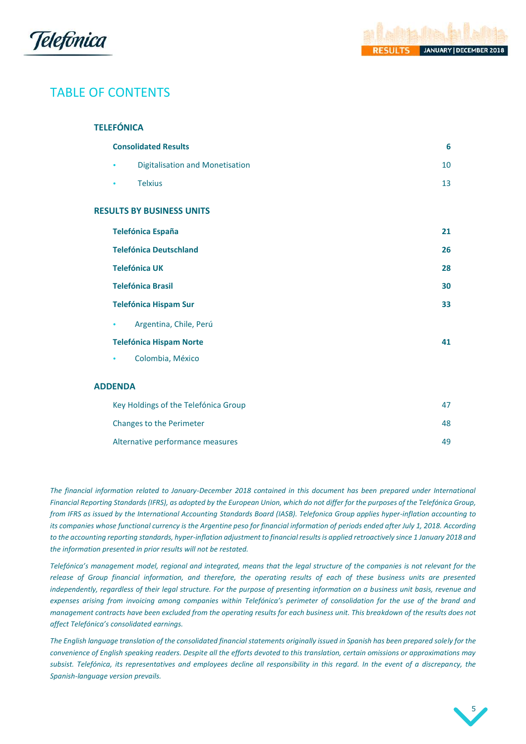



# TABLE OF CONTENTS

| <b>TELEFÓNICA</b>                           |    |
|---------------------------------------------|----|
| <b>Consolidated Results</b>                 | 6  |
| <b>Digitalisation and Monetisation</b><br>٠ | 10 |
| <b>Telxius</b><br>٠                         | 13 |
| <b>RESULTS BY BUSINESS UNITS</b>            |    |
| <b>Telefónica España</b>                    | 21 |
| <b>Telefónica Deutschland</b>               | 26 |
| <b>Telefónica UK</b>                        | 28 |
| <b>Telefónica Brasil</b>                    | 30 |
| <b>Telefónica Hispam Sur</b>                | 33 |
| Argentina, Chile, Perú<br>۰                 |    |
| <b>Telefónica Hispam Norte</b>              | 41 |
| Colombia, México<br>٠                       |    |
| <b>ADDENDA</b>                              |    |
| Key Holdings of the Telefónica Group        | 47 |
| Changes to the Perimeter                    | 48 |
| Alternative performance measures            | 49 |

*The financial information related to January-December 2018 contained in this document has been prepared under International Financial Reporting Standards (IFRS), as adopted by the European Union, which do not differ for the purposes of the Telefónica Group, from IFRS as issued by the International Accounting Standards Board (IASB). Telefonica Group applies hyper-inflation accounting to its companies whose functional currency is the Argentine peso for financial information of periods ended after July 1, 2018. According to the accounting reporting standards, hyper-inflation adjustment to financial results is applied retroactively since 1 January 2018 and the information presented in prior results will not be restated.*

*Telefónica's management model, regional and integrated, means that the legal structure of the companies is not relevant for the release of Group financial information, and therefore, the operating results of each of these business units are presented independently, regardless of their legal structure. For the purpose of presenting information on a business unit basis, revenue and expenses arising from invoicing among companies within Telefónica's perimeter of consolidation for the use of the brand and management contracts have been excluded from the operating results for each business unit. This breakdown of the results does not affect Telefónica's consolidated earnings.*

*The English language translation of the consolidated financial statements originally issued in Spanish has been prepared solely for the convenience of English speaking readers. Despite all the efforts devoted to this translation, certain omissions or approximations may subsist. Telefónica, its representatives and employees decline all responsibility in this regard. In the event of a discrepancy, the Spanish-language version prevails.* 

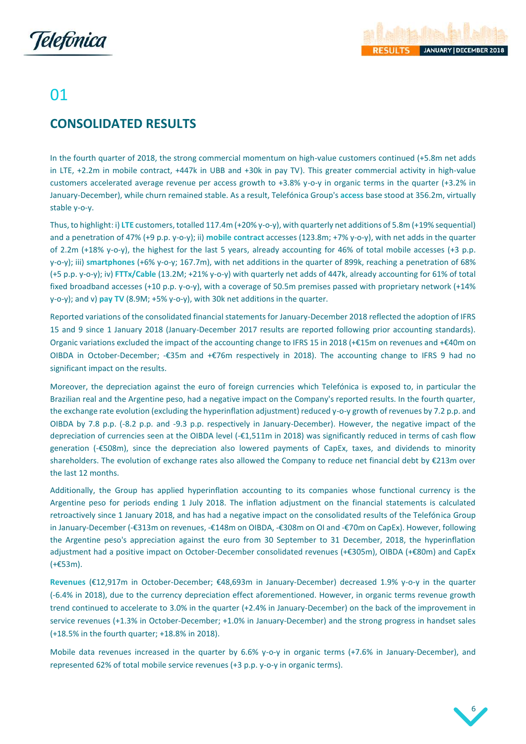

# 01

# <span id="page-6-0"></span>**CONSOLIDATED RESULTS**

In the fourth quarter of 2018, the strong commercial momentum on high-value customers continued (+5.8m net adds in LTE, +2.2m in mobile contract, +447k in UBB and +30k in pay TV). This greater commercial activity in high-value customers accelerated average revenue per access growth to +3.8% y-o-y in organic terms in the quarter (+3.2% in January-December), while churn remained stable. As a result, Telefónica Group's **access** base stood at 356.2m, virtually stable y-o-y.

Thus, to highlight: i) **LTE** customers, totalled 117.4m (+20% y-o-y), with quarterly net additions of 5.8m (+19% sequential) and a penetration of 47% (+9 p.p. y-o-y); ii) **mobile contract** accesses (123.8m; +7% y-o-y), with net adds in the quarter of 2.2m (+18% y-o-y), the highest for the last 5 years, already accounting for 46% of total mobile accesses (+3 p.p. y-o-y); iii) **smartphones** (+6% y-o-y; 167.7m), with net additions in the quarter of 899k, reaching a penetration of 68% (+5 p.p. y-o-y); iv) **FTTx/Cable** (13.2M; +21% y-o-y) with quarterly net adds of 447k, already accounting for 61% of total fixed broadband accesses (+10 p.p. y-o-y), with a coverage of 50.5m premises passed with proprietary network (+14% y-o-y); and v) **pay TV** (8.9M; +5% y-o-y), with 30k net additions in the quarter.

Reported variations of the consolidated financial statements for January-December 2018 reflected the adoption of IFRS 15 and 9 since 1 January 2018 (January-December 2017 results are reported following prior accounting standards). Organic variations excluded the impact of the accounting change to IFRS 15 in 2018 (+€15m on revenues and +€40m on OIBDA in October-December; -€35m and +€76m respectively in 2018). The accounting change to IFRS 9 had no significant impact on the results.

Moreover, the depreciation against the euro of foreign currencies which Telefónica is exposed to, in particular the Brazilian real and the Argentine peso, had a negative impact on the Company's reported results. In the fourth quarter, the exchange rate evolution (excluding the hyperinflation adjustment) reduced y-o-y growth of revenues by 7.2 p.p. and OIBDA by 7.8 p.p. (-8.2 p.p. and -9.3 p.p. respectively in January-December). However, the negative impact of the depreciation of currencies seen at the OIBDA level (-€1,511m in 2018) was significantly reduced in terms of cash flow generation (-€508m), since the depreciation also lowered payments of CapEx, taxes, and dividends to minority shareholders. The evolution of exchange rates also allowed the Company to reduce net financial debt by €213m over the last 12 months.

Additionally, the Group has applied hyperinflation accounting to its companies whose functional currency is the Argentine peso for periods ending 1 July 2018. The inflation adjustment on the financial statements is calculated retroactively since 1 January 2018, and has had a negative impact on the consolidated results of the Telefónica Group in January-December (-€313m on revenues, -€148m on OIBDA, -€308m on OI and -€70m on CapEx). However, following the Argentine peso's appreciation against the euro from 30 September to 31 December, 2018, the hyperinflation adjustment had a positive impact on October-December consolidated revenues (+€305m), OIBDA (+€80m) and CapEx (+€53m).

**Revenues** (€12,917m in October-December; €48,693m in January-December) decreased 1.9% y-o-y in the quarter (-6.4% in 2018), due to the currency depreciation effect aforementioned. However, in organic terms revenue growth trend continued to accelerate to 3.0% in the quarter (+2.4% in January-December) on the back of the improvement in service revenues (+1.3% in October-December; +1.0% in January-December) and the strong progress in handset sales (+18.5% in the fourth quarter; +18.8% in 2018).

Mobile data revenues increased in the quarter by 6.6% y-o-y in organic terms (+7.6% in January-December), and represented 62% of total mobile service revenues (+3 p.p. y-o-y in organic terms).

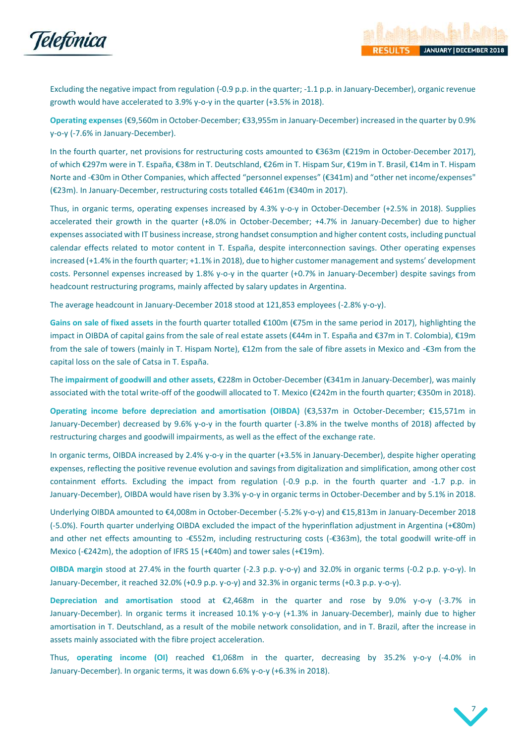

Excluding the negative impact from regulation (-0.9 p.p. in the quarter; -1.1 p.p. in January-December), organic revenue growth would have accelerated to 3.9% y-o-y in the quarter (+3.5% in 2018).

**Operating expenses** (€9,560m in October-December; €33,955m in January-December) increased in the quarter by 0.9% y-o-y (-7.6% in January-December).

In the fourth quarter, net provisions for restructuring costs amounted to €363m (€219m in October-December 2017), of which €297m were in T. España, €38m in T. Deutschland, €26m in T. Hispam Sur, €19m in T. Brasil, €14m in T. Hispam Norte and -€30m in Other Companies, which affected "personnel expenses" (€341m) and "other net income/expenses" (€23m). In January-December, restructuring costs totalled €461m (€340m in 2017).

Thus, in organic terms, operating expenses increased by 4.3% y-o-y in October-December (+2.5% in 2018). Supplies accelerated their growth in the quarter (+8.0% in October-December; +4.7% in January-December) due to higher expenses associated with IT businessincrease, strong handset consumption and higher content costs, including punctual calendar effects related to motor content in T. España, despite interconnection savings. Other operating expenses increased (+1.4% in the fourth quarter; +1.1% in 2018), due to higher customer management and systems' development costs. Personnel expenses increased by 1.8% y-o-y in the quarter (+0.7% in January-December) despite savings from headcount restructuring programs, mainly affected by salary updates in Argentina.

The average headcount in January-December 2018 stood at 121,853 employees (-2.8% y-o-y).

**Gains on sale of fixed assets** in the fourth quarter totalled €100m (€75m in the same period in 2017), highlighting the impact in OIBDA of capital gains from the sale of real estate assets (€44m in T. España and €37m in T. Colombia), €19m from the sale of towers (mainly in T. Hispam Norte), €12m from the sale of fibre assets in Mexico and -€3m from the capital loss on the sale of Catsa in T. España.

The **impairment of goodwill and other assets**, €228m in October-December (€341m in January-December), was mainly associated with the total write-off of the goodwill allocated to T. Mexico (€242m in the fourth quarter; €350m in 2018).

**Operating income before depreciation and amortisation (OIBDA)** (€3,537m in October-December; €15,571m in January-December) decreased by 9.6% y-o-y in the fourth quarter (-3.8% in the twelve months of 2018) affected by restructuring charges and goodwill impairments, as well as the effect of the exchange rate.

In organic terms, OIBDA increased by 2.4% y-o-y in the quarter (+3.5% in January-December), despite higher operating expenses, reflecting the positive revenue evolution and savings from digitalization and simplification, among other cost containment efforts. Excluding the impact from regulation (-0.9 p.p. in the fourth quarter and -1.7 p.p. in January-December), OIBDA would have risen by 3.3% y-o-y in organic terms in October-December and by 5.1% in 2018.

Underlying OIBDA amounted to €4,008m in October-December (-5.2% y-o-y) and €15,813m in January-December 2018 (-5.0%). Fourth quarter underlying OIBDA excluded the impact of the hyperinflation adjustment in Argentina (+€80m) and other net effects amounting to -€552m, including restructuring costs (-€363m), the total goodwill write-off in Mexico (-€242m), the adoption of IFRS 15 (+€40m) and tower sales (+€19m).

**OIBDA margin** stood at 27.4% in the fourth quarter (-2.3 p.p. y-o-y) and 32.0% in organic terms (-0.2 p.p. y-o-y). In January-December, it reached 32.0% (+0.9 p.p. y-o-y) and 32.3% in organic terms (+0.3 p.p. y-o-y).

**Depreciation and amortisation** stood at €2,468m in the quarter and rose by 9.0% y-o-y (-3.7% in January-December). In organic terms it increased 10.1% y-o-y (+1.3% in January-December), mainly due to higher amortisation in T. Deutschland, as a result of the mobile network consolidation, and in T. Brazil, after the increase in assets mainly associated with the fibre project acceleration.

Thus, **operating income (OI)** reached €1,068m in the quarter, decreasing by 35.2% y-o-y (-4.0% in January-December). In organic terms, it was down 6.6% y-o-y (+6.3% in 2018).

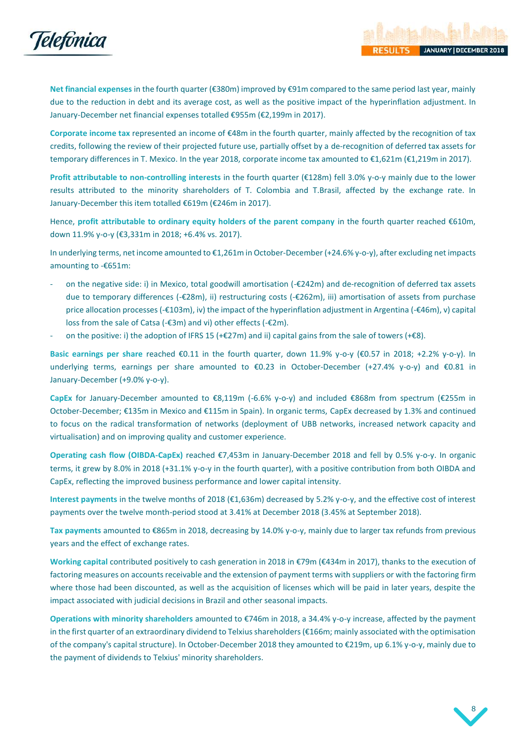

**Net financial expenses** in the fourth quarter (€380m) improved by €91m compared to the same period last year, mainly due to the reduction in debt and its average cost, as well as the positive impact of the hyperinflation adjustment. In January-December net financial expenses totalled €955m (€2,199m in 2017).

**Corporate income tax** represented an income of €48m in the fourth quarter, mainly affected by the recognition of tax credits, following the review of their projected future use, partially offset by a de-recognition of deferred tax assets for temporary differences in T. Mexico. In the year 2018, corporate income tax amounted to €1,621m (€1,219m in 2017).

**Profit attributable to non-controlling interests** in the fourth quarter (€128m) fell 3.0% y-o-y mainly due to the lower results attributed to the minority shareholders of T. Colombia and T.Brasil, affected by the exchange rate. In January-December this item totalled €619m (€246m in 2017).

Hence, **profit attributable to ordinary equity holders of the parent company** in the fourth quarter reached €610m, down 11.9% y-o-y (€3,331m in 2018; +6.4% vs. 2017).

In underlying terms, net income amounted to €1,261m in October-December (+24.6% y-o-y), after excluding net impacts amounting to -€651m:

- on the negative side: i) in Mexico, total goodwill amortisation (-€242m) and de-recognition of deferred tax assets due to temporary differences (-€28m), ii) restructuring costs (-€262m), iii) amortisation of assets from purchase price allocation processes (-€103m), iv) the impact of the hyperinflation adjustment in Argentina (-€46m), v) capital loss from the sale of Catsa (-€3m) and vi) other effects (-€2m).
- on the positive: i) the adoption of IFRS 15 (+ $\epsilon$ 27m) and ii) capital gains from the sale of towers (+ $\epsilon$ 8).

**Basic earnings per share** reached €0.11 in the fourth quarter, down 11.9% y-o-y (€0.57 in 2018; +2.2% y-o-y). In underlying terms, earnings per share amounted to €0.23 in October-December (+27.4% y-o-y) and €0.81 in January-December (+9.0% y-o-y).

**CapEx** for January-December amounted to €8,119m (-6.6% y-o-y) and included €868m from spectrum (€255m in October-December; €135m in Mexico and €115m in Spain). In organic terms, CapEx decreased by 1.3% and continued to focus on the radical transformation of networks (deployment of UBB networks, increased network capacity and virtualisation) and on improving quality and customer experience.

**Operating cash flow (OIBDA-CapEx)** reached €7,453m in January-December 2018 and fell by 0.5% y-o-y. In organic terms, it grew by 8.0% in 2018 (+31.1% y-o-y in the fourth quarter), with a positive contribution from both OIBDA and CapEx, reflecting the improved business performance and lower capital intensity.

**Interest payments** in the twelve months of 2018 (€1,636m) decreased by 5.2% y-o-y, and the effective cost of interest payments over the twelve month-period stood at 3.41% at December 2018 (3.45% at September 2018).

**Tax payments** amounted to €865m in 2018, decreasing by 14.0% y-o-y, mainly due to larger tax refunds from previous years and the effect of exchange rates.

**Working capital** contributed positively to cash generation in 2018 in €79m (€434m in 2017), thanks to the execution of factoring measures on accounts receivable and the extension of payment terms with suppliers or with the factoring firm where those had been discounted, as well as the acquisition of licenses which will be paid in later years, despite the impact associated with judicial decisions in Brazil and other seasonal impacts.

**Operations with minority shareholders** amounted to €746m in 2018, a 34.4% y-o-y increase, affected by the payment in the first quarter of an extraordinary dividend to Telxius shareholders (€166m; mainly associated with the optimisation of the company's capital structure). In October-December 2018 they amounted to €219m, up 6.1% y-o-y, mainly due to the payment of dividends to Telxius' minority shareholders.

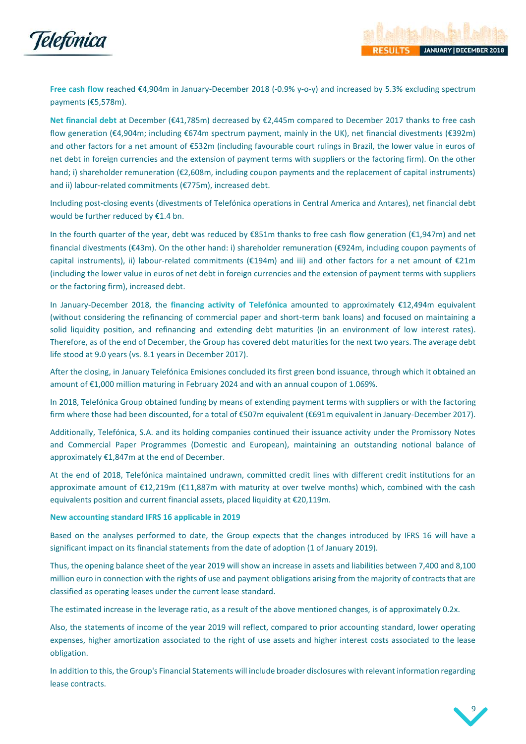

**Free cash flow** reached €4,904m in January-December 2018 (-0.9% y-o-y) and increased by 5.3% excluding spectrum payments (€5,578m).

**Net financial debt** at December (€41,785m) decreased by €2,445m compared to December 2017 thanks to free cash flow generation (€4,904m; including €674m spectrum payment, mainly in the UK), net financial divestments (€392m) and other factors for a net amount of €532m (including favourable court rulings in Brazil, the lower value in euros of net debt in foreign currencies and the extension of payment terms with suppliers or the factoring firm). On the other hand; i) shareholder remuneration (€2,608m, including coupon payments and the replacement of capital instruments) and ii) labour-related commitments (€775m), increased debt.

Including post-closing events (divestments of Telefónica operations in Central America and Antares), net financial debt would be further reduced by €1.4 bn.

In the fourth quarter of the year, debt was reduced by €851m thanks to free cash flow generation (€1,947m) and net financial divestments (€43m). On the other hand: i) shareholder remuneration (€924m, including coupon payments of capital instruments), ii) labour-related commitments (€194m) and iii) and other factors for a net amount of €21m (including the lower value in euros of net debt in foreign currencies and the extension of payment terms with suppliers or the factoring firm), increased debt.

In January-December 2018, the **financing activity of Telefónica** amounted to approximately €12,494m equivalent (without considering the refinancing of commercial paper and short-term bank loans) and focused on maintaining a solid liquidity position, and refinancing and extending debt maturities (in an environment of low interest rates). Therefore, as of the end of December, the Group has covered debt maturities for the next two years. The average debt life stood at 9.0 years (vs. 8.1 years in December 2017).

After the closing, in January Telefónica Emisiones concluded its first green bond issuance, through which it obtained an amount of €1,000 million maturing in February 2024 and with an annual coupon of 1.069%.

In 2018, Telefónica Group obtained funding by means of extending payment terms with suppliers or with the factoring firm where those had been discounted, for a total of €507m equivalent (€691m equivalent in January-December 2017).

Additionally, Telefónica, S.A. and its holding companies continued their issuance activity under the Promissory Notes and Commercial Paper Programmes (Domestic and European), maintaining an outstanding notional balance of approximately €1,847m at the end of December.

At the end of 2018, Telefónica maintained undrawn, committed credit lines with different credit institutions for an approximate amount of €12,219m (€11,887m with maturity at over twelve months) which, combined with the cash equivalents position and current financial assets, placed liquidity at €20,119m.

## **New accounting standard IFRS 16 applicable in 2019**

Based on the analyses performed to date, the Group expects that the changes introduced by IFRS 16 will have a significant impact on its financial statements from the date of adoption (1 of January 2019).

Thus, the opening balance sheet of the year 2019 will show an increase in assets and liabilities between 7,400 and 8,100 million euro in connection with the rights of use and payment obligations arising from the majority of contracts that are classified as operating leases under the current lease standard.

The estimated increase in the leverage ratio, as a result of the above mentioned changes, is of approximately 0.2x.

Also, the statements of income of the year 2019 will reflect, compared to prior accounting standard, lower operating expenses, higher amortization associated to the right of use assets and higher interest costs associated to the lease obligation.

In addition to this, the Group's Financial Statements will include broader disclosures with relevant information regarding lease contracts.

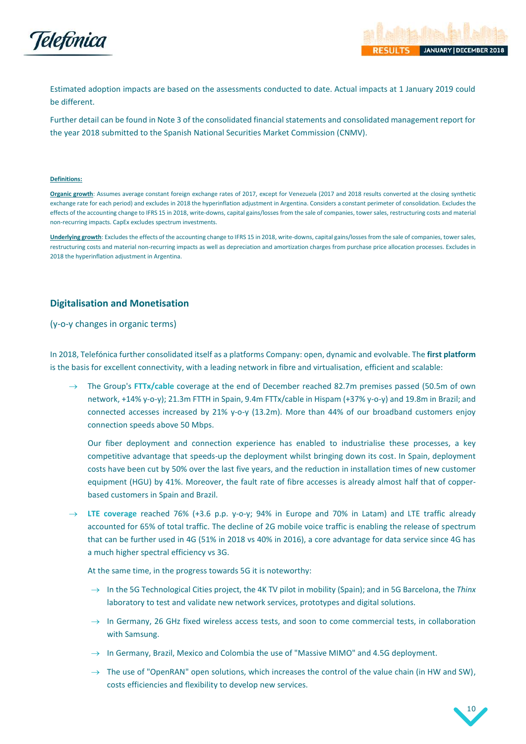

Estimated adoption impacts are based on the assessments conducted to date. Actual impacts at 1 January 2019 could be different.

Further detail can be found in Note 3 of the consolidated financial statements and consolidated management report for the year 2018 submitted to the Spanish National Securities Market Commission (CNMV).

### **Definitions:**

**Organic growth**: Assumes average constant foreign exchange rates of 2017, except for Venezuela (2017 and 2018 results converted at the closing synthetic exchange rate for each period) and excludes in 2018 the hyperinflation adjustment in Argentina. Considers a constant perimeter of consolidation. Excludes the effects of the accounting change to IFRS 15 in 2018, write-downs, capital gains/losses from the sale of companies, tower sales, restructuring costs and material non-recurring impacts. CapEx excludes spectrum investments.

**Underlying growth**: Excludes the effects of the accounting change to IFRS 15 in 2018, write-downs, capital gains/losses from the sale of companies, tower sales, restructuring costs and material non-recurring impacts as well as depreciation and amortization charges from purchase price allocation processes. Excludes in 2018 the hyperinflation adjustment in Argentina.

## <span id="page-10-0"></span>**Digitalisation and Monetisation**

(y-o-y changes in organic terms)

In 2018, Telefónica further consolidated itself as a platforms Company: open, dynamic and evolvable. The **first platform** is the basis for excellent connectivity, with a leading network in fibre and virtualisation, efficient and scalable:

→ The Group's **FTTx/cable** coverage at the end of December reached 82.7m premises passed (50.5m of own network, +14% y-o-y); 21.3m FTTH in Spain, 9.4m FTTx/cable in Hispam (+37% y-o-y) and 19.8m in Brazil; and connected accesses increased by 21% y-o-y (13.2m). More than 44% of our broadband customers enjoy connection speeds above 50 Mbps.

Our fiber deployment and connection experience has enabled to industrialise these processes, a key competitive advantage that speeds-up the deployment whilst bringing down its cost. In Spain, deployment costs have been cut by 50% over the last five years, and the reduction in installation times of new customer equipment (HGU) by 41%. Moreover, the fault rate of fibre accesses is already almost half that of copperbased customers in Spain and Brazil.

LTE coverage reached 76% (+3.6 p.p. y-o-y; 94% in Europe and 70% in Latam) and LTE traffic already accounted for 65% of total traffic. The decline of 2G mobile voice traffic is enabling the release of spectrum that can be further used in 4G (51% in 2018 vs 40% in 2016), a core advantage for data service since 4G has a much higher spectral efficiency vs 3G.

At the same time, in the progress towards 5G it is noteworthy:

- → In the 5G Technological Cities project, the 4K TV pilot in mobility (Spain); and in 5G Barcelona, the *Thinx* laboratory to test and validate new network services, prototypes and digital solutions.
- $\rightarrow$  In Germany, 26 GHz fixed wireless access tests, and soon to come commercial tests, in collaboration with Samsung.
- $\rightarrow$  In Germany, Brazil, Mexico and Colombia the use of "Massive MIMO" and 4.5G deployment.
- $\rightarrow$  The use of "OpenRAN" open solutions, which increases the control of the value chain (in HW and SW), costs efficiencies and flexibility to develop new services.

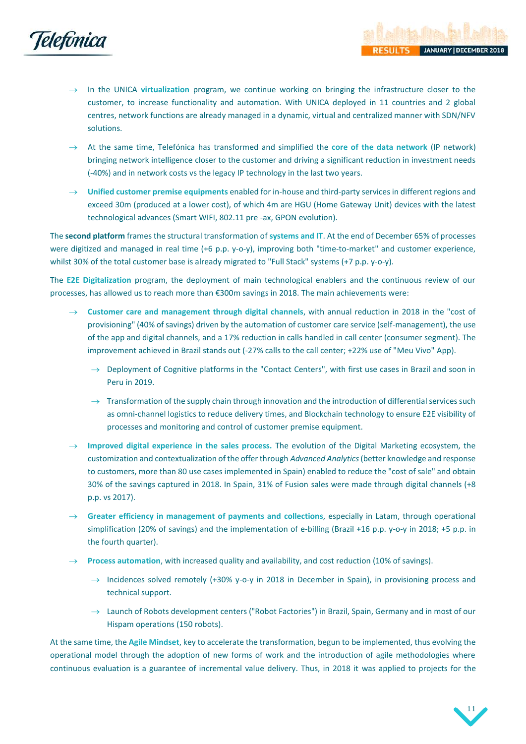

- In the UNICA **virtualization** program, we continue working on bringing the infrastructure closer to the customer, to increase functionality and automation. With UNICA deployed in 11 countries and 2 global centres, network functions are already managed in a dynamic, virtual and centralized manner with SDN/NFV solutions.
- At the same time, Telefónica has transformed and simplified the **core of the data network** (IP network) bringing network intelligence closer to the customer and driving a significant reduction in investment needs (-40%) and in network costs vs the legacy IP technology in the last two years.
- → **Unified customer premise equipments** enabled for in-house and third-party services in different regions and exceed 30m (produced at a lower cost), of which 4m are HGU (Home Gateway Unit) devices with the latest technological advances (Smart WIFI, 802.11 pre -ax, GPON evolution).

The **second platform** frames the structural transformation of **systems and IT**. At the end of December 65% of processes were digitized and managed in real time (+6 p.p. y-o-y), improving both "time-to-market" and customer experience, whilst 30% of the total customer base is already migrated to "Full Stack" systems (+7 p.p. y-o-y).

The **E2E Digitalization** program, the deployment of main technological enablers and the continuous review of our processes, has allowed us to reach more than €300m savings in 2018. The main achievements were:

- → **Customer care and management through digital channels**, with annual reduction in 2018 in the "cost of provisioning" (40% of savings) driven by the automation of customer care service (self-management), the use of the app and digital channels, and a 17% reduction in calls handled in call center (consumer segment). The improvement achieved in Brazil stands out (-27% calls to the call center; +22% use of "Meu Vivo" App).
	- $\rightarrow$  Deployment of Cognitive platforms in the "Contact Centers", with first use cases in Brazil and soon in Peru in 2019.
	- $\rightarrow$  Transformation of the supply chain through innovation and the introduction of differential services such as omni-channel logistics to reduce delivery times, and Blockchain technology to ensure E2E visibility of processes and monitoring and control of customer premise equipment.
- Improved digital experience in the sales process. The evolution of the Digital Marketing ecosystem, the customization and contextualization of the offer through *Advanced Analytics*(better knowledge and response to customers, more than 80 use cases implemented in Spain) enabled to reduce the "cost of sale" and obtain 30% of the savings captured in 2018. In Spain, 31% of Fusion sales were made through digital channels (+8 p.p. vs 2017).
- Greater efficiency in management of payments and collections, especially in Latam, through operational simplification (20% of savings) and the implementation of e-billing (Brazil +16 p.p. y-o-y in 2018; +5 p.p. in the fourth quarter).
- Process automation, with increased quality and availability, and cost reduction (10% of savings).
	- $\rightarrow$  Incidences solved remotely (+30% y-o-y in 2018 in December in Spain), in provisioning process and technical support.
	- $\rightarrow$  Launch of Robots development centers ("Robot Factories") in Brazil, Spain, Germany and in most of our Hispam operations (150 robots).

At the same time, the **Agile Mindset**, key to accelerate the transformation, begun to be implemented, thus evolving the operational model through the adoption of new forms of work and the introduction of agile methodologies where continuous evaluation is a guarantee of incremental value delivery. Thus, in 2018 it was applied to projects for the



**JANUARY | DECEMBER 20)** 

SULTS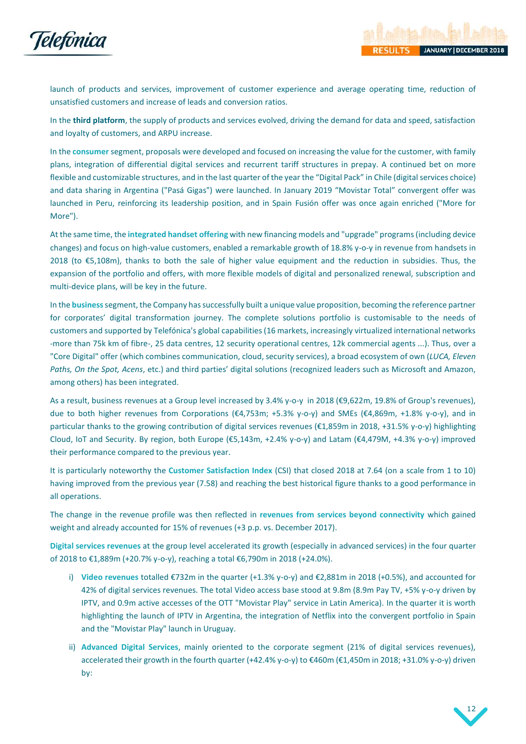

launch of products and services, improvement of customer experience and average operating time, reduction of unsatisfied customers and increase of leads and conversion ratios.

In the **third platform**, the supply of products and services evolved, driving the demand for data and speed, satisfaction and loyalty of customers, and ARPU increase.

In the **consumer** segment, proposals were developed and focused on increasing the value for the customer, with family plans, integration of differential digital services and recurrent tariff structures in prepay. A continued bet on more flexible and customizable structures, and in the last quarter of the year the "Digital Pack" in Chile (digital services choice) and data sharing in Argentina ("Pasá Gigas") were launched. In January 2019 "Movistar Total" convergent offer was launched in Peru, reinforcing its leadership position, and in Spain Fusión offer was once again enriched ("More for More").

At the same time, the **integrated handset offering** with new financing models and "upgrade" programs (including device changes) and focus on high-value customers, enabled a remarkable growth of 18.8% y-o-y in revenue from handsets in 2018 (to €5,108m), thanks to both the sale of higher value equipment and the reduction in subsidies. Thus, the expansion of the portfolio and offers, with more flexible models of digital and personalized renewal, subscription and multi-device plans, will be key in the future.

In the **business**segment, the Company has successfully built a unique value proposition, becoming the reference partner for corporates' digital transformation journey. The complete solutions portfolio is customisable to the needs of customers and supported by Telefónica's global capabilities (16 markets, increasingly virtualized international networks -more than 75k km of fibre-, 25 data centres, 12 security operational centres, 12k commercial agents ...). Thus, over a "Core Digital" offer (which combines communication, cloud, security services), a broad ecosystem of own (*LUCA, Eleven Paths, On the Spot, Acens*, etc.) and third parties' digital solutions (recognized leaders such as Microsoft and Amazon, among others) has been integrated.

As a result, business revenues at a Group level increased by 3.4% y-o-y in 2018 (€9,622m, 19.8% of Group's revenues), due to both higher revenues from Corporations (€4,753m; +5.3% y-o-y) and SMEs (€4,869m, +1.8% y-o-y), and in particular thanks to the growing contribution of digital services revenues (€1,859m in 2018, +31.5% y-o-y) highlighting Cloud, IoT and Security. By region, both Europe (€5,143m, +2.4% y-o-y) and Latam (€4,479M, +4.3% y-o-y) improved their performance compared to the previous year.

It is particularly noteworthy the **Customer Satisfaction Index** (CSI) that closed 2018 at 7.64 (on a scale from 1 to 10) having improved from the previous year (7.58) and reaching the best historical figure thanks to a good performance in all operations.

The change in the revenue profile was then reflected in **revenues from services beyond connectivity** which gained weight and already accounted for 15% of revenues (+3 p.p. vs. December 2017).

**Digital services revenues** at the group level accelerated its growth (especially in advanced services) in the four quarter of 2018 to €1,889m (+20.7% y-o-y), reaching a total €6,790m in 2018 (+24.0%).

- i) **Video revenues** totalled €732m in the quarter (+1.3% y-o-y) and €2,881m in 2018 (+0.5%), and accounted for 42% of digital services revenues. The total Video access base stood at 9.8m (8.9m Pay TV, +5% y-o-y driven by IPTV, and 0.9m active accesses of the OTT "Movistar Play" service in Latin America). In the quarter it is worth highlighting the launch of IPTV in Argentina, the integration of Netflix into the convergent portfolio in Spain and the "Movistar Play" launch in Uruguay.
- ii) **Advanced Digital Services**, mainly oriented to the corporate segment (21% of digital services revenues), accelerated their growth in the fourth quarter (+42.4% y-o-y) to €460m (€1,450m in 2018; +31.0% y-o-y) driven by:

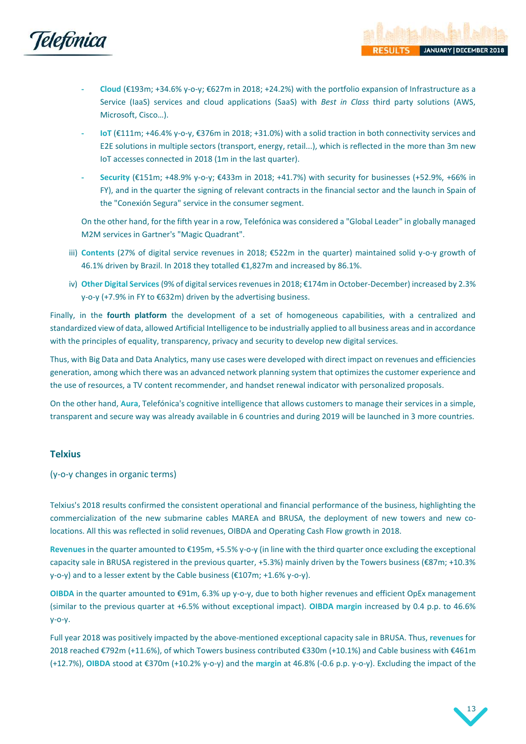

Microsoft, Cisco…).

- **- Cloud** (€193m; +34.6% y-o-y; €627m in 2018; +24.2%) with the portfolio expansion of Infrastructure as a Service (IaaS) services and cloud applications (SaaS) with *Best in Class* third party solutions (AWS,
- **- IoT** (€111m; +46.4% y-o-y, €376m in 2018; +31.0%) with a solid traction in both connectivity services and E2E solutions in multiple sectors (transport, energy, retail...), which is reflected in the more than 3m new IoT accesses connected in 2018 (1m in the last quarter).
- **- Security** (€151m; +48.9% y-o-y; €433m in 2018; +41.7%) with security for businesses (+52.9%, +66% in FY), and in the quarter the signing of relevant contracts in the financial sector and the launch in Spain of the "Conexión Segura" service in the consumer segment.

On the other hand, for the fifth year in a row, Telefónica was considered a "Global Leader" in globally managed M2M services in Gartner's "Magic Quadrant".

- iii) **Contents** (27% of digital service revenues in 2018; €522m in the quarter) maintained solid y-o-y growth of 46.1% driven by Brazil. In 2018 they totalled €1,827m and increased by 86.1%.
- iv) **Other Digital Services**(9% of digital services revenues in 2018; €174m in October-December) increased by 2.3% y-o-y (+7.9% in FY to €632m) driven by the advertising business.

Finally, in the **fourth platform** the development of a set of homogeneous capabilities, with a centralized and standardized view of data, allowed Artificial Intelligence to be industrially applied to all business areas and in accordance with the principles of equality, transparency, privacy and security to develop new digital services.

Thus, with Big Data and Data Analytics, many use cases were developed with direct impact on revenues and efficiencies generation, among which there was an advanced network planning system that optimizes the customer experience and the use of resources, a TV content recommender, and handset renewal indicator with personalized proposals.

On the other hand, **Aura**, Telefónica's cognitive intelligence that allows customers to manage their services in a simple, transparent and secure way was already available in 6 countries and during 2019 will be launched in 3 more countries.

## <span id="page-13-0"></span>**Telxius**

(y-o-y changes in organic terms)

Telxius's 2018 results confirmed the consistent operational and financial performance of the business, highlighting the commercialization of the new submarine cables MAREA and BRUSA, the deployment of new towers and new colocations. All this was reflected in solid revenues, OIBDA and Operating Cash Flow growth in 2018.

**Revenues** in the quarter amounted to €195m, +5.5% y-o-y (in line with the third quarter once excluding the exceptional capacity sale in BRUSA registered in the previous quarter, +5.3%) mainly driven by the Towers business (€87m; +10.3% y-o-y) and to a lesser extent by the Cable business (€107m; +1.6% y-o-y).

**OIBDA** in the quarter amounted to €91m, 6.3% up y-o-y, due to both higher revenues and efficient OpEx management (similar to the previous quarter at +6.5% without exceptional impact). **OIBDA margin** increased by 0.4 p.p. to 46.6% y-o-y.

Full year 2018 was positively impacted by the above-mentioned exceptional capacity sale in BRUSA. Thus, **revenues** for 2018 reached €792m (+11.6%), of which Towers business contributed €330m (+10.1%) and Cable business with €461m (+12.7%), **OIBDA** stood at €370m (+10.2% y-o-y) and the **margin** at 46.8% (-0.6 p.p. y-o-y). Excluding the impact of the



**JANUARY | DECEMBER 20**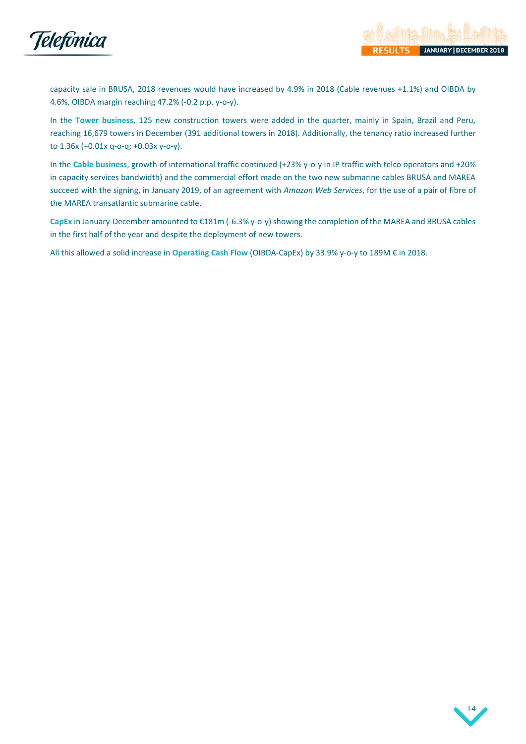

capacity sale in BRUSA, 2018 revenues would have increased by 4.9% in 2018 (Cable revenues +1.1%) and OIBDA by 4.6%, OIBDA margin reaching 47.2% (-0.2 p.p. y-o-y).

In the **Tower business**, 125 new construction towers were added in the quarter, mainly in Spain, Brazil and Peru, reaching 16,679 towers in December (391 additional towers in 2018). Additionally, the tenancy ratio increased further to 1.36x (+0.01x q-o-q; +0.03x y-o-y).

In the **Cable business**, growth of international traffic continued (+23% y-o-y in IP traffic with telco operators and +20% in capacity services bandwidth) and the commercial effort made on the two new submarine cables BRUSA and MAREA succeed with the signing, in January 2019, of an agreement with *Amazon Web Services*, for the use of a pair of fibre of the MAREA transatlantic submarine cable.

**CapEx** in January-December amounted to €181m (-6.3% y-o-y) showing the completion of the MAREA and BRUSA cables in the first half of the year and despite the deployment of new towers.

All this allowed a solid increase in **Operating Cash Flow** (OIBDA-CapEx) by 33.9% y-o-y to 189M € in 2018.

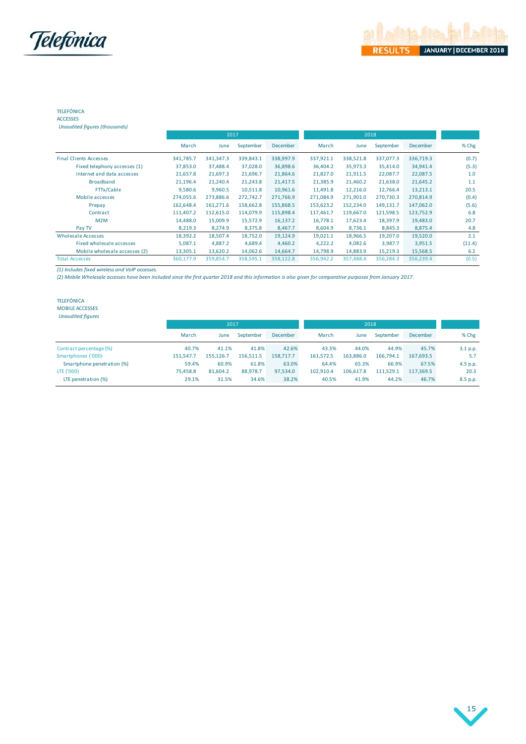

### TELEFÓNICA ACCESSES

| Unaudited figures (thousands) |           |           |           |           |           |           |           |                 |        |
|-------------------------------|-----------|-----------|-----------|-----------|-----------|-----------|-----------|-----------------|--------|
|                               |           | 2017      |           |           |           | 2018      |           |                 |        |
|                               | March     | June      | September | December  | March     | June      | September | <b>December</b> | % Chg  |
| <b>Final Clients Accesses</b> | 341,785.7 | 341,347.3 | 339,843.1 | 338,997.9 | 337,921.1 | 338,521.8 | 337,077.3 | 336,719.3       | (0.7)  |
| Fixed telephony accesses (1)  | 37,853.0  | 37,488.4  | 37,028.0  | 36,898.6  | 36,404.2  | 35,973.3  | 35,414.0  | 34,941.4        | (5.3)  |
| Internet and data accesses    | 21,657.8  | 21,697.3  | 21,696.7  | 21,864.6  | 21,827.0  | 21,911.5  | 22,087.7  | 22,087.5        | 1.0    |
| <b>Broadband</b>              | 21,196.4  | 21,240.4  | 21,243.8  | 21,417.5  | 21,385.9  | 21,460.2  | 21,638.0  | 21,645.2        | 1.1    |
| FTTx/Cable                    | 9,580.6   | 9,960.5   | 10,511.8  | 10,961.6  | 11,491.8  | 12,216.0  | 12,766.4  | 13,213.1        | 20.5   |
| Mobile accesses               | 274,055.6 | 273,886.6 | 272,742.7 | 271,766.9 | 271,084.9 | 271,901.0 | 270,730.3 | 270,814.9       | (0.4)  |
| Prepay                        | 162,648.4 | 161,271.6 | 158,662.8 | 155,868.5 | 153,623.2 | 152,234.0 | 149,131.7 | 147,062.0       | (5.6)  |
| Contract                      | 111,407.2 | 112,615.0 | 114,079.9 | 115,898.4 | 117,461.7 | 119,667.0 | 121,598.5 | 123,752.9       | 6.8    |
| M2M                           | 14,488.0  | 15,009.9  | 15,572.9  | 16,137.2  | 16,778.1  | 17,623.4  | 18,397.9  | 19,483.0        | 20.7   |
| Pay TV                        | 8,219.3   | 8,274.9   | 8,375.8   | 8,467.7   | 8,604.9   | 8,736.1   | 8,845.3   | 8,875.4         | 4.8    |
| Wholesale Accesses            | 18,392.2  | 18,507.4  | 18,752.0  | 19,124.9  | 19,021.1  | 18,966.5  | 19,207.0  | 19,520.0        | 2.1    |
| Fixed wholesale accesses      | 5,087.1   | 4,887.2   | 4,689.4   | 4,460.2   | 4,222.2   | 4,082.6   | 3,987.7   | 3,951.5         | (11.4) |
| Mobile wholesale accesses (2) | 13,305.1  | 13,620.2  | 14,062.6  | 14,664.7  | 14,798.9  | 14,883.9  | 15,219.3  | 15,568.5        | 6.2    |
| <b>Total Accesses</b>         | 360,177.9 | 359,854.7 | 358,595.1 | 358,122.8 | 356,942.2 | 357,488.4 | 356,284.3 | 356,239.4       | (0.5)  |

*(1) Includes fixed wireless and VoIP accesses.*

*(2) Mobile Wholesale accesses have been included since the first quarter 2018 and this information is also given for comparative purposes from January 2017.* 

### TELEFÓNICA

MOBILE ACCESSES

| <b>Unaudited figures</b> |
|--------------------------|
|--------------------------|

|                            | 2017      |           |           |                 | 2018.     |           |           |           |          |
|----------------------------|-----------|-----------|-----------|-----------------|-----------|-----------|-----------|-----------|----------|
|                            | March     | June      | September | <b>December</b> | March     | June      | September | December  | % Chg    |
| Contract percentage (%)    | 40.7%     | 41.1%     | 41.8%     | 42.6%           | 43.3%     | 44.0%     | 44.9%     | 45.7%     | 3.1 p.p. |
| Smartphones ('000)         | 151.547.7 | 155.126.7 | 156.511.5 | 158.717.7       | 161,572.5 | 163.886.0 | 166.794.1 | 167.693.5 | 5.7      |
| Smartphone penetration (%) | 59.4%     | 60.9%     | 61.8%     | 63.0%           | 64.4%     | 65.3%     | 66.9%     | 67.5%     | 4.5 p.p. |
| LTE ('000)                 | 75.458.8  | 81,604.2  | 88.978.7  | 97.534.0        | 102,910.4 | 106.617.8 | 111.529.1 | 117.369.5 | 20.3     |
| LTE penetration (%)        | 29.1%     | 31.5%     | 34.6%     | 38.2%           | 40.5%     | 41.9%     | 44.2%     | 46.7%     | 8.5 p.p. |

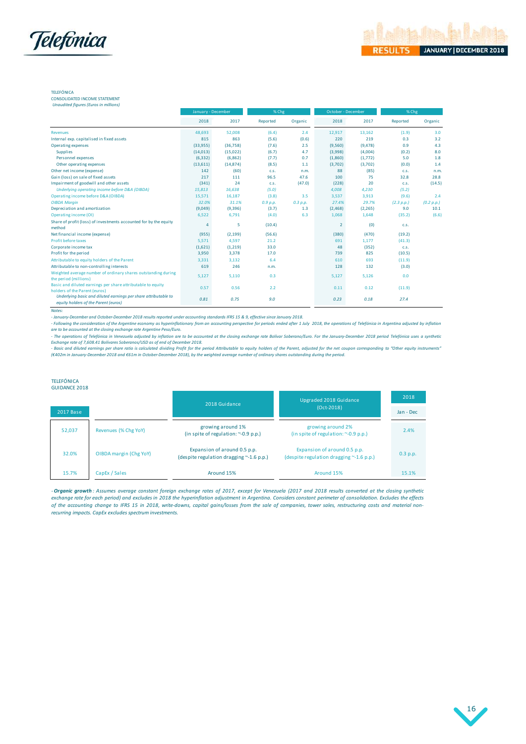

CONSOLIDATED INCOME STATEMENT

|                                                                                              | January - December |           | % Chg    |          | October - December |          | % Chg      |            |
|----------------------------------------------------------------------------------------------|--------------------|-----------|----------|----------|--------------------|----------|------------|------------|
|                                                                                              | 2018               | 2017      | Reported | Organic  | 2018               | 2017     | Reported   | Organic    |
| <b>Revenues</b>                                                                              | 48,693             | 52,008    | (6.4)    | 2.4      | 12,917             | 13,162   | (1.9)      | 3.0        |
| Internal exp. capitalised in fixed assets                                                    | 815                | 863       | (5.6)    | (0.6)    | 220                | 219      | 0.3        | 3.2        |
| Operating expenses                                                                           | (33,955)           | (36,758)  | (7.6)    | 2.5      | (9,560)            | (9, 478) | 0.9        | 4.3        |
| <b>Supplies</b>                                                                              | (14, 013)          | (15,022)  | (6.7)    | 4.7      | (3,998)            | (4,004)  | (0.2)      | 8.0        |
| Personnel expenses                                                                           | (6, 332)           | (6,862)   | (7.7)    | 0.7      | (1,860)            | (1,772)  | 5.0        | 1.8        |
| Other operating expenses                                                                     | (13,611)           | (14, 874) | (8.5)    | 1.1      | (3,702)            | (3,702)  | (0.0)      | 1.4        |
| Other net income (expense)                                                                   | 142                | (60)      | C.S.     | n.m.     | 88                 | (85)     | C.S.       | n.m.       |
| Gain (loss) on sale of fixed assets                                                          | 217                | 111       | 96.5     | 47.6     | 100                | 75       | 32.8       | 28.8       |
| Impairment of goodwill and other assets                                                      | (341)              | 24        | C.S.     | (47.0)   | (228)              | 20       | C.S.       | (14.5)     |
| Underlying operating income before D&A (OIBDA)                                               | 15,813             | 16,638    | (5.0)    |          | 4,008              | 4,230    | (5.2)      |            |
| Operating income before D&A (OIBDA)                                                          | 15,571             | 16,187    | (3.8)    | 3.5      | 3,537              | 3,913    | (9.6)      | 2.4        |
| <b>OIBDA Margin</b>                                                                          | 32.0%              | 31.1%     | 0.9 p.p. | 0.3 p.p. | 27.4%              | 29.7%    | (2.3 p.p.) | (0.2 p.p.) |
| Depreciation and amortization                                                                | (9,049)            | (9,396)   | (3.7)    | 1.3      | (2, 468)           | (2, 265) | 9.0        | 10.1       |
| Operating income (OI)                                                                        | 6,522              | 6,791     | (4.0)    | 6.3      | 1,068              | 1,648    | (35.2)     | (6.6)      |
| Share of profit (loss) of investments accounted for by the equity<br>method                  | $\overline{4}$     | 5         | (10.4)   |          | $\overline{2}$     | (0)      | C.S.       |            |
| Net financial income (expense)                                                               | (955)              | (2, 199)  | (56.6)   |          | (380)              | (470)    | (19.2)     |            |
| <b>Profit before taxes</b>                                                                   | 5,571              | 4,597     | 21.2     |          | 691                | 1,177    | (41.3)     |            |
| Corporate income tax                                                                         | (1,621)            | (1,219)   | 33.0     |          | 48                 | (352)    | C.S.       |            |
| Profit for the period                                                                        | 3,950              | 3,378     | 17.0     |          | 739                | 825      | (10.5)     |            |
| Attributable to equity holders of the Parent                                                 | 3,331              | 3,132     | 6.4      |          | 610                | 693      | (11.9)     |            |
| Attributable to non-controlling interests                                                    | 619                | 246       | n.m.     |          | 128                | 132      | (3.0)      |            |
| Weighted average number of ordinary shares outstanding during<br>the period (millions)       | 5,127              | 5,110     | 0.3      |          | 5,127              | 5,126    | 0.0        |            |
| Basic and diluted earnings per share attributable to equity<br>holders of the Parent (euros) | 0.57               | 0.56      | 2.2      |          | 0.11               | 0.12     | (11.9)     |            |
| Underlying basic and diluted earnings per share attributable to                              | 0.81               | 0.75      | 9.0      |          | 0.23               | 0.18     | 27.4       |            |

wares:<br>- January-December and October-December 2018 results reported under accounting standards IFRS 15 & 9, effective since January 2018.<br>- Following the consideration of the Argentine economy as hyperinflationary from a equity holders of the Parent (euros)<br>- Paramy-December and October-December 2018 results reported under accounting standards IFRS 15 & 9, effective since January 2018.<br>- January-December and October-December 2018 results r *Exchange rate of 7,608.41 Bolívares Soberanos/USD as of end of December 2018.* 

#### TELEFÓNICA GUIDANCE 2018

|           |                        | 2018 Guidance                                                                  | Upgraded 2018 Guidance                                                         | 2018       |
|-----------|------------------------|--------------------------------------------------------------------------------|--------------------------------------------------------------------------------|------------|
| 2017 Base |                        |                                                                                | $(Oct-2018)$                                                                   | Jan - Dec  |
| 52,037    | Revenues (% Chg YoY)   | growing around 1%<br>(in spite of regulation: $\sim$ -0.9 p.p.)                | growing around 2%<br>(in spite of regulation: $\sim$ -0.9 p.p.)                | 2.4%       |
| 32.0%     | OIBDA margin (Chg YoY) | Expansion of around 0.5 p.p.<br>(despite regulation dragging $\sim$ -1.6 p.p.) | Expansion of around 0.5 p.p.<br>(despite regulation dragging $\sim$ -1.6 p.p.) | $0.3$ p.p. |
| 15.7%     | CapEx / Sales          | Around 15%                                                                     | Around 15%                                                                     | 15.1%      |

15.7% CapEx / Sales<br>
-**Organic growth** : Assumes average constant foreign exchange rates of 2017, except for Venezuela (2017 and 2018 results converted at the closing synthetic<br>
exchange rate for each period) and excludes 15.1% CapEx / Sales Around 15% Around 15% Around 15% Around 15% 15.1%<br>15.1% CapEx / Sales CapEx / Sales Around 15% Around 15% Around 15% Around 15% Around 15% 15.1%<br>15.1% Around 15% Around 15% Around 15% Around 15% Around *recurring impacts. CapEx excludes spectrum investments.*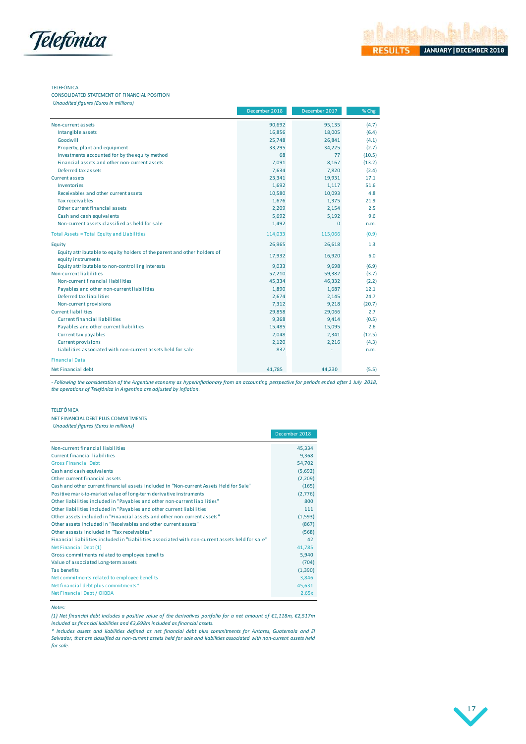

CONSOLIDATED STATEMENT OF FINANCIAL POSITION *<u>Unaudited figures (Figures</u>)* 

|                                                                                                | December 2018 | December 2017 | $%$ Chg |
|------------------------------------------------------------------------------------------------|---------------|---------------|---------|
| Non-current assets                                                                             | 90,692        | 95,135        | (4.7)   |
| Intangible assets                                                                              | 16,856        | 18,005        | (6.4)   |
| Goodwill                                                                                       | 25,748        | 26,841        | (4.1)   |
| Property, plant and equipment                                                                  | 33,295        | 34,225        | (2.7)   |
| Investments accounted for by the equity method                                                 | 68            | 77            | (10.5)  |
| Financial assets and other non-current assets                                                  | 7,091         | 8,167         | (13.2)  |
| Deferred tax assets                                                                            | 7,634         | 7,820         | (2.4)   |
| <b>Current assets</b>                                                                          | 23,341        | 19,931        | 17.1    |
| Inventories                                                                                    | 1,692         | 1,117         | 51.6    |
| Receivables and other current assets                                                           | 10,580        | 10,093        | 4.8     |
| Tax receivables                                                                                | 1,676         | 1,375         | 21.9    |
| Other current financial assets                                                                 | 2,209         | 2,154         | 2.5     |
| Cash and cash equivalents                                                                      | 5,692         | 5,192         | 9.6     |
| Non-current assets classified as held for sale                                                 | 1,492         | $\Omega$      | n.m.    |
| Total Assets = Total Equity and Liabilities                                                    | 114,033       | 115,066       | (0.9)   |
| Equity                                                                                         | 26,965        | 26,618        | 1.3     |
| Equity attributable to equity holders of the parent and other holders of<br>equity instruments | 17,932        | 16,920        | 6.0     |
| Equity attributable to non-controlling interests                                               | 9,033         | 9,698         | (6.9)   |
| Non-current liabilities                                                                        | 57,210        | 59,382        | (3.7)   |
| Non-current financial liabilities                                                              | 45,334        | 46,332        | (2.2)   |
| Payables and other non-current liabilities                                                     | 1,890         | 1,687         | 12.1    |
| Deferred tax liabilities                                                                       | 2,674         | 2,145         | 24.7    |
| Non-current provisions                                                                         | 7,312         | 9,218         | (20.7)  |
| <b>Current liabilities</b>                                                                     | 29,858        | 29,066        | 2.7     |
| <b>Current financial liabilities</b>                                                           | 9,368         | 9,414         | (0.5)   |
| Payables and other current liabilities                                                         | 15,485        | 15,095        | 2.6     |
| Current tax payables                                                                           | 2,048         | 2,341         | (12.5)  |
| <b>Current provisions</b>                                                                      | 2,120         | 2,216         | (4.3)   |
| Liabilities associated with non-current assets held for sale                                   | 837           |               | n.m.    |
| <b>Financial Data</b>                                                                          |               |               |         |
| Net Financial debt                                                                             | 41,785        | 44,230        | (5.5)   |

- Following the consideration of the Argentine economy as hyperinflationary from an accounting perspective for periods ended after 1 July 2018, *the operations of Telefónica in Argentina are adjusted by inflation.*

### TELEFÓNICA

NET FINANCIAL DEBT PLUS COMMITMENTS *Unaudited figures (Euros in millions)*

|                                                                                                  | December 2018 |
|--------------------------------------------------------------------------------------------------|---------------|
| Non-current financial liabilities                                                                | 45,334        |
| Current financial liabilities                                                                    | 9,368         |
| <b>Gross Financial Debt</b>                                                                      | 54,702        |
| Cash and cash equivalents                                                                        | (5,692)       |
| Other current financial assets                                                                   | (2,209)       |
| Cash and other current financial assets included in "Non-current Assets Held for Sale"           | (165)         |
| Positive mark-to-market value of long-term derivative instruments                                | (2,776)       |
| Other liabilities included in "Payables and other non-current liabilities"                       | 800           |
| Other liabilities included in "Payables and other current liabilities"                           | 111           |
| Other assets included in "Financial assets and other non-current assets"                         | (1,593)       |
| Other assets included in "Receivables and other current assets"                                  | (867)         |
| Other assests included in "Tax receivables"                                                      | (568)         |
| Financial liabilities included in "Liabilities associated with non-current assets held for sale" | 42            |
| Net Financial Debt (1)                                                                           | 41,785        |
| Gross commitments related to employee benefits                                                   | 5,940         |
| Value of associated Long-term assets                                                             | (704)         |
| <b>Tax benefits</b>                                                                              | (1,390)       |
| Net commitments related to employee benefits                                                     | 3.846         |
| Net financial debt plus commitments*                                                             | 45.631        |
| Net Financial Debt / OIBDA                                                                       | 2.65x         |

### *Notes:*

(1) Net financial debt includes a positive value of the derivatives portfolio for a net amount of €1,118m, €2,517m *included as financial liabilities and €3,698m included as financial assets.*

\* Includes assets and liabilities defined as net financial debt plus commitments for Antares, Guatemala and El Salvador, that are classified as non-current assets held for sale and liabilities associated with non-current assets held *for sale.*

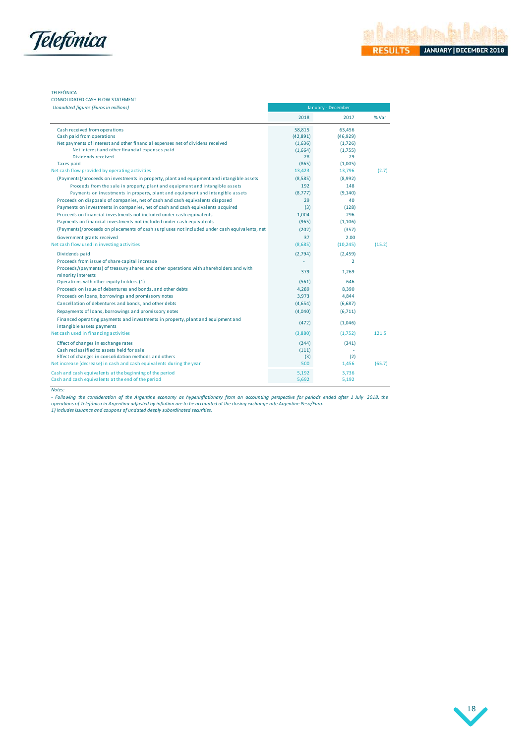

### CONSOLIDATED CASH FLOW STATEMENT

| <b>Unaudited figures (Euros in millions)</b>                                                                   | January - December |                |        |  |  |  |
|----------------------------------------------------------------------------------------------------------------|--------------------|----------------|--------|--|--|--|
|                                                                                                                | 2018               | 2017           | % Var  |  |  |  |
| Cash received from operations                                                                                  | 58,815             | 63,456         |        |  |  |  |
| Cash paid from operations                                                                                      | (42,891)           | (46, 929)      |        |  |  |  |
| Net payments of interest and other financial expenses net of dividens received                                 | (1,636)            | (1,726)        |        |  |  |  |
| Net interest and other financial expenses paid                                                                 | (1,664)            | (1,755)        |        |  |  |  |
| Dividends received                                                                                             | 28                 | 29             |        |  |  |  |
| Taxes paid                                                                                                     | (865)              | (1,005)        |        |  |  |  |
| Net cash flow provided by operating activities                                                                 | 13,423             | 13,796         | (2.7)  |  |  |  |
| (Payments)/proceeds on investments in property, plant and equipment and intangible assets                      | (8,585)            | (8,992)        |        |  |  |  |
| Proceeds from the sale in property, plant and equipment and intangible assets                                  | 192                | 148            |        |  |  |  |
| Payments on investments in property, plant and equipment and intangible assets                                 | (8,777)            | (9, 140)       |        |  |  |  |
| Proceeds on disposals of companies, net of cash and cash equivalents disposed                                  | 29                 | 40             |        |  |  |  |
| Payments on investments in companies, net of cash and cash equivalents acquired                                | (3)                | (128)          |        |  |  |  |
| Proceeds on financial investments not included under cash equivalents                                          | 1,004              | 296            |        |  |  |  |
| Payments on financial investments not included under cash equivalents                                          | (965)              | (1, 106)       |        |  |  |  |
| (Payments)/proceeds on placements of cash surpluses not included under cash equivalents, net                   | (202)              | (357)          |        |  |  |  |
| Government grants received                                                                                     | 37                 | 2.00           |        |  |  |  |
| Net cash flow used in investing activities                                                                     | (8,685)            | (10, 245)      | (15.2) |  |  |  |
| Dividends paid                                                                                                 | (2,794)            | (2,459)        |        |  |  |  |
| Proceeds from issue of share capital increase                                                                  |                    | $\overline{2}$ |        |  |  |  |
| Proceeds/(payments) of treasury shares and other operations with shareholders and with<br>minority interests   | 379                | 1,269          |        |  |  |  |
| Operations with other equity holders (1)                                                                       | (561)              | 646            |        |  |  |  |
| Proceeds on issue of debentures and bonds, and other debts                                                     | 4,289              | 8,390          |        |  |  |  |
| Proceeds on loans, borrowings and promissory notes                                                             | 3,973              | 4,844          |        |  |  |  |
| Cancellation of debentures and bonds, and other debts                                                          | (4,654)            | (6,687)        |        |  |  |  |
| Repayments of loans, borrowings and promissory notes                                                           | (4,040)            | (6,711)        |        |  |  |  |
| Financed operating payments and investments in property, plant and equipment and<br>intangible assets payments | (472)              | (1,046)        |        |  |  |  |
| Net cash used in financing activities                                                                          | (3,880)            | (1,752)        | 121.5  |  |  |  |
| Effect of changes in exchange rates                                                                            | (244)              | (341)          |        |  |  |  |
| Cash reclassified to assets held for sale                                                                      | (111)              |                |        |  |  |  |
| Effect of changes in consolidation methods and others                                                          | (3)                | (2)            |        |  |  |  |
| Net increase (decrease) in cash and cash equivalents during the year                                           | 500                | 1,456          | (65.7) |  |  |  |
|                                                                                                                | 5,192              | 3,736          |        |  |  |  |
| Cash and cash equivalents at the beginning of the period                                                       |                    |                |        |  |  |  |

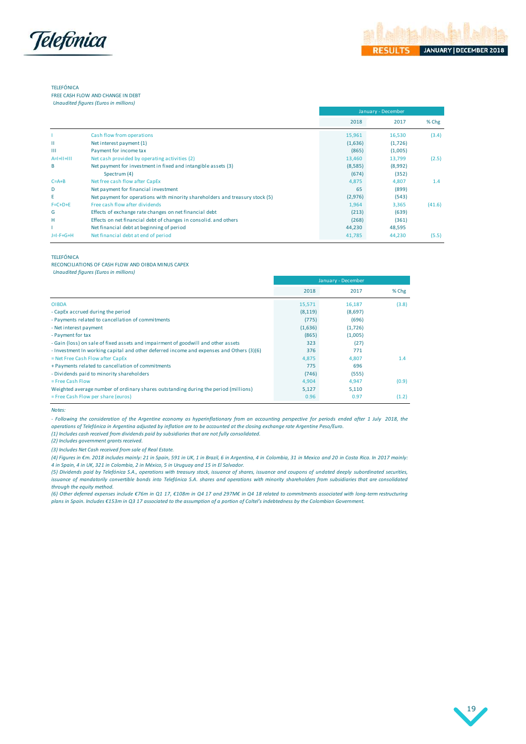

FREE CASH FLOW AND CHANGE IN DEBT

*Unaudited figures (Euros in millions)*

|                 |                                                                              |         | January - December |         |  |  |  |  |
|-----------------|------------------------------------------------------------------------------|---------|--------------------|---------|--|--|--|--|
|                 |                                                                              | 2018    | 2017               | $%$ Chg |  |  |  |  |
|                 | Cash flow from operations                                                    | 15,961  | 16,530             | (3.4)   |  |  |  |  |
| Ш               | Net interest payment (1)                                                     | (1,636) | (1,726)            |         |  |  |  |  |
| $\mathbf{H}$    | Payment for income tax                                                       | (865)   | (1,005)            |         |  |  |  |  |
| $A= +  +   $    | Net cash provided by operating activities (2)                                | 13,460  | 13,799             | (2.5)   |  |  |  |  |
| B               | Net payment for investment in fixed and intangible assets (3)                | (8,585) | (8,992)            |         |  |  |  |  |
|                 | Spectrum (4)                                                                 | (674)   | (352)              |         |  |  |  |  |
| $C = A + B$     | Net free cash flow after CapEx                                               | 4,875   | 4,807              | 1.4     |  |  |  |  |
| D               | Net payment for financial investment                                         | 65      | (899)              |         |  |  |  |  |
| E               | Net payment for operations with minority shareholders and treasury stock (5) | (2,976) | (543)              |         |  |  |  |  |
| $F = C + D + E$ | Free cash flow after dividends                                               | 1,964   | 3,365              | (41.6)  |  |  |  |  |
| G               | Effects of exchange rate changes on net financial debt                       | (213)   | (639)              |         |  |  |  |  |
| н               | Effects on net financial debt of changes in consolid, and others             | (268)   | (361)              |         |  |  |  |  |
|                 | Net financial debt at beginning of period                                    | 44,230  | 48,595             |         |  |  |  |  |
| $J=I-F+G+H$     | Net financial debt at end of period                                          | 41,785  | 44,230             | (5.5)   |  |  |  |  |

#### TELEFÓNICA

RECONCILIATIONS OF CASH FLOW AND OIBDA MINUS CAPEX *Unaudited figures (Euros in millions)*

|                                                                                          | January - December |         |         |
|------------------------------------------------------------------------------------------|--------------------|---------|---------|
|                                                                                          | 2018               | 2017    | $%$ Chg |
| <b>OIBDA</b>                                                                             | 15,571             | 16,187  | (3.8)   |
| - CapEx accrued during the period                                                        | (8, 119)           | (8,697) |         |
| - Payments related to cancellation of commitments                                        | (775)              | (696)   |         |
| - Net interest payment                                                                   | (1,636)            | (1,726) |         |
| - Payment for tax                                                                        | (865)              | (1,005) |         |
| - Gain (loss) on sale of fixed assets and impairment of goodwill and other assets        | 323                | (27)    |         |
| - Investment In working capital and other deferred income and expenses and Others (3)(6) | 376                | 771     |         |
| = Net Free Cash Flow after CapEx                                                         | 4,875              | 4,807   | 1.4     |
| + Payments related to cancellation of commitments                                        | 775                | 696     |         |
| - Dividends paid to minority shareholders                                                | (746)              | (555)   |         |
| $=$ Free Cash Flow                                                                       | 4,904              | 4,947   | (0.9)   |
| Weighted average number of ordinary shares outstanding during the period (millions)      | 5,127              | 5,110   |         |
| = Free Cash Flow per share (euros)                                                       | 0.96               | 0.97    | (1.2)   |

*Notes:*

- Following the consideration of the Argentine economy as hyperinflationary from an accounting perspective for periods ended after 1 July 2018, the *operations of Telefónica in Argentina adjusted by inflation are to be accounted at the closing exchange rate Argentine Peso/Euro.*

*(1) Includes cash received from dividends paid by subsidiaries that are not fully consolidated.*

*(2) Includes government grants received.*

*(3) Includes Net Cash received from sale of Real Estate.*

(4) Figures in €m. 2018 includes mainly: 21 in Spain, 591 in UK, 1 in Brazil, 6 in Argentina, 4 in Colombia, 31 in Mexico and 20 in Costa Rica. In 2017 mainly: *4 in Spain, 4 in UK, 321 in Colombia, 2 in México, 5 in Uruguay and 15 in El Salvador.*

(4) Figures in Em. 2018 includes mainly: 21 in Spain, 591 in UK, 1 in Brazil, 6 in Argentina, 4 in Colombia, 31 in Mexico and 20 in Costa Rica. In 2017 mainly:<br>4 in Spain, 4 in UK, 321 in Colombia, 2 in México, 5 in Urugu (2) includes asy received from annuents your by substancies and are not juny consolidated.<br>(2) includes government grants received.<br>(3) includes Net Cash received from sale of Real Estate.<br>(4) Figures in Em. 2018 includes (2) includes Nevelment grants received.<br>(4) Includes Net Cash received from sale of Real Estate.<br>(4) Figures in Em. 2018 includes mainly: 21 in Spain, 591 in UK, 1 in Brazil, 6 in Argentina, 4 in Colombia, 31 in Mexico and through the equity method.<br>(6) Other deferred expenses include €76m in Q1 17, €108m in Q4 17 and 297M€ in Q4 18 related to commitments associated with long-term restructuring

*plans in Spain. Includes €153m in Q3 17 associated to the assumption of a portion of Coltel's indebtedness by the Colombian Government.*

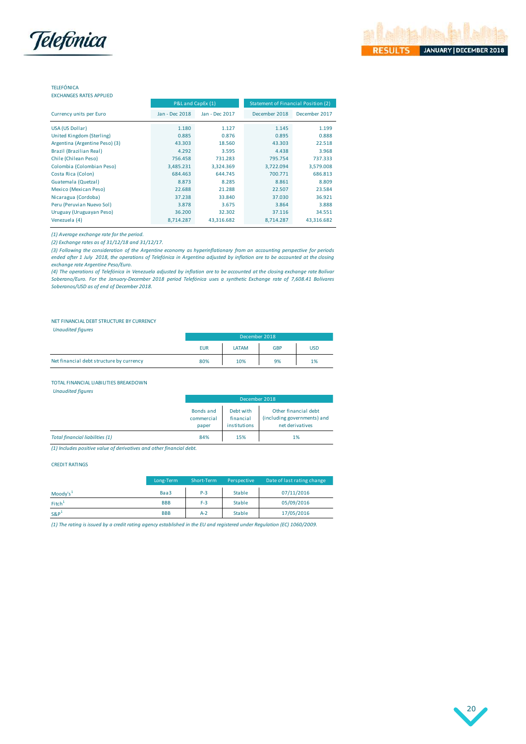

| <b>EXCHANGES RATES APPLIED</b> |  |  |
|--------------------------------|--|--|
|--------------------------------|--|--|

|                                | P&L and CapEx (1)<br><b>Statement of Financial Position (2)</b> |                |               |               |  |  |
|--------------------------------|-----------------------------------------------------------------|----------------|---------------|---------------|--|--|
| Currency units per Euro        | Jan - Dec 2018                                                  | Jan - Dec 2017 | December 2018 | December 2017 |  |  |
| USA (US Dollar)                | 1.180                                                           | 1.127          | 1.145         | 1.199         |  |  |
| United Kingdom (Sterling)      | 0.885                                                           | 0.876          | 0.895         | 0.888         |  |  |
| Argentina (Argentine Peso) (3) | 43.303                                                          | 18.560         | 43.303        | 22.518        |  |  |
| Brazil (Brazilian Real)        | 4.292                                                           | 3.595          | 4.438         | 3.968         |  |  |
| Chile (Chilean Peso)           | 756.458                                                         | 731.283        | 795.754       | 737.333       |  |  |
| Colombia (Colombian Peso)      | 3,485.231                                                       | 3,324.369      | 3,722.094     | 3,579.008     |  |  |
| Costa Rica (Colon)             | 684.463                                                         | 644.745        | 700.771       | 686.813       |  |  |
| Guatemala (Quetzal)            | 8.873                                                           | 8.285          | 8.861         | 8.809         |  |  |
| Mexico (Mexican Peso)          | 22.688                                                          | 21.288         | 22.507        | 23.584        |  |  |
| Nicaragua (Cordoba)            | 37.238                                                          | 33.840         | 37.030        | 36.921        |  |  |
| Peru (Peruvian Nuevo Sol)      | 3.878                                                           | 3.675          | 3.864         | 3.888         |  |  |
| Uruguay (Uruguayan Peso)       | 36.200                                                          | 32.302         | 37.116        | 34.551        |  |  |
| Venezuela (4)                  | 8,714.287                                                       | 43,316.682     | 8,714.287     | 43,316.682    |  |  |

*(1) Average exchange rate for the period.* 

*(2) Exchange rates as of 31/12/18 and 31/12/17.*

(3) Following the consideration of the Argentine economy as hyperinflationary from an accounting perspective for periods ended after 1 July 2018, the operations of Telefónica in Argentina adjusted by inflation are to be accounted at the closing *exchange rate Argentine Peso/Euro.* 

(4) The operations of Telefónica in Venezuela adjusted by inflation are to be accounted at the closing exchange rate Bolívar *Soberano/Euro. For the January-December 2018 period Telefónica uses a synthetic Exchange rate of 7,608.41 Bolívares Soberanos/USD as of end of December 2018.* 

### NET FINANCIAL DEBT STRUCTURE BY CURRENCY

*Unaudited figures* 

| - -                                      | December 2018 |       |            |            |  |  |  |
|------------------------------------------|---------------|-------|------------|------------|--|--|--|
|                                          | <b>EUR</b>    | LATAM | <b>GBP</b> | <b>USD</b> |  |  |  |
| Net financial debt structure by currency | 80%           | 10%   | 9%         | 1%         |  |  |  |
|                                          |               |       |            |            |  |  |  |

### TOTAL FINANCIAL LIABILITIES BREAKDOWN

*Unaudited figures* 

|                                                                     |                                  | December 2018                          |                                                                        |
|---------------------------------------------------------------------|----------------------------------|----------------------------------------|------------------------------------------------------------------------|
|                                                                     | Bonds and<br>commercial<br>paper | Debt with<br>financial<br>institutions | Other financial debt<br>(including governments) and<br>net derivatives |
| <b>Total financial liabilities (1)</b>                              | 84%                              | 15%                                    | 1%                                                                     |
| (1) Includes nositive value of derivatives and other financial debt |                                  |                                        |                                                                        |

*(1) Includes positive value of derivatives and other financial debt.*

### CREDIT RATINGS

|                      | Long-Term  | Short-Term | Perspective   | Date of last rating change, |
|----------------------|------------|------------|---------------|-----------------------------|
| Moody's <sup>1</sup> | Baa3       | $P-3$      | <b>Stable</b> | 07/11/2016                  |
| Fitch <sup>1</sup>   | <b>BBB</b> | $F-3$      | <b>Stable</b> | 05/09/2016                  |
| $S\&P1$              | <b>BBB</b> | $A-2$      | <b>Stable</b> | 17/05/2016                  |

*(1) The rating is issued by a credit rating agency established in the EU and registered under Regulation (EC) 1060/2009.*

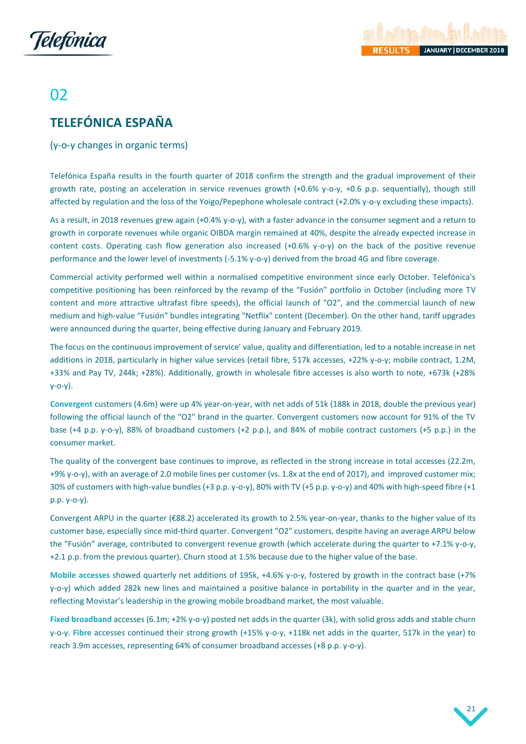



# 02

# <span id="page-21-0"></span>**TELEFÓNICA ESPAÑA**

## (y-o-y changes in organic terms)

Telefónica España results in the fourth quarter of 2018 confirm the strength and the gradual improvement of their growth rate, posting an acceleration in service revenues growth (+0.6% y-o-y, +0.6 p.p. sequentially), though still affected by regulation and the loss of the Yoigo/Pepephone wholesale contract (+2.0% y-o-y excluding these impacts).

As a result, in 2018 revenues grew again (+0.4% y-o-y), with a faster advance in the consumer segment and a return to growth in corporate revenues while organic OIBDA margin remained at 40%, despite the already expected increase in content costs. Operating cash flow generation also increased (+0.6% y-o-y) on the back of the positive revenue performance and the lower level of investments (-5.1% y-o-y) derived from the broad 4G and fibre coverage.

Commercial activity performed well within a normalised competitive environment since early October. Telefónica's competitive positioning has been reinforced by the revamp of the "Fusión" portfolio in October (including more TV content and more attractive ultrafast fibre speeds), the official launch of "O2", and the commercial launch of new medium and high-value "Fusión" bundles integrating "Netflix" content (December). On the other hand, tariff upgrades were announced during the quarter, being effective during January and February 2019.

The focus on the continuous improvement of service' value, quality and differentiation, led to a notable increase in net additions in 2018, particularly in higher value services (retail fibre, 517k accesses, +22% y-o-y; mobile contract, 1.2M, +33% and Pay TV, 244k; +28%). Additionally, growth in wholesale fibre accesses is also worth to note, +673k (+28% y-o-y).

**Convergent** customers (4.6m) were up 4% year-on-year, with net adds of 51k (188k in 2018, double the previous year) following the official launch of the "O2" brand in the quarter. Convergent customers now account for 91% of the TV base (+4 p.p. y-o-y), 88% of broadband customers (+2 p.p.), and 84% of mobile contract customers (+5 p.p.) in the consumer market.

The quality of the convergent base continues to improve, as reflected in the strong increase in total accesses (22.2m, +9% y-o-y), with an average of 2.0 mobile lines per customer (vs. 1.8x at the end of 2017), and improved customer mix; 30% of customers with high-value bundles (+3 p.p. y-o-y), 80% with TV (+5 p.p. y-o-y) and 40% with high-speed fibre (+1 p.p. y-o-y).

Convergent ARPU in the quarter (€88.2) accelerated its growth to 2.5% year-on-year, thanks to the higher value of its customer base, especially since mid-third quarter. Convergent "O2" customers, despite having an average ARPU below the "Fusión" average, contributed to convergent revenue growth (which accelerate during the quarter to +7.1% y-o-y, +2.1 p.p. from the previous quarter). Churn stood at 1.5% because due to the higher value of the base.

**Mobile accesses** showed quarterly net additions of 195k, +4.6% y-o-y, fostered by growth in the contract base (+7% y-o-y) which added 282k new lines and maintained a positive balance in portability in the quarter and in the year, reflecting Movistar's leadership in the growing mobile broadband market, the most valuable.

**Fixed broadband** accesses (6.1m; +2% y-o-y) posted net adds in the quarter (3k), with solid gross adds and stable churn y-o-y. **Fibre** accesses continued their strong growth (+15% y-o-y, +118k net adds in the quarter, 517k in the year) to reach 3.9m accesses, representing 64% of consumer broadband accesses (+8 p.p. y-o-y).

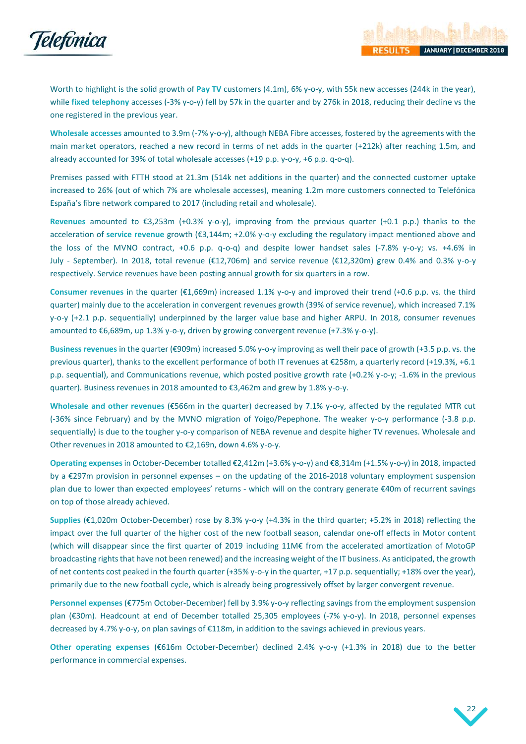

Worth to highlight is the solid growth of Pay TV customers (4.1m), 6% y-o-y, with 55k new accesses (244k in the year), while **fixed telephony** accesses (-3% y-o-y) fell by 57k in the quarter and by 276k in 2018, reducing their decline vs the one registered in the previous year.

**Wholesale accesses** amounted to 3.9m (-7% y-o-y), although NEBA Fibre accesses, fostered by the agreements with the main market operators, reached a new record in terms of net adds in the quarter (+212k) after reaching 1.5m, and already accounted for 39% of total wholesale accesses (+19 p.p. y-o-y, +6 p.p. q-o-q).

Premises passed with FTTH stood at 21.3m (514k net additions in the quarter) and the connected customer uptake increased to 26% (out of which 7% are wholesale accesses), meaning 1.2m more customers connected to Telefónica España's fibre network compared to 2017 (including retail and wholesale).

**Revenues** amounted to €3,253m (+0.3% y-o-y), improving from the previous quarter (+0.1 p.p.) thanks to the acceleration of **service revenue** growth (€3,144m; +2.0% y-o-y excluding the regulatory impact mentioned above and the loss of the MVNO contract, +0.6 p.p. q-o-q) and despite lower handset sales (-7.8% y-o-y; vs. +4.6% in July - September). In 2018, total revenue (€12,706m) and service revenue (€12,320m) grew 0.4% and 0.3% y-o-y respectively. Service revenues have been posting annual growth for six quarters in a row.

**Consumer revenues** in the quarter (€1,669m) increased 1.1% y-o-y and improved their trend (+0.6 p.p. vs. the third quarter) mainly due to the acceleration in convergent revenues growth (39% of service revenue), which increased 7.1% y-o-y (+2.1 p.p. sequentially) underpinned by the larger value base and higher ARPU. In 2018, consumer revenues amounted to  $\epsilon$ 6,689m, up 1.3% y-o-y, driven by growing convergent revenue (+7.3% y-o-y).

**Business revenues** in the quarter (€909m) increased 5.0% y-o-y improving as well their pace of growth (+3.5 p.p. vs. the previous quarter), thanks to the excellent performance of both IT revenues at €258m, a quarterly record (+19.3%, +6.1 p.p. sequential), and Communications revenue, which posted positive growth rate (+0.2% y-o-y; -1.6% in the previous quarter). Business revenues in 2018 amounted to €3,462m and grew by 1.8% y-o-y.

**Wholesale and other revenues** (€566m in the quarter) decreased by 7.1% y-o-y, affected by the regulated MTR cut (-36% since February) and by the MVNO migration of Yoigo/Pepephone. The weaker y-o-y performance (-3.8 p.p. sequentially) is due to the tougher y-o-y comparison of NEBA revenue and despite higher TV revenues. Wholesale and Other revenues in 2018 amounted to €2,169n, down 4.6% y-o-y.

**Operating expenses**in October-December totalled €2,412m (+3.6% y-o-y) and €8,314m (+1.5% y-o-y) in 2018, impacted by a €297m provision in personnel expenses – on the updating of the 2016-2018 voluntary employment suspension plan due to lower than expected employees' returns - which will on the contrary generate €40m of recurrent savings on top of those already achieved.

**Supplies** (€1,020m October-December) rose by 8.3% y-o-y (+4.3% in the third quarter; +5.2% in 2018) reflecting the impact over the full quarter of the higher cost of the new football season, calendar one-off effects in Motor content (which will disappear since the first quarter of 2019 including 11M€ from the accelerated amortization of MotoGP broadcasting rights that have not been renewed) and the increasing weight of the IT business. As anticipated, the growth of net contents cost peaked in the fourth quarter (+35% y-o-y in the quarter, +17 p.p. sequentially; +18% over the year), primarily due to the new football cycle, which is already being progressively offset by larger convergent revenue.

**Personnel expenses** (€775m October-December) fell by 3.9% y-o-y reflecting savings from the employment suspension plan (€30m). Headcount at end of December totalled 25,305 employees (-7% y-o-y). In 2018, personnel expenses decreased by 4.7% y-o-y, on plan savings of €118m, in addition to the savings achieved in previous years.

**Other operating expenses** (€616m October-December) declined 2.4% y-o-y (+1.3% in 2018) due to the better performance in commercial expenses.

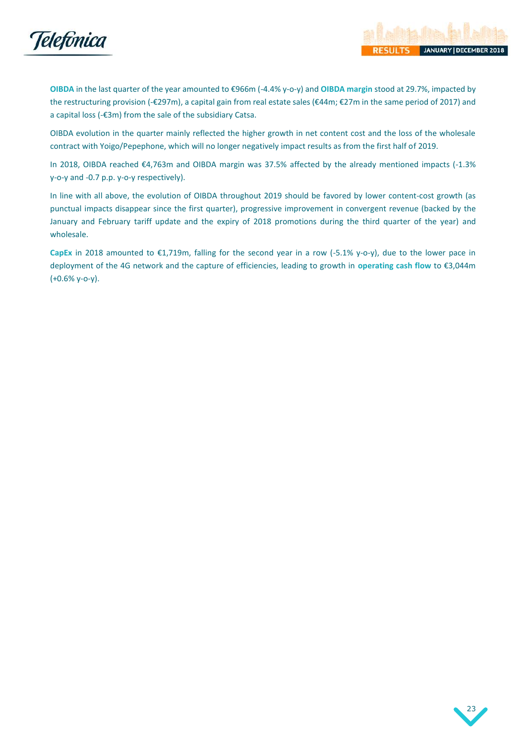

**OIBDA** in the last quarter of the year amounted to €966m (-4.4% y-o-y) and **OIBDA margin** stood at 29.7%, impacted by the restructuring provision (-€297m), a capital gain from real estate sales (€44m; €27m in the same period of 2017) and a capital loss (-€3m) from the sale of the subsidiary Catsa.

OIBDA evolution in the quarter mainly reflected the higher growth in net content cost and the loss of the wholesale contract with Yoigo/Pepephone, which will no longer negatively impact results as from the first half of 2019.

In 2018, OIBDA reached €4,763m and OIBDA margin was 37.5% affected by the already mentioned impacts (-1.3% y-o-y and -0.7 p.p. y-o-y respectively).

In line with all above, the evolution of OIBDA throughout 2019 should be favored by lower content-cost growth (as punctual impacts disappear since the first quarter), progressive improvement in convergent revenue (backed by the January and February tariff update and the expiry of 2018 promotions during the third quarter of the year) and wholesale.

**CapEx** in 2018 amounted to €1,719m, falling for the second year in a row (-5.1% y-o-y), due to the lower pace in deployment of the 4G network and the capture of efficiencies, leading to growth in **operating cash flow** to €3,044m (+0.6% y-o-y).

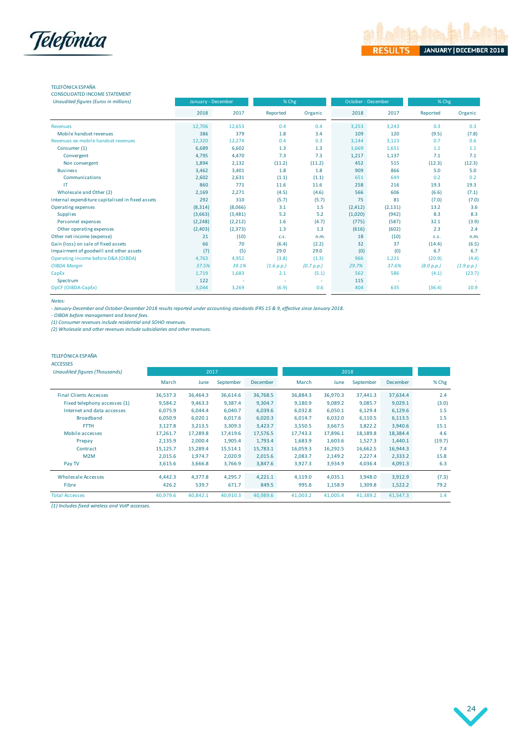

## TELEFÓNICA ESPAÑA

| <b>CONSOLIDATED INCOME STATEMENT</b>             |                    |          |            |            |                    |          |            |            |
|--------------------------------------------------|--------------------|----------|------------|------------|--------------------|----------|------------|------------|
| <b>Unaudited figures (Euros in millions)</b>     | January - December |          | % Chg      |            | October - December |          | % Chg      |            |
|                                                  | 2018               | 2017     | Reported   | Organic    | 2018               | 2017     | Reported   | Organic    |
| <b>Revenues</b>                                  | 12,706             | 12,653   | 0.4        | 0.4        | 3,253              | 3,243    | 0.3        | 0.3        |
| Mobile handset revenues                          | 386                | 379      | 1.8        | 3.4        | 109                | 120      | (9.5)      | (7.8)      |
| Revenues ex-mobile handset revenues              | 12,320             | 12,274   | 0.4        | 0.3        | 3,144              | 3,123    | 0.7        | 0.6        |
| Consumer (1)                                     | 6,689              | 6,602    | 1.3        | 1.3        | 1,669              | 1,651    | 1.1        | 1.1        |
| Convergent                                       | 4,795              | 4,470    | 7.3        | 7.3        | 1,217              | 1,137    | 7.1        | 7.1        |
| Non convergent                                   | 1,894              | 2,132    | (11.2)     | (11.2)     | 452                | 515      | (12.3)     | (12.3)     |
| <b>Business</b>                                  | 3,462              | 3,401    | 1.8        | 1.8        | 909                | 866      | 5.0        | 5.0        |
| Communications                                   | 2,602              | 2,631    | (1.1)      | (1.1)      | 651                | 649      | 0.2        | 0.2        |
| IT                                               | 860                | 771      | 11.6       | 11.6       | 258                | 216      | 19.3       | 19.3       |
| Wholesale and Other (2)                          | 2,169              | 2,271    | (4.5)      | (4.6)      | 566                | 606      | (6.6)      | (7.1)      |
| Internal expenditure capitalised in fixed assets | 292                | 310      | (5.7)      | (5.7)      | 75                 | 81       | (7.0)      | (7.0)      |
| Operating expenses                               | (8, 314)           | (8,066)  | 3.1        | 1.5        | (2, 412)           | (2, 131) | 13.2       | 3.6        |
| <b>Supplies</b>                                  | (3,663)            | (3,481)  | 5.2        | 5.2        | (1,020)            | (942)    | 8.3        | 8.3        |
| Personnel expenses                               | (2, 248)           | (2,212)  | 1.6        | (4.7)      | (775)              | (587)    | 32.1       | (3.9)      |
| Other operating expenses                         | (2,403)            | (2, 373) | 1.3        | 1.3        | (616)              | (602)    | 2.3        | 2.4        |
| Other net income (expense)                       | 21                 | (10)     | C.S.       | n.m.       | 18                 | (10)     | C.S.       | n.m.       |
| Gain (loss) on sale of fixed assets              | 66                 | 70       | (6.4)      | (2.2)      | 32                 | 37       | (14.4)     | (6.5)      |
| Impairment of goodwill and other assets          | (7)                | (5)      | 29.0       | 29.0       | (0)                | (0)      | 6.7        | 6.7        |
| Operating income before D&A (OIBDA)              | 4,763              | 4,952    | (3.8)      | (1.3)      | 966                | 1,221    | (20.9)     | (4.4)      |
| <b>OIBDA Margin</b>                              | 37.5%              | 39.1%    | (1.6 p.p.) | (0.7 p.p.) | 29.7%              | 37.6%    | (8.0 p.p.) | (1.9 p.p.) |
| CapEx                                            | 1,719              | 1,683    | 2.1        | (5.1)      | 562                | 586      | (4.1)      | (23.7)     |
| Spectrum                                         | 122                | ٠        |            | ٠          | 115                |          |            |            |
| OpCF (OIBDA-CapEx)                               | 3.044              | 3,269    | (6.9)      | 0.6        | 404                | 635      | (36.4)     | 10.9       |

### *Notes:*

*- January-December and October-December 2018 results reported under accounting standards IFRS 15 & 9, effective since January 2018.*

*- OIBDA before management and brand fees. (1) Consumer revenues include residential and SOHO revenues.*

*(2) Wholesale and other revenues include subsidiaries and other revenues.*

### TELEFÓNICA ESPAÑA

#### ACCESSES

| <b>Unaudited figures (Thousands)</b> |          | 2017     |           |                 | 2018     |          |           |          |        |
|--------------------------------------|----------|----------|-----------|-----------------|----------|----------|-----------|----------|--------|
|                                      | March    | June     | September | <b>December</b> | March    | June     | September | December | % Chg  |
| <b>Final Clients Accesses</b>        | 36,537.3 | 36,464.3 | 36,614.6  | 36,768.5        | 36,884.3 | 36,970.3 | 37,441.3  | 37,634.4 | 2.4    |
| Fixed telephony accesses (1)         | 9,584.2  | 9,463.3  | 9,387.4   | 9,304.7         | 9,180.9  | 9,089.2  | 9,085.7   | 9,029.1  | (3.0)  |
| Internet and data accesses           | 6,075.9  | 6,044.4  | 6,040.7   | 6,039.6         | 6,032.8  | 6,050.1  | 6,129.4   | 6,129.6  | 1.5    |
| <b>Broadband</b>                     | 6,050.9  | 6,020.1  | 6,017.6   | 6,020.3         | 6,014.7  | 6,032.0  | 6,110.5   | 6,113.5  | 1.5    |
| <b>FTTH</b>                          | 3,127.8  | 3,213.5  | 3,309.3   | 3,423.7         | 3,550.5  | 3,667.5  | 3,822.2   | 3,940.6  | 15.1   |
| Mobile accesses                      | 17,261.7 | 17,289.8 | 17,419.6  | 17,576.5        | 17,743.3 | 17,896.1 | 18,189.8  | 18,384.4 | 4.6    |
| Prepay                               | 2,135.9  | 2,000.4  | 1,905.4   | 1,793.4         | 1,683.9  | 1,603.6  | 1,527.3   | 1,440.1  | (19.7) |
| Contract                             | 15,125.7 | 15,289.4 | 15,514.1  | 15,783.1        | 16,059.3 | 16,292.5 | 16,662.5  | 16,944.3 | 7.4    |
| M2M                                  | 2,015.6  | 1,974.7  | 2,020.9   | 2,015.6         | 2,083.7  | 2,149.2  | 2,227.4   | 2,333.2  | 15.8   |
| Pay TV                               | 3,615.6  | 3,666.8  | 3,766.9   | 3,847.6         | 3,927.3  | 3,934.9  | 4,036.4   | 4,091.3  | 6.3    |
| Wholesale Accesses                   | 4,442.3  | 4,377.8  | 4,295.7   | 4,221.1         | 4,119.0  | 4,035.1  | 3,948.0   | 3,912.9  | (7.3)  |
| Fibre                                | 426.2    | 539.7    | 671.7     | 849.5           | 995.8    | 1,158.9  | 1,309.8   | 1,522.2  | 79.2   |
| <b>Total Accesses</b>                | 40,979.6 | 40,842.1 | 40,910.3  | 40,989.6        | 41,003.2 | 41,005.4 | 41,389.2  | 41,547.3 | 1.4    |

*(1) Includes fixed wireless and VoIP accesses.*

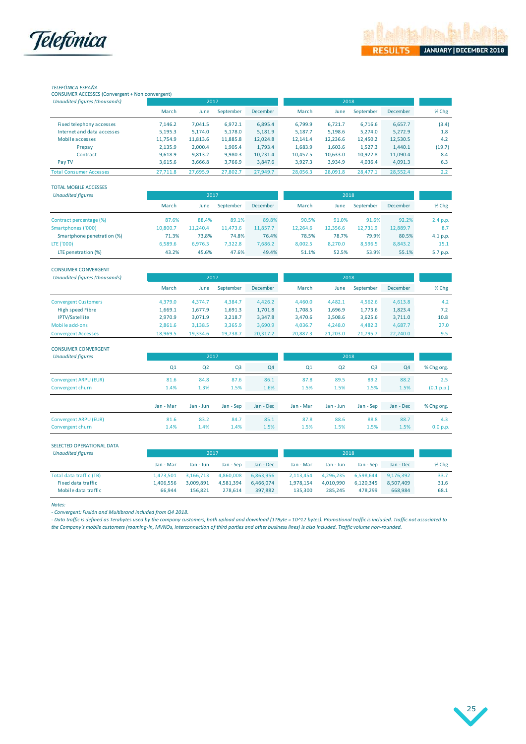



## *TELEFÓNICA ESPAÑA*

CONSUMER ACCESSES (Convergent + Non convergent)

| Unaudited figures (thousands)  |          | 2017     |           |                 |          | 2018     |           |          |        |
|--------------------------------|----------|----------|-----------|-----------------|----------|----------|-----------|----------|--------|
|                                | March    | June     | September | <b>December</b> | March    | June     | September | December | % Chg  |
| Fixed telephony accesses       | 7,146.2  | 7,041.5  | 6,972.1   | 6,895.4         | 6,799.9  | 6,721.7  | 6,716.6   | 6,657.7  | (3.4)  |
| Internet and data accesses     | 5,195.3  | 5,174.0  | 5,178.0   | 5,181.9         | 5,187.7  | 5,198.6  | 5,274.0   | 5,272.9  | 1.8    |
| Mobile accesses                | 11,754.9 | 11,813.6 | 11,885.8  | 12,024.8        | 12,141.4 | 12,236.6 | 12,450.2  | 12,530.5 | 4.2    |
| Prepay                         | 2,135.9  | 2,000.4  | 1,905.4   | 1,793.4         | 1,683.9  | 1,603.6  | 1,527.3   | 1.440.1  | (19.7) |
| Contract                       | 9,618.9  | 9,813.2  | 9,980.3   | 10,231.4        | 10,457.5 | 10,633.0 | 10,922.8  | 11,090.4 | 8.4    |
| Pay TV                         | 3,615.6  | 3,666.8  | 3,766.9   | 3,847.6         | 3,927.3  | 3.934.9  | 4.036.4   | 4,091.3  | 6.3    |
| <b>Total Consumer Accesses</b> | 27.711.8 | 27.695.9 | 27,802.7  | 27.949.7        | 28.056.3 | 28.091.8 | 28.477.1  | 28.552.4 | 2.2    |

| <b>TOTAL MOBILE ACCESSES</b> |          |              |           |                 |          |          |           |          |          |
|------------------------------|----------|--------------|-----------|-----------------|----------|----------|-----------|----------|----------|
| <b>Unaudited figures</b>     |          | 2017<br>2018 |           |                 |          |          |           |          |          |
|                              | March    | June         | September | <b>December</b> | March    | June     | September | December | % Chg    |
| Contract percentage (%)      | 87.6%    | 88.4%        | 89.1%     | 89.8%           | 90.5%    | 91.0%    | 91.6%     | 92.2%    | 2.4 p.p. |
| Smartphones ('000)           | 10.800.7 | 11.240.4     | 11.473.6  | 11,857.7        | 12.264.6 | 12,356.6 | 12,731.9  | 12,889.7 | 8.7      |
| Smartphone penetration (%)   | 71.3%    | 73.8%        | 74.8%     | 76.4%           | 78.5%    | 78.7%    | 79.9%     | 80.5%    | 4.1 p.p. |
| LTE ('000)                   | 6,589.6  | 6,976.3      | 7,322.8   | 7,686.2         | 8,002.5  | 8,270.0  | 8,596.5   | 8,843.2  | 15.1     |
| LTE penetration (%)          | 43.2%    | 45.6%        | 47.6%     | 49.4%           | 51.1%    | 52.5%    | 53.9%     | 55.1%    | 5.7 p.p. |

| <b>CONSUMER CONVERGENT</b>    |          |          |           |                 |          |          |           |          |       |
|-------------------------------|----------|----------|-----------|-----------------|----------|----------|-----------|----------|-------|
| Unaudited figures (thousands) | 2017     |          |           |                 | 2018     |          |           |          |       |
|                               | March    | June     | September | <b>December</b> | March    | June     | September | December | % Chg |
| <b>Convergent Customers</b>   | 4,379.0  | 4.374.7  | 4.384.7   | 4,426.2         | 4,460.0  | 4,482.1  | 4,562.6   | 4,613.8  | 4.2   |
| High speed Fibre              | 1.669.1  | 1,677.9  | 1,691.3   | 1,701.8         | 1,708.5  | 1,696.9  | 1,773.6   | 1,823.4  | 7.2   |
| <b>IPTV/Satellite</b>         | 2,970.9  | 3,071.9  | 3,218.7   | 3,347.8         | 3,470.6  | 3,508.6  | 3,625.6   | 3,711.0  | 10.8  |
| Mobile add-ons                | 2,861.6  | 3,138.5  | 3,365.9   | 3,690.9         | 4,036.7  | 4.248.0  | 4,482.3   | 4,687.7  | 27.0  |
| <b>Convergent Accesses</b>    | 18,969.5 | 19.334.6 | 19,738.7  | 20,317.2        | 20,887.3 | 21,203.0 | 21.795.7  | 22,240.0 | 9.5   |

| <b>CONSUMER CONVERGENT</b> |           |                |                |           | 2018           |                |                |                |            |
|----------------------------|-----------|----------------|----------------|-----------|----------------|----------------|----------------|----------------|------------|
| <b>Unaudited figures</b>   | 2017      |                |                |           |                |                |                |                |            |
|                            | Q1        | Q <sub>2</sub> | Q <sub>3</sub> | Q4        | Q <sub>1</sub> | Q <sub>2</sub> | Q <sub>3</sub> | Q <sub>4</sub> | % Chg org. |
| Convergent ARPU (EUR)      | 81.6      | 84.8           | 87.6           | 86.1      | 87.8           | 89.5           | 89.2           | 88.2           | 2.5        |
| Convergent churn           | 1.4%      | 1.3%           | 1.5%           | 1.6%      | 1.5%           | 1.5%           | 1.5%           | 1.5%           | (0.1 p.p.) |
|                            | Jan - Mar | Jan - Jun      | Jan - Sep      | Jan - Dec | Jan - Mar      | Jan - Jun      | Jan - Sep      | Jan - Dec      | % Chg org. |
| Convergent ARPU (EUR)      | 81.6      | 83.2           | 84.7           | 85.1      | 87.8           | 88.6           | 88.8           | 88.7           | 4.3        |
| Convergent churn           | 1.4%      | 1.4%           | 1.4%           | 1.5%      | 1.5%           | 1.5%           | 1.5%           | 1.5%           | 0.0 p.p.   |

#### SELECTED OPERATIONAL DATA

| <b>Unaudited figures</b> |           | 2017      |           |           | 2018      |           |           |           |       |
|--------------------------|-----------|-----------|-----------|-----------|-----------|-----------|-----------|-----------|-------|
|                          | Jan - Mar | Jan - Jun | Jan - Sep | Jan - Dec | Jan - Mar | Jan - Jun | Jan - Sep | Jan - Dec | % Chg |
| Total data traffic (TB)  | L.473.501 | 3.166.713 | 4.860.008 | 6,863,956 | 2.113.454 | 4.296.235 | 6.598.644 | 9.176.392 | 33.7  |
| Fixed data traffic       | .406.556  | 3.009.891 | 4.581.394 | 6.466.074 | 1.978.154 | 4.010.990 | 6.120.345 | 8,507,409 | 31.6  |
| Mobile data traffic      | 66.944    | 156.821   | 278.614   | 397.882   | 135.300   | 285.245   | 478.299   | 668.984   | 68.1  |

*Notes:* 

*- Convergent: Fusión and Multibrand included from Q4 2018.*

*- Data traffic is defined as Terabytes used by the company customers, both upload and download (1TByte = 10^12 bytes). Promotional traffic is included. Traffic not associated to the Company's mobile customers (roaming-in, MVNOs, interconnection of third parties and other business lines) is also included. Traffic volume non-rounded.*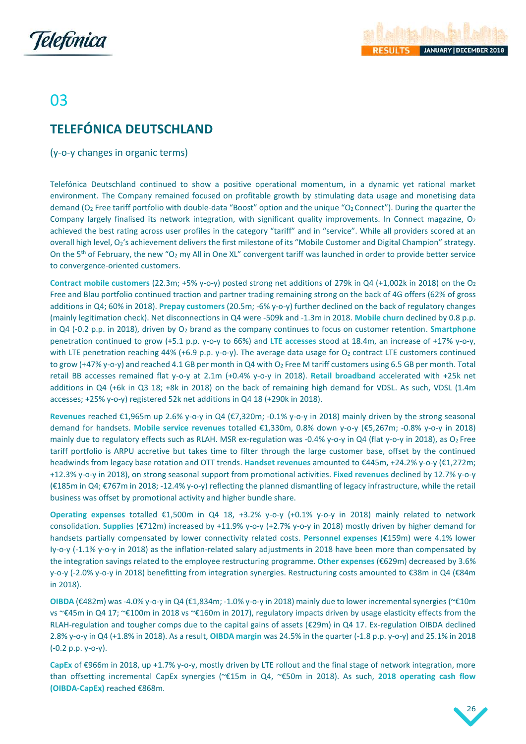

# 03

# <span id="page-26-0"></span>**TELEFÓNICA DEUTSCHLAND**

(y-o-y changes in organic terms)

Telefónica Deutschland continued to show a positive operational momentum, in a dynamic yet rational market environment. The Company remained focused on profitable growth by stimulating data usage and monetising data demand (O<sub>2</sub> Free tariff portfolio with double-data "Boost" option and the unique "O<sub>2</sub> Connect"). During the quarter the Company largely finalised its network integration, with significant quality improvements. In Connect magazine, O<sub>2</sub> achieved the best rating across user profiles in the category "tariff" and in "service". While all providers scored at an overall high level, O2's achievement delivers the first milestone of its "Mobile Customer and Digital Champion" strategy. On the 5<sup>th</sup> of February, the new "O<sub>2</sub> my All in One XL" convergent tariff was launched in order to provide better service to convergence-oriented customers.

**Contract mobile customers** (22.3m; +5% y-o-y) posted strong net additions of 279k in Q4 (+1,002k in 2018) on the O<sup>2</sup> Free and Blau portfolio continued traction and partner trading remaining strong on the back of 4G offers (62% of gross additions in Q4; 60% in 2018). **Prepay customers** (20.5m; -6% y-o-y) further declined on the back of regulatory changes (mainly legitimation check). Net disconnections in Q4 were -509k and -1.3m in 2018. **Mobile churn** declined by 0.8 p.p. in Q4 (-0.2 p.p. in 2018), driven by O<sup>2</sup> brand as the company continues to focus on customer retention. **Smartphone** penetration continued to grow (+5.1 p.p. y-o-y to 66%) and **LTE accesses** stood at 18.4m, an increase of +17% y-o-y, with LTE penetration reaching 44% (+6.9 p.p. y-o-y). The average data usage for O<sub>2</sub> contract LTE customers continued to grow (+47% y-o-y) and reached 4.1 GB per month in Q4 with  $O_2$  Free M tariff customers using 6.5 GB per month. Total retail BB accesses remained flat y-o-y at 2.1m (+0.4% y-o-y in 2018). **Retail broadband** accelerated with +25k net additions in Q4 (+6k in Q3 18; +8k in 2018) on the back of remaining high demand for VDSL. As such, VDSL (1.4m accesses; +25% y-o-y) registered 52k net additions in Q4 18 (+290k in 2018).

**Revenues** reached €1,965m up 2.6% y-o-y in Q4 (€7,320m; -0.1% y-o-y in 2018) mainly driven by the strong seasonal demand for handsets. **Mobile service revenues** totalled €1,330m, 0.8% down y-o-y (€5,267m; -0.8% y-o-y in 2018) mainly due to regulatory effects such as RLAH. MSR ex-regulation was -0.4% y-o-y in Q4 (flat y-o-y in 2018), as O<sub>2</sub> Free tariff portfolio is ARPU accretive but takes time to filter through the large customer base, offset by the continued headwinds from legacy base rotation and OTT trends. **Handset revenues** amounted to €445m, +24.2% y-o-y (€1,272m; +12.3% y-o-y in 2018), on strong seasonal support from promotional activities. **Fixed revenues** declined by 12.7% y-o-y (€185m in Q4; €767m in 2018; -12.4% y-o-y) reflecting the planned dismantling of legacy infrastructure, while the retail business was offset by promotional activity and higher bundle share.

**Operating expenses** totalled €1,500m in Q4 18, +3.2% y-o-y (+0.1% y-o-y in 2018) mainly related to network consolidation. **Supplies** (€712m) increased by +11.9% y-o-y (+2.7% y-o-y in 2018) mostly driven by higher demand for handsets partially compensated by lower connectivity related costs. **Personnel expenses** (€159m) were 4.1% lower Iy-o-y (-1.1% y-o-y in 2018) as the inflation-related salary adjustments in 2018 have been more than compensated by the integration savings related to the employee restructuring programme. **Other expenses** (€629m) decreased by 3.6% y-o-y (-2.0% y-o-y in 2018) benefitting from integration synergies. Restructuring costs amounted to €38m in Q4 (€84m in 2018).

**OIBDA** (€482m) was -4.0% y-o-y in Q4 (€1,834m; -1.0% y-o-y in 2018) mainly due to lower incremental synergies (~€10m vs ~€45m in Q4 17; ~€100m in 2018 vs ~€160m in 2017), regulatory impacts driven by usage elasticity effects from the RLAH-regulation and tougher comps due to the capital gains of assets (€29m) in Q4 17. Ex-regulation OIBDA declined 2.8% y-o-y in Q4 (+1.8% in 2018). As a result, **OIBDA margin** was 24.5% in the quarter (-1.8 p.p. y-o-y) and 25.1% in 2018 (-0.2 p.p. y-o-y).

**CapEx** of €966m in 2018, up +1.7% y-o-y, mostly driven by LTE rollout and the final stage of network integration, more than offsetting incremental CapEx synergies (~€15m in Q4, ~€50m in 2018). As such, **2018 operating cash flow (OIBDA-CapEx)** reached €868m.

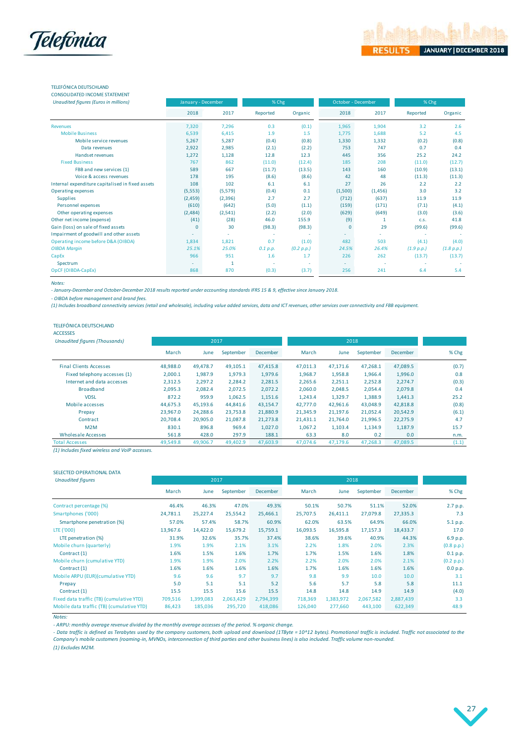

#### TELEFÓNICA DEUTSCHLAND CONSOLIDATED INCOME STATEMENT

| Unaudited figures (Euros in millions)            | January - December |         | % Chg    |            |         | October - December | % Chg      |            |  |
|--------------------------------------------------|--------------------|---------|----------|------------|---------|--------------------|------------|------------|--|
|                                                  | 2018               | 2017    | Reported | Organic    | 2018    | 2017               | Reported   | Organic    |  |
| <b>Revenues</b>                                  | 7.320              | 7,296   | 0.3      | (0.1)      | 1,965   | 1,904              | 3.2        | 2.6        |  |
| <b>Mobile Business</b>                           | 6,539              | 6,415   | 1.9      | 1.5        | 1,775   | 1,688              | 5.2        | 4.5        |  |
| Mobile service revenues                          | 5,267              | 5,287   | (0.4)    | (0.8)      | 1,330   | 1,332              | (0.2)      | (0.8)      |  |
| Data revenues                                    | 2,922              | 2.985   | (2.1)    | (2.2)      | 753     | 747                | 0.7        | 0.4        |  |
| Handset revenues                                 | 1,272              | 1,128   | 12.8     | 12.3       | 445     | 356                | 25.2       | 24.2       |  |
| <b>Fixed Business</b>                            | 767                | 862     | (11.0)   | (12.4)     | 185     | 208                | (11.0)     | (12.7)     |  |
| FBB and new services (1)                         | 589                | 667     | (11.7)   | (13.5)     | 143     | 160                | (10.9)     | (13.1)     |  |
| Voice & access revenues                          | 178                | 195     | (8.6)    | (8.6)      | 42      | 48                 | (11.3)     | (11.3)     |  |
| Internal expenditure capitalised in fixed assets | 108                | 102     | 6.1      | 6.1        | 27      | 26                 | 2.2        | 2.2        |  |
| Operating expenses                               | (5, 553)           | (5,579) | (0.4)    | 0.1        | (1,500) | (1,456)            | 3.0        | 3.2        |  |
| <b>Supplies</b>                                  | (2, 459)           | (2,396) | 2.7      | 2.7        | (712)   | (637)              | 11.9       | 11.9       |  |
| Personnel expenses                               | (610)              | (642)   | (5.0)    | (1.1)      | (159)   | (171)              | (7.1)      | (4.1)      |  |
| Other operating expenses                         | (2,484)            | (2,541) | (2.2)    | (2.0)      | (629)   | (649)              | (3.0)      | (3.6)      |  |
| Other net income (expense)                       | (41)               | (28)    | 46.0     | 155.9      | (9)     | $\mathbf{1}$       | C.S.       | 41.8       |  |
| Gain (loss) on sale of fixed assets              | $\mathbf{0}$       | 30      | (98.3)   | (98.3)     | 0       | 29                 | (99.6)     | (99.6)     |  |
| Impairment of goodwill and other assets          |                    |         |          |            |         | ٠                  |            |            |  |
| Operating income before D&A (OIBDA)              | 1,834              | 1,821   | 0.7      | (1.0)      | 482     | 503                | (4.1)      | (4.0)      |  |
| <b>OIBDA Margin</b>                              | 25.1%              | 25.0%   | 0.1 p.p. | (0.2 p.p.) | 24.5%   | 26.4%              | (1.9 p.p.) | (1.8 p.p.) |  |
| CapEx                                            | 966                | 951     | 1.6      | 1.7        | 226     | 262                | (13.7)     | (13.7)     |  |
| Spectrum                                         | ٠                  | 1       |          | ٠          | ٠       |                    |            |            |  |
| OpCF (OIBDA-CapEx)                               | 868                | 870     | (0.3)    | (3.7)      | 256     | 241                | 6.4        | 5.4        |  |

*Notes:* 

*- January-December and October-December 2018 results reported under accounting standards IFRS 15 & 9, effective since January 2018.*

*- OIBDA before management and brand fees.*

*(1) Includes broadband connectivity services (retail and wholesale), including value added services, data and ICT revenues, other services over connectivity and FBB equipment.*

#### TELEFÓNICA DEUTSCHLAND

### ACCESSES

| <b>Unaudited figures (Thousands)</b> |          | 2017     |           |                 |          |          |           |          |       |
|--------------------------------------|----------|----------|-----------|-----------------|----------|----------|-----------|----------|-------|
|                                      | March    | June     | September | <b>December</b> | March    | June     | September | December | % Chg |
| <b>Final Clients Accesses</b>        | 48.988.0 | 49,478.7 | 49,105.1  | 47,415.8        | 47,011.3 | 47,171.6 | 47,268.1  | 47,089.5 | (0.7) |
| Fixed telephony accesses (1)         | 2,000.1  | 1,987.9  | 1,979.3   | 1,979.6         | 1,968.7  | 1,958.8  | 1,966.4   | 1,996.0  | 0.8   |
| Internet and data accesses           | 2.312.5  | 2.297.2  | 2,284.2   | 2,281.5         | 2.265.6  | 2,251.1  | 2,252.8   | 2.274.7  | (0.3) |
| <b>Broadband</b>                     | 2.095.3  | 2.082.4  | 2,072.5   | 2,072.2         | 2.060.0  | 2.048.5  | 2.054.4   | 2,079.8  | 0.4   |
| <b>VDSL</b>                          | 872.2    | 959.9    | 1,062.5   | 1,151.6         | 1.243.4  | 1,329.7  | 1.388.9   | 1.441.3  | 25.2  |
| Mobile accesses                      | 44.675.3 | 45,193.6 | 44.841.6  | 43,154.7        | 42,777.0 | 42,961.6 | 43.048.9  | 42,818.8 | (0.8) |
| Prepay                               | 23,967.0 | 24,288.6 | 23,753.8  | 21,880.9        | 21,345.9 | 21,197.6 | 21,052.4  | 20,542.9 | (6.1) |
| Contract                             | 20.708.4 | 20,905.0 | 21,087.8  | 21,273.8        | 21,431.1 | 21.764.0 | 21,996.5  | 22,275.9 | 4.7   |
| M2M                                  | 830.1    | 896.8    | 969.4     | 1,027.0         | 1,067.2  | 1,103.4  | 1,134.9   | 1,187.9  | 15.7  |
| Wholesale Accesses                   | 561.8    | 428.0    | 297.9     | 188.1           | 63.3     | 8.0      | 0.2       | 0.0      | n.m.  |
| <b>Total Accesses</b>                | 49.549.8 | 49.906.7 | 49.402.9  | 47,603.9        | 47.074.6 | 47.179.6 | 47.268.3  | 47.089.5 | (1.1) |

*(1) Includes fixed wireless and VoIP accesses.*

### SELECTED OPERATIONAL DATA

| <b>Unaudited figures</b>                  |          | 2017      |           |           |          |           |           |                 |            |
|-------------------------------------------|----------|-----------|-----------|-----------|----------|-----------|-----------|-----------------|------------|
|                                           | March    | June      | September | December  | March    | June      | September | <b>December</b> | % Chg      |
| Contract percentage (%)                   | 46.4%    | 46.3%     | 47.0%     | 49.3%     | 50.1%    | 50.7%     | 51.1%     | 52.0%           | 2.7 p.p.   |
| Smartphones ('000)                        | 24,781.1 | 25,227.4  | 25,554.2  | 25,466.1  | 25,707.5 | 26,411.1  | 27,079.8  | 27,335.3        | 7.3        |
| Smartphone penetration (%)                | 57.0%    | 57.4%     | 58.7%     | 60.9%     | 62.0%    | 63.5%     | 64.9%     | 66.0%           | 5.1 p.p.   |
| LTE ('000)                                | 13.967.6 | 14,422.0  | 15,679.2  | 15,759.1  | 16,093.5 | 16,595.8  | 17,157.3  | 18,433.7        | 17.0       |
| LTE penetration (%)                       | 31.9%    | 32.6%     | 35.7%     | 37.4%     | 38.6%    | 39.6%     | 40.9%     | 44.3%           | 6.9 p.p.   |
| Mobile churn (quarterly)                  | 1.9%     | 1.9%      | 2.1%      | 3.1%      | 2.2%     | 1.8%      | 2.0%      | 2.3%            | (0.8 p.p.) |
| Contract (1)                              | 1.6%     | 1.5%      | 1.6%      | 1.7%      | 1.7%     | 1.5%      | 1.6%      | 1.8%            | 0.1 p.p.   |
| Mobile churn (cumulative YTD)             | 1.9%     | 1.9%      | 2.0%      | 2.2%      | 2.2%     | 2.0%      | 2.0%      | 2.1%            | (0.2 p.p.) |
| Contract (1)                              | 1.6%     | 1.6%      | 1.6%      | 1.6%      | 1.7%     | 1.6%      | 1.6%      | 1.6%            | 0.0 p.p.   |
| Mobile ARPU (EUR)(cumulative YTD)         | 9.6      | 9.6       | 9.7       | 9.7       | 9.8      | 9.9       | 10.0      | 10.0            | 3.1        |
| Prepay                                    | 5.0      | 5.1       | 5.1       | 5.2       | 5.6      | 5.7       | 5.8       | 5.8             | 11.1       |
| Contract (1)                              | 15.5     | 15.5      | 15.6      | 15.5      | 14.8     | 14.8      | 14.9      | 14.9            | (4.0)      |
| Fixed data traffic (TB) (cumulative YTD)  | 709,516  | 1,399,083 | 2,063,429 | 2,794,399 | 718,369  | 1,383,972 | 2,067,582 | 2,887,439       | 3.3        |
| Mobile data traffic (TB) (cumulative YTD) | 86,423   | 185,036   | 295,720   | 418,086   | 126,040  | 277,660   | 443,100   | 622,349         | 48.9       |

*Notes:*

*- ARPU: monthly average revenue divided by the monthly average accesses of the period. % organic change.*

- Data traffic is defined as Terabytes used by the company customers, both upload and download (1TByte = 10^12 bytes). Promotional traffic is included. Traffic not associated to the *Company's mobile customers (roaming-in, MVNOs, interconnection of third parties and other business lines) is also included. Traffic volume non-rounded.*

*(1) Excludes M2M.*

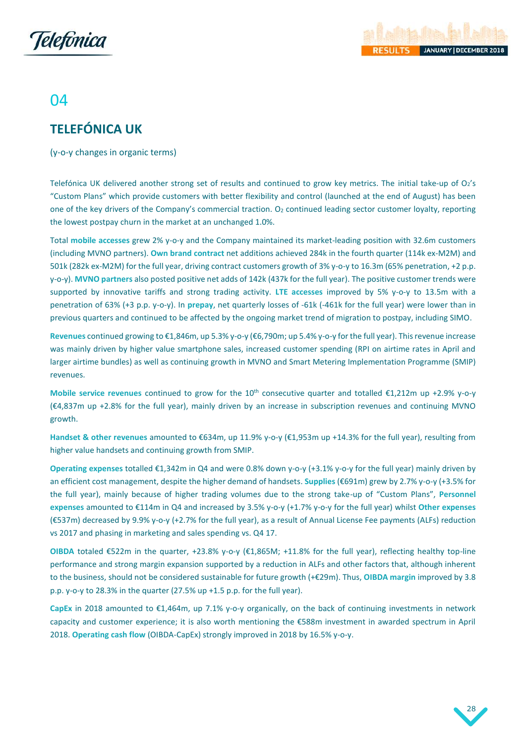



## 04

# <span id="page-28-0"></span>**TELEFÓNICA UK**

(y-o-y changes in organic terms)

Telefónica UK delivered another strong set of results and continued to grow key metrics. The initial take-up of  $O_2$ 's "Custom Plans" which provide customers with better flexibility and control (launched at the end of August) has been one of the key drivers of the Company's commercial traction.  $O_2$  continued leading sector customer loyalty, reporting the lowest postpay churn in the market at an unchanged 1.0%.

Total **mobile accesses** grew 2% y-o-y and the Company maintained its market-leading position with 32.6m customers (including MVNO partners). **Own brand contract** net additions achieved 284k in the fourth quarter (114k ex-M2M) and 501k (282k ex-M2M) for the full year, driving contract customers growth of 3% y-o-y to 16.3m (65% penetration, +2 p.p. y-o-y). **MVNO partners** also posted positive net adds of 142k (437k for the full year). The positive customer trends were supported by innovative tariffs and strong trading activity. **LTE accesses** improved by 5% y-o-y to 13.5m with a penetration of 63% (+3 p.p. y-o-y). In **prepay**, net quarterly losses of -61k (-461k for the full year) were lower than in previous quarters and continued to be affected by the ongoing market trend of migration to postpay, including SIMO.

**Revenues** continued growing to €1,846m, up 5.3% y-o-y (€6,790m; up 5.4% y-o-y for the full year). This revenue increase was mainly driven by higher value smartphone sales, increased customer spending (RPI on airtime rates in April and larger airtime bundles) as well as continuing growth in MVNO and Smart Metering Implementation Programme (SMIP) revenues.

**Mobile service revenues** continued to grow for the 10th consecutive quarter and totalled €1,212m up +2.9% y-o-y (€4,837m up +2.8% for the full year), mainly driven by an increase in subscription revenues and continuing MVNO growth.

**Handset & other revenues** amounted to €634m, up 11.9% y-o-y (€1,953m up +14.3% for the full year), resulting from higher value handsets and continuing growth from SMIP.

**Operating expenses** totalled €1,342m in Q4 and were 0.8% down y-o-y (+3.1% y-o-y for the full year) mainly driven by an efficient cost management, despite the higher demand of handsets. **Supplies** (€691m) grew by 2.7% y-o-y (+3.5% for the full year), mainly because of higher trading volumes due to the strong take-up of "Custom Plans", **Personnel expenses** amounted to €114m in Q4 and increased by 3.5% y-o-y (+1.7% y-o-y for the full year) whilst **Other expenses** (€537m) decreased by 9.9% y-o-y (+2.7% for the full year), as a result of Annual License Fee payments (ALFs) reduction vs 2017 and phasing in marketing and sales spending vs. Q4 17.

**OIBDA** totaled €522m in the quarter, +23.8% y-o-y (€1,865M; +11.8% for the full year), reflecting healthy top-line performance and strong margin expansion supported by a reduction in ALFs and other factors that, although inherent to the business, should not be considered sustainable for future growth (+€29m). Thus, **OIBDA margin** improved by 3.8 p.p. y-o-y to 28.3% in the quarter (27.5% up +1.5 p.p. for the full year).

**CapEx** in 2018 amounted to €1,464m, up 7.1% y-o-y organically, on the back of continuing investments in network capacity and customer experience; it is also worth mentioning the €588m investment in awarded spectrum in April 2018. **Operating cash flow** (OIBDA-CapEx) strongly improved in 2018 by 16.5% y-o-y.

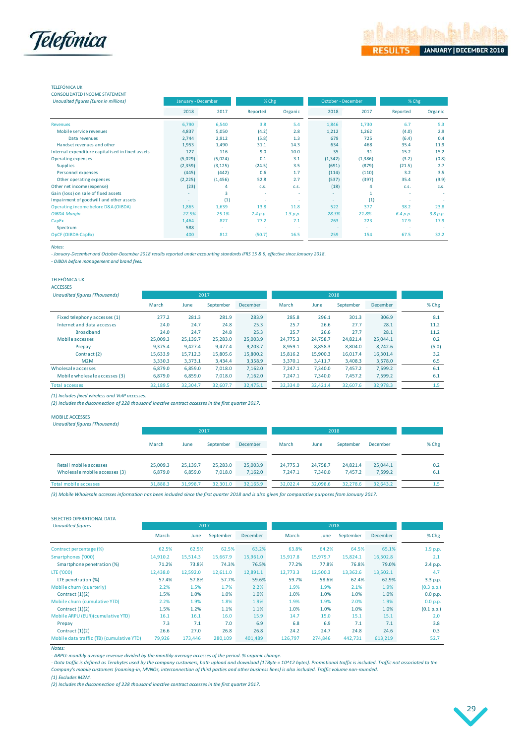

### TELEFÓNICA UK

| <b>CONSOLIDATED INCOME STATEMENT</b>             |         |                    |          |          |                          |                    |          |          |
|--------------------------------------------------|---------|--------------------|----------|----------|--------------------------|--------------------|----------|----------|
| Unaudited figures (Euros in millions)            |         | January - December | % Chg    |          |                          | October - December | % Chg    |          |
|                                                  | 2018    | 2017               | Reported | Organic  | 2018                     | 2017               | Reported | Organic  |
| <b>Revenues</b>                                  | 6,790   | 6,540              | 3.8      | 5.4      | 1,846                    | 1,730              | 6.7      | 5.3      |
| Mobile service revenues                          | 4,837   | 5,050              | (4.2)    | 2.8      | 1,212                    | 1,262              | (4.0)    | 2.9      |
| Data revenues                                    | 2,744   | 2,912              | (5.8)    | 1.3      | 679                      | 725                | (6.4)    | 0.4      |
| Handset revenues and other                       | 1,953   | 1,490              | 31.1     | 14.3     | 634                      | 468                | 35.4     | 11.9     |
| Internal expenditure capitalised in fixed assets | 127     | 116                | 9.0      | 10.0     | 35                       | 31                 | 15.2     | 15.2     |
| Operating expenses                               | (5,029) | (5,024)            | 0.1      | 3.1      | (1, 342)                 | (1, 386)           | (3.2)    | (0.8)    |
| <b>Supplies</b>                                  | (2,359) | (3, 125)           | (24.5)   | 3.5      | (691)                    | (879)              | (21.5)   | 2.7      |
| Personnel expenses                               | (445)   | (442)              | 0.6      | 1.7      | (114)                    | (110)              | 3.2      | 3.5      |
| Other operating expenses                         | (2,225) | (1,456)            | 52.8     | 2.7      | (537)                    | (397)              | 35.4     | (9.9)    |
| Other net income (expense)                       | (23)    | 4                  | C.S.     | C.S.     | (18)                     | 4                  | C.S.     | C.S.     |
| Gain (loss) on sale of fixed assets              |         | 3                  | ٠        | $\sim$   | $\overline{\phantom{a}}$ | 1                  | ٠        |          |
| Impairment of goodwill and other assets          |         | (1)                | ٠        | $\sim$   | $\overline{\phantom{a}}$ | (1)                | ٠        |          |
| Operating income before D&A (OIBDA)              | 1,865   | 1,639              | 13.8     | 11.8     | 522                      | 377                | 38.2     | 23.8     |
| <b>OIBDA Margin</b>                              | 27.5%   | 25.1%              | 2.4 p.p. | 1.5 p.p. | 28.3%                    | 21.8%              | 6.4 p.p. | 3.8 p.p. |
| CapEx                                            | 1,464   | 827                | 77.2     | 7.1      | 263                      | 223                | 17.9     | 17.9     |
| Spectrum                                         | 588     | $\sim$             | ٠        |          |                          | ٠                  | ٠        |          |
| OpCF (OIBDA-CapEx)                               | 400     | 812                | (50.7)   | 16.5     | 259                      | 154                | 67.5     | 32.2     |

*Notes:*

*- January-December and October-December 2018 results reported under accounting standards IFRS 15 & 9, effective since January 2018.*

*- OIBDA before management and brand fees.* 

TELEFÓNICA UK

ACCESSES

| <b>Unaudited figures (Thousands)</b> |          |          | 2017      |          |          |          |           |          |       |
|--------------------------------------|----------|----------|-----------|----------|----------|----------|-----------|----------|-------|
|                                      | March    | June     | September | December | March    | June     | September | December | % Chg |
| Fixed telephony accesses (1)         | 277.2    | 281.3    | 281.9     | 283.9    | 285.8    | 296.1    | 301.3     | 306.9    | 8.1   |
| Internet and data accesses           | 24.0     | 24.7     | 24.8      | 25.3     | 25.7     | 26.6     | 27.7      | 28.1     | 11.2  |
| <b>Broadband</b>                     | 24.0     | 24.7     | 24.8      | 25.3     | 25.7     | 26.6     | 27.7      | 28.1     | 11.2  |
| Mobile accesses                      | 25,009.3 | 25,139.7 | 25,283.0  | 25,003.9 | 24.775.3 | 24.758.7 | 24.821.4  | 25.044.1 | 0.2   |
| Prepay                               | 9.375.4  | 9.427.4  | 9.477.4   | 9.203.7  | 8.959.1  | 8.858.3  | 8.804.0   | 8.742.6  | (5.0) |
| Contract (2)                         | 15.633.9 | 15.712.3 | 15,805.6  | 15,800.2 | 15,816.2 | 15,900.3 | 16.017.4  | 16.301.4 | 3.2   |
| M2M                                  | 3.330.3  | 3.373.1  | 3.434.4   | 3,358.9  | 3.370.1  | 3.411.7  | 3.408.3   | 3,578.0  | 6.5   |
| Wholesale accesses                   | 6.879.0  | 6.859.0  | 7.018.0   | 7.162.0  | 7.247.1  | 7.340.0  | 7.457.2   | 7.599.2  | 6.1   |
| Mobile wholesale accesses (3)        | 6,879.0  | 6,859.0  | 7.018.0   | 7.162.0  | 7.247.1  | 7.340.0  | 7.457.2   | 7,599.2  | 6.1   |
| <b>Total accesses</b>                | 32.189.5 | 32,304.7 | 32,607.7  | 32.475.1 | 32,334.0 | 32,421.4 | 32,607.6  | 32,978.3 | 1.5   |

*(1) Includes fixed wireless and VoIP accesses.*

*(2) Includes the disconnection of 228 thousand inactive contract accesses in the first quarter 2017.*

MOBILE ACCESSES

|                               |          |          | 2017      |          |          |          |           |          |       |
|-------------------------------|----------|----------|-----------|----------|----------|----------|-----------|----------|-------|
|                               | March    | June     | September | December | March    | June     | September | December | % Chg |
| Retail mobile accesses        | 25,009.3 | 25.139.7 | 25.283.0  | 25,003.9 | 24.775.3 | 24.758.7 | 24,821.4  | 25,044.1 | 0.2   |
| Wholesale mobile accesses (3) | 6.879.0  | 6,859.0  | 7.018.0   | 7,162.0  | 7.247.1  | 7.340.0  | 7.457.2   | 7,599.2  | 6.1   |
| Total mobile accesses         | 31.888.3 | 31,998.7 | 32,301.0  | 32,165.9 | 32.022.4 | 32,098.6 | 32,278.6  | 32,643.2 | 1.5   |

*(3) Mobile Wholesale accesses information has been included since the first quarter 2018 and is also given for comparative purposes from January 2017.* 

| SELECTED OPERATIONAL DATA                 |          |          |           |          |          |          |           |          |            |
|-------------------------------------------|----------|----------|-----------|----------|----------|----------|-----------|----------|------------|
| <b>Unaudited figures</b>                  |          | 2017     |           |          |          | 2018     |           |          |            |
|                                           | March    | June     | September | December | March    | June     | September | December | % Chg      |
| Contract percentage (%)                   | 62.5%    | 62.5%    | 62.5%     | 63.2%    | 63.8%    | 64.2%    | 64.5%     | 65.1%    | 1.9 p.p.   |
| Smartphones ('000)                        | 14,910.2 | 15,514.3 | 15,667.9  | 15,961.0 | 15,917.8 | 15,979.7 | 15,824.1  | 16,302.8 | 2.1        |
| Smartphone penetration (%)                | 71.2%    | 73.8%    | 74.3%     | 76.5%    | 77.2%    | 77.8%    | 76.8%     | 79.0%    | 2.4 p.p.   |
| LTE ('000)                                | 12,438.0 | 12,592.0 | 12.611.0  | 12,891.1 | 12.773.3 | 12.500.3 | 13.362.6  | 13,502.1 | 4.7        |
| LTE penetration (%)                       | 57.4%    | 57.8%    | 57.7%     | 59.6%    | 59.7%    | 58.6%    | 62.4%     | 62.9%    | 3.3 p.p.   |
| Mobile churn (quarterly)                  | 2.2%     | 1.5%     | 1.7%      | 2.2%     | 1.9%     | 1.9%     | 2.1%      | 1.9%     | (0.3 p.p.) |
| Contract $(1)(2)$                         | 1.5%     | 1.0%     | 1.0%      | 1.0%     | 1.0%     | 1.0%     | 1.0%      | 1.0%     | 0.0 p.p.   |
| Mobile churn (cumulative YTD)             | 2.2%     | 1.9%     | 1.8%      | 1.9%     | 1.9%     | 1.9%     | 2.0%      | 1.9%     | 0.0 p.p.   |
| Contract $(1)(2)$                         | 1.5%     | 1.2%     | 1.1%      | 1.1%     | 1.0%     | 1.0%     | 1.0%      | 1.0%     | (0.1 p.p.) |
| Mobile ARPU (EUR)(cumulative YTD)         | 16.1     | 16.1     | 16.0      | 15.9     | 14.7     | 15.0     | 15.1      | 15.1     | 2.0        |
| Prepay                                    | 7.3      | 7.1      | 7.0       | 6.9      | 6.8      | 6.9      | 7.1       | 7.1      | 3.8        |
| Contract $(1)(2)$                         | 26.6     | 27.0     | 26.8      | 26.8     | 24.2     | 24.7     | 24.8      | 24.6     | 0.3        |
| Mobile data traffic (TB) (cumulative YTD) | 79,926   | 173,446  | 280,109   | 401,489  | 126,797  | 274.846  | 442,731   | 613,219  | 52.7       |

*Notes:* 

*- ARPU: monthly average revenue divided by the monthly average accesses of the period. % organic change.*

*- Data traffic is defined as Terabytes used by the company customers, both upload and download (1TByte = 10^12 bytes). Promotional traffic is included. Traffic not associated to the Company's mobile customers (roaming-in, MVNOs, interconnection of third parties and other business lines) is also included. Traffic volume non-rounded.*

*(1) Excludes M2M.*

*(2) Includes the disconnection of 228 thousand inactive contract accesses in the first quarter 2017.*

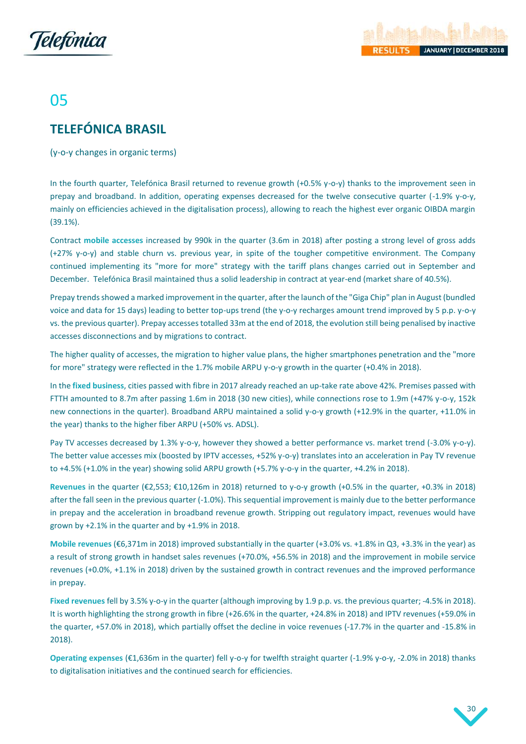



# 05

# <span id="page-30-0"></span>**TELEFÓNICA BRASIL**

(y-o-y changes in organic terms)

In the fourth quarter, Telefónica Brasil returned to revenue growth (+0.5% y-o-y) thanks to the improvement seen in prepay and broadband. In addition, operating expenses decreased for the twelve consecutive quarter (-1.9% y-o-y, mainly on efficiencies achieved in the digitalisation process), allowing to reach the highest ever organic OIBDA margin (39.1%).

Contract **mobile accesses** increased by 990k in the quarter (3.6m in 2018) after posting a strong level of gross adds (+27% y-o-y) and stable churn vs. previous year, in spite of the tougher competitive environment. The Company continued implementing its "more for more" strategy with the tariff plans changes carried out in September and December. Telefónica Brasil maintained thus a solid leadership in contract at year-end (market share of 40.5%).

Prepay trends showed a marked improvement in the quarter, after the launch of the "Giga Chip" plan in August (bundled voice and data for 15 days) leading to better top-ups trend (the y-o-y recharges amount trend improved by 5 p.p. y-o-y vs. the previous quarter). Prepay accesses totalled 33m at the end of 2018, the evolution still being penalised by inactive accesses disconnections and by migrations to contract.

The higher quality of accesses, the migration to higher value plans, the higher smartphones penetration and the "more for more" strategy were reflected in the 1.7% mobile ARPU y-o-y growth in the quarter (+0.4% in 2018).

In the **fixed business**, cities passed with fibre in 2017 already reached an up-take rate above 42%. Premises passed with FTTH amounted to 8.7m after passing 1.6m in 2018 (30 new cities), while connections rose to 1.9m (+47% y-o-y, 152k new connections in the quarter). Broadband ARPU maintained a solid y-o-y growth (+12.9% in the quarter, +11.0% in the year) thanks to the higher fiber ARPU (+50% vs. ADSL).

Pay TV accesses decreased by 1.3% y-o-y, however they showed a better performance vs. market trend (-3.0% y-o-y). The better value accesses mix (boosted by IPTV accesses, +52% y-o-y) translates into an acceleration in Pay TV revenue to +4.5% (+1.0% in the year) showing solid ARPU growth (+5.7% y-o-y in the quarter, +4.2% in 2018).

**Revenues** in the quarter (€2,553; €10,126m in 2018) returned to y-o-y growth (+0.5% in the quarter, +0.3% in 2018) after the fall seen in the previous quarter (-1.0%). This sequential improvement is mainly due to the better performance in prepay and the acceleration in broadband revenue growth. Stripping out regulatory impact, revenues would have grown by +2.1% in the quarter and by +1.9% in 2018.

**Mobile revenues** (€6,371m in 2018) improved substantially in the quarter (+3.0% vs. +1.8% in Q3, +3.3% in the year) as a result of strong growth in handset sales revenues (+70.0%, +56.5% in 2018) and the improvement in mobile service revenues (+0.0%, +1.1% in 2018) driven by the sustained growth in contract revenues and the improved performance in prepay.

**Fixed revenues** fell by 3.5% y-o-y in the quarter (although improving by 1.9 p.p. vs. the previous quarter; -4.5% in 2018). It is worth highlighting the strong growth in fibre (+26.6% in the quarter, +24.8% in 2018) and IPTV revenues (+59.0% in the quarter, +57.0% in 2018), which partially offset the decline in voice revenues (-17.7% in the quarter and -15.8% in 2018).

**Operating expenses** (€1,636m in the quarter) fell y-o-y for twelfth straight quarter (-1.9% y-o-y, -2.0% in 2018) thanks to digitalisation initiatives and the continued search for efficiencies.

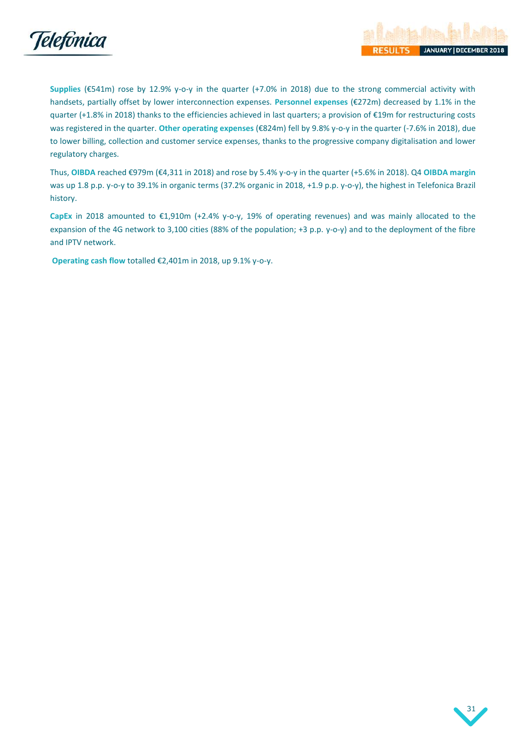

**Supplies** (€541m) rose by 12.9% y-o-y in the quarter (+7.0% in 2018) due to the strong commercial activity with handsets, partially offset by lower interconnection expenses. **Personnel expenses** (€272m) decreased by 1.1% in the quarter (+1.8% in 2018) thanks to the efficiencies achieved in last quarters; a provision of €19m for restructuring costs was registered in the quarter. **Other operating expenses** (€824m) fell by 9.8% y-o-y in the quarter (-7.6% in 2018), due to lower billing, collection and customer service expenses, thanks to the progressive company digitalisation and lower regulatory charges.

Thus, **OIBDA** reached €979m (€4,311 in 2018) and rose by 5.4% y-o-y in the quarter (+5.6% in 2018). Q4 **OIBDA margin** was up 1.8 p.p. y-o-y to 39.1% in organic terms (37.2% organic in 2018, +1.9 p.p. y-o-y), the highest in Telefonica Brazil history.

**CapEx** in 2018 amounted to €1,910m (+2.4% y-o-y, 19% of operating revenues) and was mainly allocated to the expansion of the 4G network to 3,100 cities (88% of the population; +3 p.p. y-o-y) and to the deployment of the fibre and IPTV network.

**Operating cash flow** totalled €2,401m in 2018, up 9.1% y-o-y.

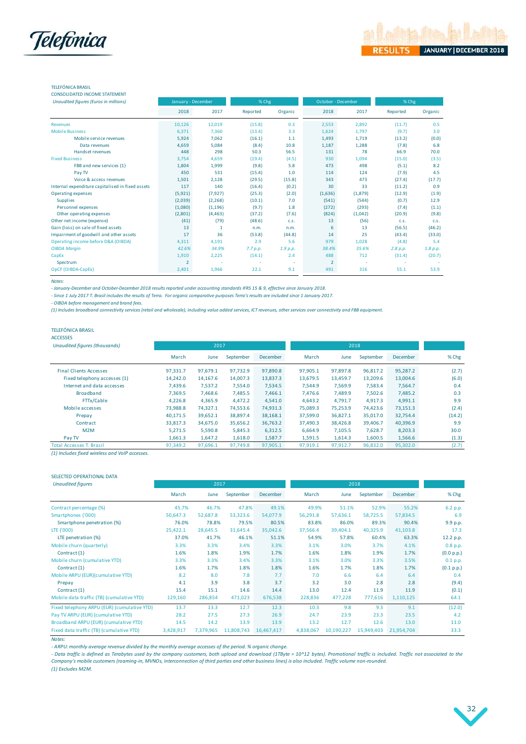

### TELEFÓNICA BRASIL

| <b>CONSOLIDATED INCOME STATEMENT</b>                                                                                                                                                                                           |  |
|--------------------------------------------------------------------------------------------------------------------------------------------------------------------------------------------------------------------------------|--|
| and the contract of the compact of the company of the contract of the contract of the contract of the contract of the contract of the contract of the contract of the contract of the contract of the contract of the contract |  |

| <b>Unaudited figures (Euros in millions)</b>     | January - December |              | % Chg    |          | October - December |         | % Chg    |          |
|--------------------------------------------------|--------------------|--------------|----------|----------|--------------------|---------|----------|----------|
|                                                  | 2018               | 2017         | Reported | Organic  | 2018               | 2017    | Reported | Organic  |
| <b>Revenues</b>                                  | 10,126             | 12.019       | (15.8)   | 0.3      | 2,553              | 2,892   | (11.7)   | 0.5      |
| <b>Mobile Business</b>                           | 6,371              | 7.360        | (13.4)   | 3.3      | 1,624              | 1,797   | (9.7)    | 3.0      |
| Mobile service revenues                          | 5,924              | 7,062        | (16.1)   | $1.1$    | 1,493              | 1,719   | (13.2)   | (0.0)    |
| Data revenues                                    | 4,659              | 5,084        | (8.4)    | 10.8     | 1,187              | 1,288   | (7.8)    | 6.8      |
| Handset revenues                                 | 448                | 298          | 50.3     | 56.5     | 131                | 78      | 66.9     | 70.0     |
| <b>Fixed Business</b>                            | 3,754              | 4.659        | (19.4)   | (4.5)    | 930                | 1,094   | (15.0)   | (3.5)    |
| FBB and new services (1)                         | 1,804              | 1,999        | (9.8)    | 5.8      | 473                | 498     | (5.1)    | 8.2      |
| Pay TV                                           | 450                | 531          | (15.4)   | 1.0      | 114                | 124     | (7.9)    | 4.5      |
| Voice & access revenues                          | 1,501              | 2,128        | (29.5)   | (15.8)   | 343                | 473     | (27.4)   | (17.7)   |
| Internal expenditure capitalised in fixed assets | 117                | 140          | (16.4)   | (0.2)    | 30                 | 33      | (11.2)   | 0.9      |
| Operating expenses                               | (5,921)            | (7, 927)     | (25.3)   | (2.0)    | (1,636)            | (1,879) | (12.9)   | (1.9)    |
| <b>Supplies</b>                                  | (2,039)            | (2, 268)     | (10.1)   | 7.0      | (541)              | (544)   | (0.7)    | 12.9     |
| Personnel expenses                               | (1,080)            | (1, 196)     | (9.7)    | 1.8      | (272)              | (293)   | (7.4)    | (1.1)    |
| Other operating expenses                         | (2,801)            | (4, 463)     | (37.2)   | (7.6)    | (824)              | (1,042) | (20.9)   | (9.8)    |
| Other net income (expense)                       | (41)               | (79)         | (48.6)   | C.S.     | 13                 | (56)    | C.S.     | C.S.     |
| Gain (loss) on sale of fixed assets              | 13                 | $\mathbf{1}$ | n.m.     | n.m.     | 6                  | 13      | (56.5)   | (46.2)   |
| Impairment of goodwill and other assets          | 17                 | 36           | (53.8)   | (44.8)   | 14                 | 25      | (43.4)   | (33.0)   |
| Operating income before D&A (OIBDA)              | 4.311              | 4.191        | 2.9      | 5.6      | 979                | 1,028   | (4.8)    | 5.4      |
| <b>OIBDA Margin</b>                              | 42.6%              | 34.9%        | 7.7 p.p. | 1.9 p.p. | 38.4%              | 35.6%   | 2.8 p.p. | 1.8 p.p. |
| CapEx                                            | 1,910              | 2,225        | (14.1)   | 2.4      | 488                | 712     | (31.4)   | (20.7)   |
| Spectrum                                         | $\overline{2}$     |              |          |          | $\overline{2}$     | ٠       |          |          |
| OpCF (OIBDA-CapEx)                               | 2,401              | 1.966        | 22.1     | 9.1      | 491                | 316     | 55.1     | 53.9     |

*Notes:* 

*- January-December and October-December 2018 results reported under accounting standards IFRS 15 & 9, effective since January 2018.*

*- Since 1 July 2017 T. Brasil includes the results of Terra. For organic comparative purposes Terra's results are included since 1 January 2017.*

*- OIBDA before management and brand fees.*

*(1) Includes broadband connectivity services (retail and wholesale), including value added services, ICT revenues, other services over connectivity and FBB equipment.*

### TELEFÓNICA BRASIL

ACCESSES

| Unaudited figures (thousands) |
|-------------------------------|
|-------------------------------|

| Unaudited figures (thousands)   |          | 2017     |           |                 |          |          | 2018      |          |        |  |  |
|---------------------------------|----------|----------|-----------|-----------------|----------|----------|-----------|----------|--------|--|--|
|                                 | March    | June     | September | <b>December</b> | March    | June     | September | December | % Chg  |  |  |
| <b>Final Clients Accesses</b>   | 97,331.7 | 97,679.1 | 97,732.9  | 97,890.8        | 97,905.1 | 97,897.8 | 96,817.2  | 95,287.2 | (2.7)  |  |  |
| Fixed telephony accesses (1)    | 14,242.0 | 14,167.6 | 14,007.3  | 13,837.3        | 13,679.5 | 13,459.7 | 13,209.6  | 13,004.6 | (6.0)  |  |  |
| Internet and data accesses      | 7,439.6  | 7,537.2  | 7,554.0   | 7,534.5         | 7,544.9  | 7,569.9  | 7,583.4   | 7,564.7  | 0.4    |  |  |
| <b>Broadband</b>                | 7,369.5  | 7,468.6  | 7,485.5   | 7,466.1         | 7,476.6  | 7,489.9  | 7,502.6   | 7,485.2  | 0.3    |  |  |
| FTTx/Cable                      | 4,226.8  | 4,365.9  | 4,472.2   | 4,541.0         | 4,643.2  | 4,791.7  | 4,917.3   | 4,991.1  | 9.9    |  |  |
| Mobile accesses                 | 73.988.8 | 74,327.1 | 74,553.6  | 74,931.3        | 75,089.3 | 75,253.9 | 74,423.6  | 73,151.3 | (2.4)  |  |  |
| Prepay                          | 40,171.5 | 39,652.1 | 38,897.4  | 38,168.1        | 37,599.0 | 36,827.1 | 35,017.0  | 32,754.4 | (14.2) |  |  |
| Contract                        | 33.817.3 | 34,675.0 | 35,656.2  | 36,763.2        | 37,490.3 | 38,426.8 | 39,406.7  | 40,396.9 | 9.9    |  |  |
| M2M                             | 5,271.5  | 5,590.8  | 5,845.3   | 6,312.5         | 6,664.9  | 7,105.5  | 7,628.7   | 8,203.3  | 30.0   |  |  |
| Pay TV                          | 1,661.3  | 1,647.2  | 1,618.0   | 1,587.7         | 1,591.5  | 1,614.3  | 1,600.5   | 1,566.6  | (1.3)  |  |  |
| <b>Total Accesses T. Brasil</b> | 97,349.2 | 97,696.1 | 97,749.8  | 97,905.1        | 97,919.1 | 97,912.7 | 96,832.0  | 95,302.0 | (2.7)  |  |  |
|                                 |          |          |           |                 |          |          |           |          |        |  |  |

*(1) Includes fixed wireless and VoIP accesses.*

#### SELECTED OPERATIONAL DATA

| <b>Unaudited figures</b>                    |           | 2017      |            |            |           |            |            |            |            |
|---------------------------------------------|-----------|-----------|------------|------------|-----------|------------|------------|------------|------------|
|                                             | March     | June      | September  | December   | March     | June       | September  | December   | % Chg      |
| Contract percentage (%)                     | 45.7%     | 46.7%     | 47.8%      | 49.1%      | 49.9%     | 51.1%      | 52.9%      | 55.2%      | 6.2 p.p.   |
| Smartphones ('000)                          | 50,647.3  | 52,687.8  | 53,323.6   | 54,077.9   | 56,291.8  | 57,636.1   | 58,725.5   | 57,834.5   | 6.9        |
| Smartphone penetration (%)                  | 76.0%     | 78.8%     | 79.5%      | 80.5%      | 83.8%     | 86.0%      | 89.3%      | 90.4%      | 9.9 p.p.   |
| LTE ('000)                                  | 25,422.1  | 28,645.5  | 31,645.4   | 35,042.6   | 37,566.4  | 39,404.1   | 40,325.9   | 41,103.8   | 17.3       |
| LTE penetration (%)                         | 37.0%     | 41.7%     | 46.1%      | 51.1%      | 54.9%     | 57.8%      | 60.4%      | 63.3%      | 12.2 p.p.  |
| Mobile churn (quarterly)                    | 3.3%      | 3.3%      | 3.4%       | 3.3%       | 3.1%      | 3.0%       | 3.7%       | 4.1%       | 0.8 p.p.   |
| Contract (1)                                | 1.6%      | 1.8%      | 1.9%       | 1.7%       | 1.6%      | 1.8%       | 1.9%       | 1.7%       | (0.0 p.p.) |
| Mobile churn (cumulative YTD)               | 3.3%      | 3.3%      | 3.4%       | 3.3%       | 3.1%      | 3.0%       | 3.3%       | 3.5%       | 0.1 p.p.   |
| Contract (1)                                | 1.6%      | 1.7%      | 1.8%       | 1.8%       | 1.6%      | 1.7%       | 1.8%       | 1.7%       | (0.1 p.p.) |
| Mobile ARPU (EUR) (cumulative YTD)          | 8.2       | 8.0       | 7.8        | 7.7        | 7.0       | 6.6        | 6.4        | 6.4        | 0.4        |
| Prepay                                      | 4.1       | 3.9       | 3.8        | 3.7        | 3.2       | 3.0        | 2.8        | 2.8        | (9.4)      |
| Contract (1)                                | 15.4      | 15.1      | 14.6       | 14.4       | 13.0      | 12.4       | 11.9       | 11.9       | (0.1)      |
| Mobile data traffic (TB) (cumulative YTD)   | 129,160   | 286,854   | 471,023    | 676,538    | 228,836   | 477,228    | 777,616    | 1,110,125  | 64.1       |
| Fixed telephony ARPU (EUR) (cumulative YTD) | 13.7      | 13.3      | 12.7       | 12.3       | 10.3      | 9.8        | 9.3        | 9.1        | (12.0)     |
| Pay TV ARPU (EUR) (cumulative YTD)          | 28.2      | 27.5      | 27.3       | 26.9       | 24.7      | 23.9       | 23.3       | 23.5       | 4.2        |
| Broadband ARPU (EUR) (cumulative YTD)       | 14.5      | 14.2      | 13.9       | 13.9       | 13.2      | 12.7       | 12.6       | 13.0       | 11.0       |
| Fixed data traffic (TB) (cumulative YTD)    | 3,428,917 | 7,379,965 | 11,808,743 | 16,467,417 | 4,838,067 | 10,190,227 | 15,949,403 | 21,954,704 | 33.3       |
| Notes:                                      |           |           |            |            |           |            |            |            |            |

*- ARPU: monthly average revenue divided by the monthly average accesses of the period. % organic change.*

- Data traffic is defined as Terabytes used by the company customers, both upload and download (1TByte = 10^12 bytes). Promotional traffic is included. Traffic not associated to the *Company's mobile customers (roaming-in, MVNOs, interconnection of third parties and other business lines) is also included. Traffic volume non-rounded.*

*(1) Excludes M2M.*

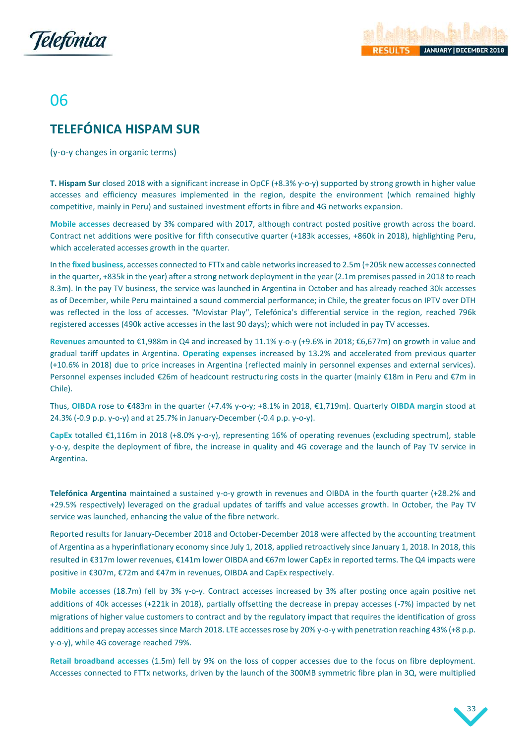



# 06

# <span id="page-33-0"></span>**TELEFÓNICA HISPAM SUR**

(y-o-y changes in organic terms)

**T. Hispam Sur** closed 2018 with a significant increase in OpCF (+8.3% y-o-y) supported by strong growth in higher value accesses and efficiency measures implemented in the region, despite the environment (which remained highly competitive, mainly in Peru) and sustained investment efforts in fibre and 4G networks expansion.

**Mobile accesses** decreased by 3% compared with 2017, although contract posted positive growth across the board. Contract net additions were positive for fifth consecutive quarter (+183k accesses, +860k in 2018), highlighting Peru, which accelerated accesses growth in the quarter.

In the **fixed business**, accesses connected to FTTx and cable networks increased to 2.5m (+205k new accesses connected in the quarter, +835k in the year) after a strong network deployment in the year (2.1m premises passed in 2018 to reach 8.3m). In the pay TV business, the service was launched in Argentina in October and has already reached 30k accesses as of December, while Peru maintained a sound commercial performance; in Chile, the greater focus on IPTV over DTH was reflected in the loss of accesses. "Movistar Play", Telefónica's differential service in the region, reached 796k registered accesses (490k active accesses in the last 90 days); which were not included in pay TV accesses.

**Revenues** amounted to €1,988m in Q4 and increased by 11.1% y-o-y (+9.6% in 2018; €6,677m) on growth in value and gradual tariff updates in Argentina. **Operating expenses** increased by 13.2% and accelerated from previous quarter (+10.6% in 2018) due to price increases in Argentina (reflected mainly in personnel expenses and external services). Personnel expenses included €26m of headcount restructuring costs in the quarter (mainly €18m in Peru and €7m in Chile).

Thus, **OIBDA** rose to €483m in the quarter (+7.4% y-o-y; +8.1% in 2018, €1,719m). Quarterly **OIBDA margin** stood at 24.3% (-0.9 p.p. y-o-y) and at 25.7% in January-December (-0.4 p.p. y-o-y).

**CapEx** totalled €1,116m in 2018 (+8.0% y-o-y), representing 16% of operating revenues (excluding spectrum), stable y-o-y, despite the deployment of fibre, the increase in quality and 4G coverage and the launch of Pay TV service in Argentina.

**Telefónica Argentina** maintained a sustained y-o-y growth in revenues and OIBDA in the fourth quarter (+28.2% and +29.5% respectively) leveraged on the gradual updates of tariffs and value accesses growth. In October, the Pay TV service was launched, enhancing the value of the fibre network.

Reported results for January-December 2018 and October-December 2018 were affected by the accounting treatment of Argentina as a hyperinflationary economy since July 1, 2018, applied retroactively since January 1, 2018. In 2018, this resulted in €317m lower revenues, €141m lower OIBDA and €67m lower CapEx in reported terms. The Q4 impacts were positive in €307m, €72m and €47m in revenues, OIBDA and CapEx respectively.

**Mobile accesses** (18.7m) fell by 3% y-o-y. Contract accesses increased by 3% after posting once again positive net additions of 40k accesses (+221k in 2018), partially offsetting the decrease in prepay accesses (-7%) impacted by net migrations of higher value customers to contract and by the regulatory impact that requires the identification of gross additions and prepay accesses since March 2018. LTE accesses rose by 20% y-o-y with penetration reaching 43% (+8 p.p. y-o-y), while 4G coverage reached 79%.

**Retail broadband accesses** (1.5m) fell by 9% on the loss of copper accesses due to the focus on fibre deployment. Accesses connected to FTTx networks, driven by the launch of the 300MB symmetric fibre plan in 3Q, were multiplied

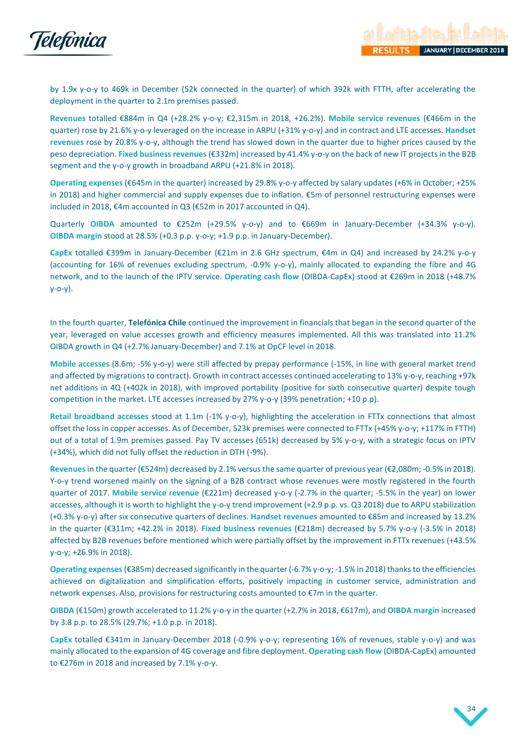

by 1.9x y-o-y to 469k in December (52k connected in the quarter) of which 392k with FTTH, after accelerating the deployment in the quarter to 2.1m premises passed.

**Revenues** totalled €884m in Q4 (+28.2% y-o-y; €2,315m in 2018, +26.2%). **Mobile service revenues** (€466m in the quarter) rose by 21.6% y-o-y leveraged on the increase in ARPU (+31% y-o-y) and in contract and LTE accesses. **Handset revenues** rose by 20.8% y-o-y, although the trend has slowed down in the quarter due to higher prices caused by the peso depreciation. **Fixed business revenues** (€332m) increased by 41.4% y-o-y on the back of new IT projects in the B2B segment and the y-o-y growth in broadband ARPU (+21.8% in 2018).

**Operating expenses** (€645m in the quarter) increased by 29.8% y-o-y affected by salary updates (+6% in October; +25% in 2018) and higher commercial and supply expenses due to inflation. €5m of personnel restructuring expenses were included in 2018, €4m accounted in Q3 (€52m in 2017 accounted in Q4).

Quarterly **OIBDA** amounted to €252m (+29.5% y-o-y) and to €669m in January-December (+34.3% y-o-y). **OIBDA margin** stood at 28.5% (+0.3 p.p. y-o-y; +1.9 p.p. in January-December).

**CapEx** totalled €399m in January-December (€21m in 2.6 GHz spectrum, €4m in Q4) and increased by 24.2% y-o-y (accounting for 16% of revenues excluding spectrum, -0.9% y-o-y), mainly allocated to expanding the fibre and 4G network, and to the launch of the IPTV service. **Operating cash flow** (OIBDA-CapEx) stood at €269m in 2018 (+48.7% y-o-y).

In the fourth quarter, **Telefónica Chile** continued the improvement in financials that began in the second quarter of the year, leveraged on value accesses growth and efficiency measures implemented. All this was translated into 11.2% OIBDA growth in Q4 (+2.7% January-December) and 7.1% at OpCF level in 2018.

**Mobile accesses** (8.6m; -5% y-o-y) were still affected by prepay performance (-15%, in line with general market trend and affected by migrations to contract). Growth in contract accesses continued accelerating to 13% y-o-y, reaching +97k net additions in 4Q (+402k in 2018), with improved portability (positive for sixth consecutive quarter) despite tough competition in the market. LTE accesses increased by 27% y-o-y (39% penetration; +10 p.p).

**Retail broadband accesses** stood at 1.1m (-1% y-o-y), highlighting the acceleration in FTTx connections that almost offset the loss in copper accesses. As of December, 523k premises were connected to FTTx (+45% y-o-y; +117% in FTTH) out of a total of 1.9m premises passed. Pay TV accesses (651k) decreased by 5% y-o-y, with a strategic focus on IPTV (+34%), which did not fully offset the reduction in DTH (-9%).

**Revenues** in the quarter (€524m) decreased by 2.1% versusthe same quarter of previous year (€2,080m; -0.5% in 2018). Y-o-y trend worsened mainly on the signing of a B2B contract whose revenues were mostly registered in the fourth quarter of 2017. **Mobile service revenue** (€221m) decreased y-o-y (-2.7% in the quarter; -5.5% in the year) on lower accesses, although it is worth to highlight the y-o-y trend improvement (+2.9 p.p. vs. Q3 2018) due to ARPU stabilization (+0.3% y-o-y) after six consecutive quarters of declines. **Handset revenues** amounted to €85m and increased by 13.2% in the quarter (€311m; +42.2% in 2018). **Fixed business revenues** (€218m) decreased by 5.7% y-o-y (-3.5% in 2018) affected by B2B revenues before mentioned which were partially offset by the improvement in FTTx revenues (+43.5% y-o-y; +26.9% in 2018).

**Operating expenses**(€385m) decreased significantly in the quarter (-6.7% y-o-y; -1.5% in 2018) thanks to the efficiencies achieved on digitalization and simplification efforts, positively impacting in customer service, administration and network expenses. Also, provisions for restructuring costs amounted to €7m in the quarter.

**OIBDA** (€150m) growth accelerated to 11.2% y-o-y in the quarter (+2.7% in 2018, €617m), and **OIBDA margin** increased by 3.8 p.p. to 28.5% (29.7%; +1.0 p.p. in 2018).

**CapEx** totalled €341m in January-December 2018 (-0.9% y-o-y; representing 16% of revenues, stable y-o-y) and was mainly allocated to the expansion of 4G coverage and fibre deployment. **Operating cash flow** (OIBDA-CapEx) amounted to €276m in 2018 and increased by 7.1% y-o-y.

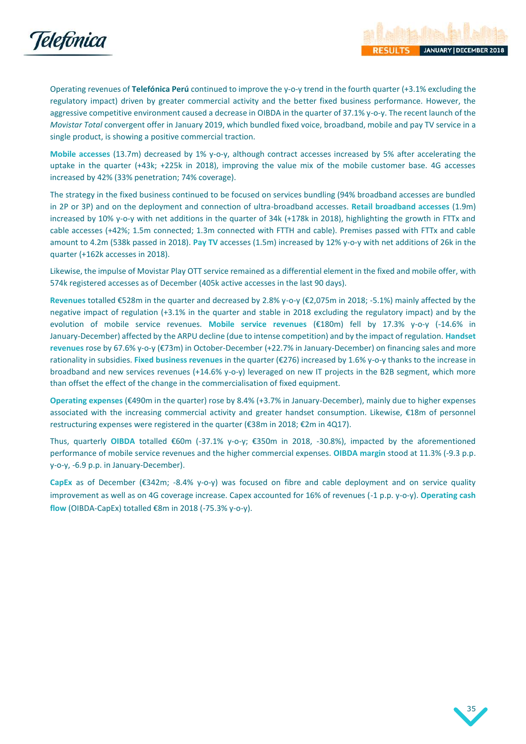

Operating revenues of **Telefónica Perú** continued to improve the y-o-y trend in the fourth quarter (+3.1% excluding the regulatory impact) driven by greater commercial activity and the better fixed business performance. However, the aggressive competitive environment caused a decrease in OIBDA in the quarter of 37.1% y-o-y. The recent launch of the *Movistar Total* convergent offer in January 2019, which bundled fixed voice, broadband, mobile and pay TV service in a single product, is showing a positive commercial traction.

**Mobile accesses** (13.7m) decreased by 1% y-o-y, although contract accesses increased by 5% after accelerating the uptake in the quarter (+43k; +225k in 2018), improving the value mix of the mobile customer base. 4G accesses increased by 42% (33% penetration; 74% coverage).

The strategy in the fixed business continued to be focused on services bundling (94% broadband accesses are bundled in 2P or 3P) and on the deployment and connection of ultra-broadband accesses. **Retail broadband accesses** (1.9m) increased by 10% y-o-y with net additions in the quarter of 34k (+178k in 2018), highlighting the growth in FTTx and cable accesses (+42%; 1.5m connected; 1.3m connected with FTTH and cable). Premises passed with FTTx and cable amount to 4.2m (538k passed in 2018). **Pay TV** accesses (1.5m) increased by 12% y-o-y with net additions of 26k in the quarter (+162k accesses in 2018).

Likewise, the impulse of Movistar Play OTT service remained as a differential element in the fixed and mobile offer, with 574k registered accesses as of December (405k active accesses in the last 90 days).

**Revenues** totalled €528m in the quarter and decreased by 2.8% y-o-y (€2,075m in 2018; -5.1%) mainly affected by the negative impact of regulation (+3.1% in the quarter and stable in 2018 excluding the regulatory impact) and by the evolution of mobile service revenues. **Mobile service revenues** (€180m) fell by 17.3% y-o-y (-14.6% in January-December) affected by the ARPU decline (due to intense competition) and by the impact of regulation. **Handset revenues** rose by 67.6% y-o-y (€73m) in October-December (+22.7% in January-December) on financing sales and more rationality in subsidies. **Fixed business revenues** in the quarter (€276) increased by 1.6% y-o-y thanks to the increase in broadband and new services revenues (+14.6% y-o-y) leveraged on new IT projects in the B2B segment, which more than offset the effect of the change in the commercialisation of fixed equipment.

**Operating expenses** (€490m in the quarter) rose by 8.4% (+3.7% in January-December), mainly due to higher expenses associated with the increasing commercial activity and greater handset consumption. Likewise, €18m of personnel restructuring expenses were registered in the quarter (€38m in 2018; €2m in 4Q17).

Thus, quarterly **OIBDA** totalled €60m (-37.1% y-o-y; €350m in 2018, -30.8%), impacted by the aforementioned performance of mobile service revenues and the higher commercial expenses. **OIBDA margin** stood at 11.3% (-9.3 p.p. y-o-y, -6.9 p.p. in January-December).

**CapEx** as of December (€342m; -8.4% y-o-y) was focused on fibre and cable deployment and on service quality improvement as well as on 4G coverage increase. Capex accounted for 16% of revenues (-1 p.p. y-o-y). **Operating cash flow** (OIBDA-CapEx) totalled €8m in 2018 (-75.3% y-o-y).

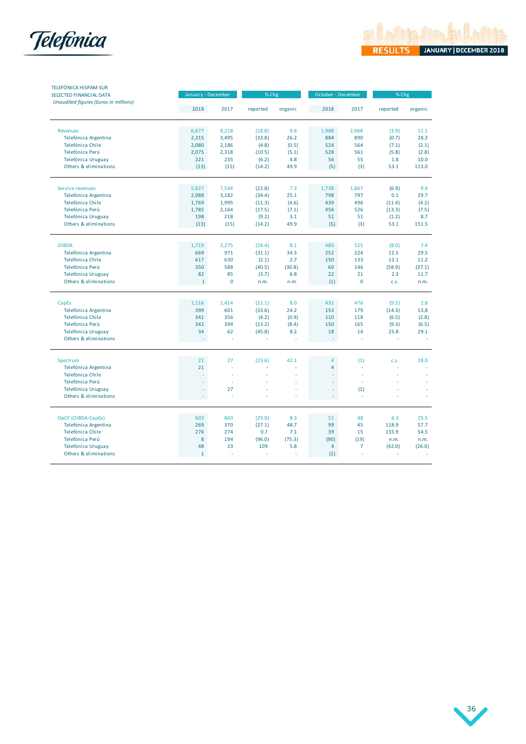



| <b>TELEFÓNICA HISPAM SUR</b><br>SELECTED FINANCIAL DATA | January - December |             | % Chg    |         | October - December |                | % Chg    |         |
|---------------------------------------------------------|--------------------|-------------|----------|---------|--------------------|----------------|----------|---------|
| Unaudited figures (Euros in millions)                   | 2018               | 2017        | reported | organic | 2018               | 2017           | reported | organic |
| <b>Revenues</b>                                         | 6,677              | 8,218       | (18.8)   | 9.6     | 1,988              | 2,068          | (3.9)    | 11.1    |
| Telefónica Argentina                                    | 2,315              | 3,495       | (33.8)   | 26.2    | 884                | 890            | (0.7)    | 28.2    |
| Telefónica Chile                                        | 2,080              | 2,186       | (4.8)    | (0.5)   | 524                | 564            | (7.1)    | (2.1)   |
| Telefónica Perú                                         | 2,075              | 2,318       | (10.5)   | (5.1)   | 528                | 561            | (5.8)    | (2.8)   |
| Telefónica Uruguay                                      | 221                | 235         | (6.2)    | 4.8     | 56                 | 55             | 1.8      | 10.0    |
| Others & eliminations                                   | (13)               | (15)        | (14.2)   | 49.9    | (5)                | (3)            | 53.1     | 113.0   |
| Service revenues                                        | 5,827              | 7.544       | (22.8)   | 7.3     | 1.738              | 1,867          | (6.9)    | 9.4     |
| Telefónica Argentina                                    | 2,088              | 3,182       | (34.4)   | 25.1    | 798                | 797            | 0.1      | 29.7    |
| Telefónica Chile                                        | 1,769              | 1,995       | (11.3)   | (4.6)   | 439                | 496            | (11.4)   | (4.2)   |
| Telefónica Perú                                         | 1,785              | 2,164       | (17.5)   | (7.1)   | 456                | 526            | (13.3)   | (7.5)   |
| Telefónica Uruguay                                      | 198                | 218         | (9.2)    | 3.1     | 51                 | 51             | (1.2)    | 8.7     |
| Others & eliminations                                   | (13)               | (15)        | (14.2)   | 49.9    | (5)                | (3)            | 53.1     | 151.5   |
| <b>OIBDA</b>                                            | 1,719              | 2,275       | (24.4)   | 8.1     | 483                | 525            | (8.0)    | 7.4     |
| Telefónica Argentina                                    | 669                | 971         | (31.1)   | 34.3    | 252                | 224            | 12.5     | 29.5    |
| Telefónica Chile                                        | 617                | 630         | (2.1)    | 2.7     | 150                | 133            | 12.1     | 11.2    |
| Telefónica Perú                                         | 350                | 588         | (40.5)   | (30.8)  | 60                 | 146            | (58.9)   | (37.1)  |
| Telefónica Uruguay                                      | 82                 | 85          | (3.7)    | 6.8     | 22                 | 21             | 2.3      | 11.7    |
| Others & eliminations                                   | $\mathbf{1}$       | $\mathbf 0$ | n.m.     | n.m.    | (1)                | $\mathbf 0$    | C.S.     | n.m.    |
| CapEx                                                   | 1.116              | 1,414       | (21.1)   | 8.0     | 431                | 476            | (9.5)    | 2.8     |
| Telefónica Argentina                                    | 399                | 601         | (33.6)   | 24.2    | 153                | 179            | (14.3)   | 13.8    |
| Telefónica Chile                                        | 341                | 356         | (4.2)    | (0.9)   | 110                | 118            | (6.5)    | (2.8)   |
| Telefónica Perú                                         | 342                | 394         | (13.2)   | (8.4)   | 150                | 165            | (9.3)    | (6.5)   |
| Telefónica Uruguay                                      | 34                 | 62          | (45.8)   | 8.2     | 18                 | 14             | 25.8     | 29.1    |
| Others & eliminations                                   | ł,                 | J.          | ä,       |         | ÷,                 | ź              | í,       | ÷.      |
| Spectrum                                                | 21                 | 27          | (23.6)   | 42.1    | $\overline{4}$     | (1)            | C.S.     | 28.0    |
| Telefónica Argentina                                    | 21                 | ÷           |          |         | $\overline{4}$     | ä,             |          |         |
| Telefónica Chile                                        | ä,                 | J.          |          |         |                    | ä,             |          |         |
| Telefónica Perú                                         |                    | ÷           |          |         |                    | ä,             |          |         |
| Telefónica Uruguay                                      | ä,                 | 27          |          |         | ä,                 | (1)            |          |         |
| Others & eliminations                                   | ÷,                 |             |          |         | ÷                  | ä,             |          |         |
| OpCF (OIBDA-CapEx)                                      | 603                | 860         | (29.9)   | 8.3     | 51                 | 48             | 6.3      | 25.5    |
| Telefónica Argentina                                    | 269                | 370         | (27.1)   | 48.7    | 99                 | 45             | 118.9    | 57.7    |
| Telefónica Chile                                        | 276                | 274         | 0.7      | 7.1     | 39                 | 15             | 155.9    | 54.5    |
| Telefónica Perú                                         | 8                  | 194         | (96.0)   | (75.3)  | (90)               | (19)           | n.m.     | n.m.    |
| Telefónica Uruguay                                      | 48                 | 23          | 109      | 5.8     | $\overline{4}$     | $\overline{7}$ | (42.0)   | (26.0)  |
| Others & eliminations                                   | $\mathbf{1}$       |             |          |         | (1)                |                |          |         |

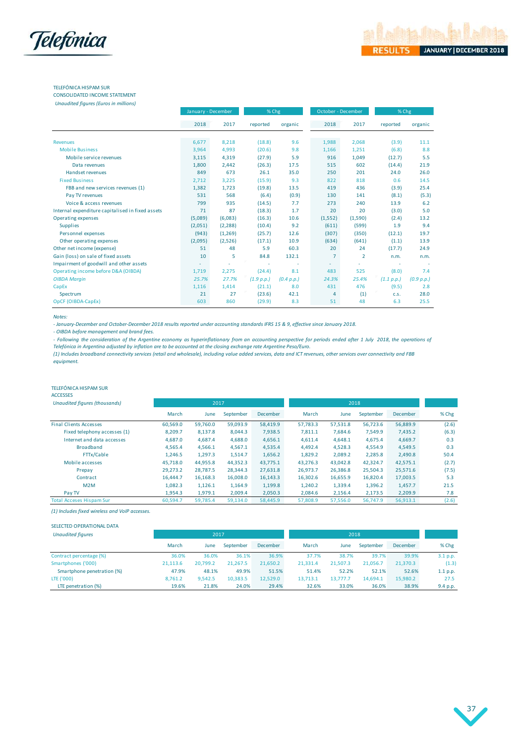

## TELEFÓNICA HISPAM SUR

CONSOLIDATED INCOME STATEMENT *Unaudited figures (Euros in millions)*

| <i>Chaudited figures</i> ( <i>Laros in millions)</i> | January - December |          | % Chg      |            | October - December |                | % Chg      |            |
|------------------------------------------------------|--------------------|----------|------------|------------|--------------------|----------------|------------|------------|
|                                                      |                    |          |            |            |                    |                |            |            |
|                                                      | 2018               | 2017     | reported   | organic    | 2018               | 2017           | reported   | organic    |
| Revenues                                             | 6,677              | 8,218    | (18.8)     | 9.6        | 1,988              | 2,068          | (3.9)      | 11.1       |
| <b>Mobile Business</b>                               | 3,964              | 4,993    | (20.6)     | 9.8        | 1,166              | 1,251          | (6.8)      | 8.8        |
| Mobile service revenues                              | 3,115              | 4,319    | (27.9)     | 5.9        | 916                | 1,049          | (12.7)     | 5.5        |
| Data revenues                                        | 1,800              | 2,442    | (26.3)     | 17.5       | 515                | 602            | (14.4)     | 21.9       |
| Handset revenues                                     | 849                | 673      | 26.1       | 35.0       | 250                | 201            | 24.0       | 26.0       |
| <b>Fixed Business</b>                                | 2,712              | 3,225    | (15.9)     | 9.3        | 822                | 818            | 0.6        | 14.5       |
| FBB and new services revenues (1)                    | 1,382              | 1,723    | (19.8)     | 13.5       | 419                | 436            | (3.9)      | 25.4       |
| Pay TV revenues                                      | 531                | 568      | (6.4)      | (0.9)      | 130                | 141            | (8.1)      | (5.3)      |
| Voice & access revenues                              | 799                | 935      | (14.5)     | 7.7        | 273                | 240            | 13.9       | 6.2        |
| Internal expenditure capitalised in fixed assets     | 71                 | 87       | (18.3)     | 1.7        | 20                 | 20             | (3.0)      | 5.0        |
| Operating expenses                                   | (5,089)            | (6,083)  | (16.3)     | 10.6       | (1,552)            | (1,590)        | (2.4)      | 13.2       |
| <b>Supplies</b>                                      | (2,051)            | (2, 288) | (10.4)     | 9.2        | (611)              | (599)          | 1.9        | 9.4        |
| Personnel expenses                                   | (943)              | (1, 269) | (25.7)     | 12.6       | (307)              | (350)          | (12.1)     | 19.7       |
| Other operating expenses                             | (2,095)            | (2,526)  | (17.1)     | 10.9       | (634)              | (641)          | (1.1)      | 13.9       |
| Other net income (expense)                           | 51                 | 48       | 5.9        | 60.3       | 20                 | 24             | (17.7)     | 24.9       |
| Gain (loss) on sale of fixed assets                  | 10                 | 5        | 84.8       | 132.1      | 7                  | $\overline{2}$ | n.m.       | n.m.       |
| Impairment of goodwill and other assets              |                    |          |            |            | ٠                  |                |            |            |
| Operating income before D&A (OIBDA)                  | 1,719              | 2,275    | (24.4)     | 8.1        | 483                | 525            | (8.0)      | 7.4        |
| <b>OIBDA Margin</b>                                  | 25.7%              | 27.7%    | (1.9 p.p.) | (0.4 p.p.) | 24.3%              | 25.4%          | (1.1 p.p.) | (0.9 p.p.) |
| CapEx                                                | 1,116              | 1,414    | (21.1)     | 8.0        | 431                | 476            | (9.5)      | 2.8        |
| Spectrum                                             | 21                 | 27       | (23.6)     | 42.1       | 4                  | (1)            | C.S.       | 28.0       |
| OpCF (OIBDA-CapEx)                                   | 603                | 860      | (29.9)     | 8.3        | 51                 | 48             | 6.3        | 25.5       |

*Notes:*

*- January-December and October-December 2018 results reported under accounting standards IFRS 15 & 9, effective since January 2018.*

*- OIBDA before management and brand fees.*

- Following the consideration of the Argentine economy as hyperinflationary from an accounting perspective for periods ended after 1 July 2018, the operations of *Telefónica in Argentina adjusted by inflation are to be accounted at the closing exchange rate Argentine Peso/Euro.*

*(1) Includes broadband connectivity services (retail and wholesale), including value added services, data and ICT revenues, other services over connectivity and FBB equipment.*

#### TELEFÓNICA HISPAM SUR

ACCESSES

| Unaudited figures (thousands)   |          | 2017     |           |          |          |          |           |          |       |
|---------------------------------|----------|----------|-----------|----------|----------|----------|-----------|----------|-------|
|                                 | March    | June     | September | December | March    | June     | September | December | % Chg |
| <b>Final Clients Accesses</b>   | 60.569.0 | 59.760.0 | 59,093.9  | 58.419.9 | 57.783.3 | 57,531.8 | 56.723.6  | 56,889.9 | (2.6) |
| Fixed telephony accesses (1)    | 8,209.7  | 8,137.8  | 8,044.3   | 7,938.5  | 7,811.1  | 7,684.6  | 7,549.9   | 7,435.2  | (6.3) |
| Internet and data accesses      | 4.687.0  | 4,687.4  | 4,688.0   | 4,656.1  | 4,611.4  | 4,648.1  | 4,675.4   | 4,669.7  | 0.3   |
| <b>Broadband</b>                | 4,565.4  | 4,566.1  | 4,567.1   | 4,535.4  | 4.492.4  | 4,528.3  | 4,554.9   | 4.549.5  | 0.3   |
| FTTx/Cable                      | 1,246.5  | 1,297.3  | 1,514.7   | 1,656.2  | 1,829.2  | 2,089.2  | 2,285.8   | 2,490.8  | 50.4  |
| Mobile accesses                 | 45.718.0 | 44.955.8 | 44,352.3  | 43.775.1 | 43.276.3 | 43,042.8 | 42,324.7  | 42,575.1 | (2.7) |
| Prepay                          | 29,273.2 | 28.787.5 | 28,344.3  | 27,631.8 | 26,973.7 | 26,386.8 | 25,504.3  | 25,571.6 | (7.5) |
| Contract                        | 16.444.7 | 16,168.3 | 16,008.0  | 16,143.3 | 16,302.6 | 16,655.9 | 16,820.4  | 17,003.5 | 5.3   |
| M2M                             | 1.082.3  | 1,126.1  | 1,164.9   | 1,199.8  | 1,240.2  | 1,339.4  | 1,396.2   | 1,457.7  | 21.5  |
| Pay TV                          | 1,954.3  | 1,979.1  | 2,009.4   | 2,050.3  | 2,084.6  | 2,156.4  | 2,173.5   | 2,209.9  | 7.8   |
| <b>Total Acceses Hispam Sur</b> | 60,594.7 | 59,785.4 | 59,134.0  | 58,445.9 | 57,808.9 | 57,556.0 | 56,747.9  | 56,913.1 | (2.6) |

*(1) Includes fixed wireless and VoIP accesses.*

| SELECTED OPERATIONAL DATA  |          |          |           |                 |          |          |           |          |          |
|----------------------------|----------|----------|-----------|-----------------|----------|----------|-----------|----------|----------|
| <b>Unaudited figures</b>   |          | 2017     |           |                 |          | 2018     |           |          |          |
|                            | March    | June     | September | <b>December</b> | March    | June     | September | December | % Chg    |
| Contract percentage (%)    | 36.0%    | 36.0%    | 36.1%     | 36.9%           | 37.7%    | 38.7%    | 39.7%     | 39.9%    | 3.1 p.p. |
| Smartphones ('000)         | 21,113.6 | 20,799.2 | 21.267.5  | 21,650.2        | 21,331.4 | 21,507.3 | 21,056.7  | 21,370.3 | (1.3)    |
| Smartphone penetration (%) | 47.9%    | 48.1%    | 49.9%     | 51.5%           | 51.4%    | 52.2%    | 52.1%     | 52.6%    | 1.1 p.p. |
| LTE ('000)                 | 8,761.2  | 9.542.5  | 10.383.5  | 12.529.0        | 13,713.1 | 13.777.7 | 14.694.1  | 15,980.2 | 27.5     |
| LTE penetration (%)        | 19.6%    | 21.8%    | 24.0%     | 29.4%           | 32.6%    | 33.0%    | 36.0%     | 38.9%    | 9.4 p.p. |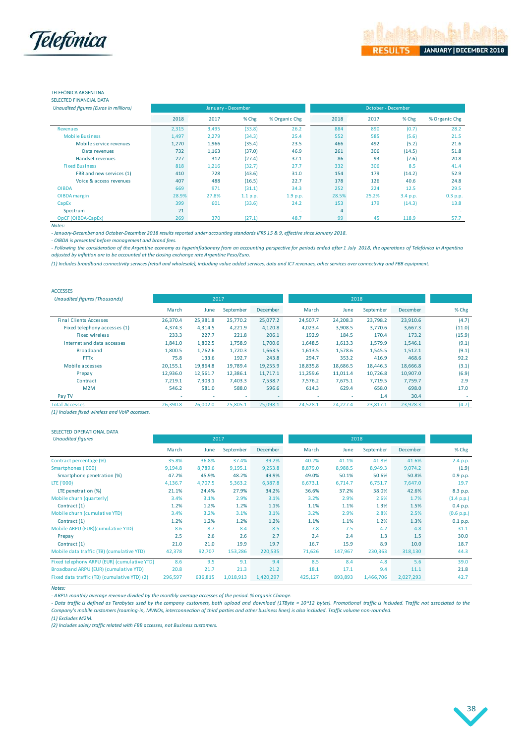

38

## TELEFÓNICA ARGENTINA

SELECTED FINANCIAL DATA

| Unaudited figures (Euros in millions) |       | January - December |          |               | October - December |       |          |               |  |
|---------------------------------------|-------|--------------------|----------|---------------|--------------------|-------|----------|---------------|--|
|                                       | 2018  | 2017               | % Chg    | % Organic Chg | 2018               | 2017  | $%$ Chg  | % Organic Chg |  |
| <b>Revenues</b>                       | 2,315 | 3,495              | (33.8)   | 26.2          | 884                | 890   | (0.7)    | 28.2          |  |
| <b>Mobile Business</b>                | 1,497 | 2,279              | (34.3)   | 25.4          | 552                | 585   | (5.6)    | 21.5          |  |
| Mobile service revenues               | 1,270 | 1,966              | (35.4)   | 23.5          | 466                | 492   | (5.2)    | 21.6          |  |
| Data revenues                         | 732   | 1,163              | (37.0)   | 46.9          | 261                | 306   | (14.5)   | 51.8          |  |
| Handset revenues                      | 227   | 312                | (27.4)   | 37.1          | 86                 | 93    | (7.6)    | 20.8          |  |
| <b>Fixed Business</b>                 | 818   | 1,216              | (32.7)   | 27.7          | 332                | 306   | 8.5      | 41.4          |  |
| FBB and new services (1)              | 410   | 728                | (43.6)   | 31.0          | 154                | 179   | (14.2)   | 52.9          |  |
| Voice & access revenues               | 407   | 488                | (16.5)   | 22.7          | 178                | 126   | 40.6     | 24.8          |  |
| <b>OIBDA</b>                          | 669   | 971                | (31.1)   | 34.3          | 252                | 224   | 12.5     | 29.5          |  |
| OIBDA margin                          | 28.9% | 27.8%              | 1.1 p.p. | 1.9 p.p.      | 28.5%              | 25.2% | 3.4 p.p. | 0.3 p.p.      |  |
| CapEx                                 | 399   | 601                | (33.6)   | 24.2          | 153                | 179   | (14.3)   | 13.8          |  |
| Spectrum                              | 21    |                    |          | ٠             | 4                  | ٠     |          |               |  |
| OpCF (OIBDA-CapEx)                    | 269   | 370                | (27.1)   | 48.7          | 99                 | 45    | 118.9    | 57.7          |  |
| Notes:                                |       |                    |          |               |                    |       |          |               |  |

*- January-December and October-December 2018 results reported under accounting standards IFRS 15 & 9, effective since January 2018.*

*- OIBDA is presented before management and brand fees.*

- Following the consideration of the Argentine economy as hyperinflationary from an accounting perspective for periods ended after 1 July 2018, the operations of Telefónica in Argentina *adjusted by inflation are to be accounted at the closing exchange rate Argentine Peso/Euro.*

*(1) Includes broadband connectivity services (retail and wholesale), including value added services, data and ICT revenues, other services over connectivity and FBB equipment.*

| <b>ACCESSES</b>                      |                          |          |           |          |          |          |           |                 |        |
|--------------------------------------|--------------------------|----------|-----------|----------|----------|----------|-----------|-----------------|--------|
| <b>Unaudited figures (Thousands)</b> |                          | 2017     |           |          |          |          |           |                 |        |
|                                      | March                    | June     | September | December | March    | June     | September | <b>December</b> | % Chg  |
| <b>Final Clients Accesses</b>        | 26,370.4                 | 25,981.8 | 25,770.2  | 25,077.2 | 24,507.7 | 24,208.3 | 23,798.2  | 23,910.6        | (4.7)  |
| Fixed telephony accesses (1)         | 4.374.3                  | 4.314.5  | 4,221.9   | 4,120.8  | 4,023.4  | 3.908.5  | 3.770.6   | 3.667.3         | (11.0) |
| <b>Fixed wireless</b>                | 233.3                    | 227.7    | 221.8     | 206.1    | 192.9    | 184.5    | 170.4     | 173.2           | (15.9) |
| Internet and data accesses           | 1,841.0                  | 1,802.5  | 1,758.9   | 1,700.6  | 1,648.5  | 1,613.3  | 1,579.9   | 1,546.1         | (9.1)  |
| <b>Broadband</b>                     | 1,800.5                  | 1,762.6  | 1,720.3   | 1,663.5  | 1,613.5  | 1,578.6  | 1,545.5   | 1,512.1         | (9.1)  |
| <b>FTTx</b>                          | 75.8                     | 133.6    | 192.7     | 243.8    | 294.7    | 353.2    | 416.9     | 468.6           | 92.2   |
| Mobile accesses                      | 20.155.1                 | 19.864.8 | 19.789.4  | 19.255.9 | 18.835.8 | 18.686.5 | 18.446.3  | 18,666.8        | (3.1)  |
| Prepay                               | 12,936.0                 | 12,561.7 | 12,386.1  | 11,717.1 | 11,259.6 | 11,011.4 | 10,726.8  | 10,907.0        | (6.9)  |
| Contract                             | 7.219.1                  | 7,303.1  | 7,403.3   | 7,538.7  | 7.576.2  | 7,675.1  | 7,719.5   | 7,759.7         | 2.9    |
| M2M                                  | 546.2                    | 581.0    | 588.0     | 596.6    | 614.3    | 629.4    | 658.0     | 698.0           | 17.0   |
| Pay TV                               | $\overline{\phantom{a}}$ |          |           | $\sim$   | ۰        |          | 1.4       | 30.4            |        |
| <b>Total Accesses</b>                | 26.390.8                 | 26.002.0 | 25,805.1  | 25.098.1 | 24.528.1 | 24.227.4 | 23.817.1  | 23.928.3        | (4.7)  |

*(1) Includes fixed wireless and VoIP accesses.*

SELECTED OPERATIONAL DATA

| <b>Unaudited figures</b>                     |         | 2017    |           |                 |         |         |           |                 |            |
|----------------------------------------------|---------|---------|-----------|-----------------|---------|---------|-----------|-----------------|------------|
|                                              | March   | June    | September | <b>December</b> | March   | June    | September | <b>December</b> | % Chg      |
| Contract percentage (%)                      | 35.8%   | 36.8%   | 37.4%     | 39.2%           | 40.2%   | 41.1%   | 41.8%     | 41.6%           | 2.4 p.p.   |
| Smartphones ('000)                           | 9,194.8 | 8,789.6 | 9,195.1   | 9,253.8         | 8,879.0 | 8,988.5 | 8,949.3   | 9,074.2         | (1.9)      |
| Smartphone penetration (%)                   | 47.2%   | 45.9%   | 48.2%     | 49.9%           | 49.0%   | 50.1%   | 50.6%     | 50.8%           | 0.9 p.p.   |
| LTE ('000)                                   | 4,136.7 | 4.707.5 | 5,363.2   | 6,387.8         | 6,673.1 | 6,714.7 | 6,751.7   | 7,647.0         | 19.7       |
| LTE penetration (%)                          | 21.1%   | 24.4%   | 27.9%     | 34.2%           | 36.6%   | 37.2%   | 38.0%     | 42.6%           | 8.3 p.p.   |
| Mobile churn (quarterly)                     | 3.4%    | 3.1%    | 2.9%      | 3.1%            | 3.2%    | 2.9%    | 2.6%      | 1.7%            | (1.4 p.p.) |
| Contract (1)                                 | 1.2%    | 1.2%    | 1.2%      | 1.1%            | 1.1%    | 1.1%    | 1.3%      | 1.5%            | 0.4 p.p.   |
| Mobile churn (cumulative YTD)                | 3.4%    | 3.2%    | 3.1%      | 3.1%            | 3.2%    | 2.9%    | 2.8%      | 2.5%            | (0.6 p.p.) |
| Contract (1)                                 | 1.2%    | 1.2%    | 1.2%      | 1.2%            | 1.1%    | 1.1%    | 1.2%      | 1.3%            | 0.1 p.p.   |
| Mobile ARPU (EUR) (cumulative YTD)           | 8.6     | 8.7     | 8.4       | 8.5             | 7.8     | 7.5     | 4.2       | 4.8             | 31.1       |
| Prepay                                       | 2.5     | 2.6     | 2.6       | 2.7             | 2.4     | 2.4     | 1.3       | 1.5             | 30.0       |
| Contract (1)                                 | 21.0    | 21.0    | 19.9      | 19.7            | 16.7    | 15.9    | 8.9       | 10.0            | 18.7       |
| Mobile data traffic (TB) (cumulative YTD)    | 42,378  | 92,707  | 153,286   | 220,535         | 71,626  | 147,967 | 230,363   | 318,130         | 44.3       |
| Fixed telephony ARPU (EUR) (cumulative YTD)  | 8.6     | 9.5     | 9.1       | 9.4             | 8.5     | 8.4     | 4.8       | 5.6             | 39.0       |
| Broadband ARPU (EUR) (cumulative YTD)        | 20.8    | 21.7    | 21.3      | 21.2            | 18.1    | 17.1    | 9.4       | 11.1            | 21.8       |
| Fixed data traffic (TB) (cumulative YTD) (2) | 296,597 | 636,815 | 1,018,913 | 1,420,297       | 425,127 | 893,893 | 1,466,706 | 2,027,293       | 42.7       |

*Notes:*

*- ARPU: monthly average revenue divided by the monthly average accesses of the period. % organic Change.*

- Data traffic is defined as Terabytes used by the company customers, both upload and download (1TByte = 10^12 bytes). Promotional traffic is included. Traffic not associated to the *Company's mobile customers (roaming-in, MVNOs, interconnection of third parties and other business lines) is also included. Traffic volume non-rounded.*

*(1) Excludes M2M.*

*(2) Includes solely traffic related with FBB accesses, not Business customers.*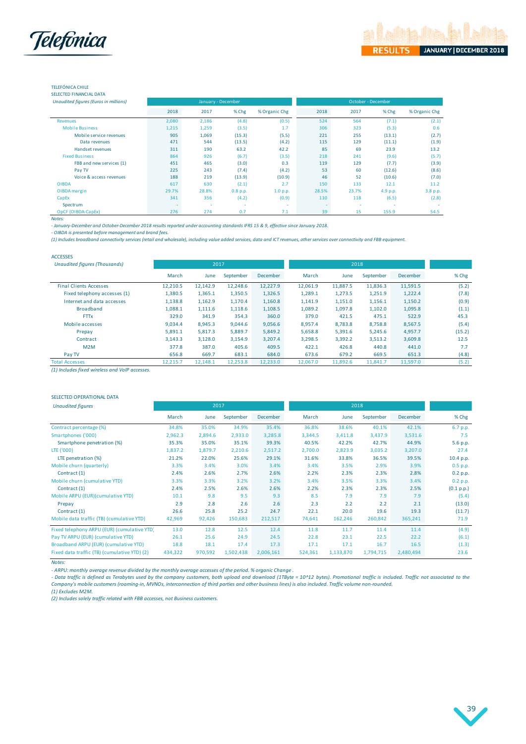

### TELEFÓNICA CHILE

|  | SELECTED FINANCIAL DATA |  |  |
|--|-------------------------|--|--|
|  |                         |  |  |

| Unaudited figures (Euros in millions) |        |       | January - December |               | October - December |        |          |               |  |
|---------------------------------------|--------|-------|--------------------|---------------|--------------------|--------|----------|---------------|--|
|                                       | 2018   | 2017  | % Chg              | % Organic Chg | 2018               | 2017   | % Chg    | % Organic Chg |  |
| <b>Revenues</b>                       | 2,080  | 2,186 | (4.8)              | (0.5)         | 524                | 564    | (7.1)    | (2.1)         |  |
| <b>Mobile Business</b>                | 1,215  | 1,259 | (3.5)              | 1.7           | 306                | 323    | (5.3)    | 0.6           |  |
| Mobile service revenues               | 905    | 1,069 | (15.3)             | (5.5)         | 221                | 255    | (13.1)   | (2.7)         |  |
| Data revenues                         | 471    | 544   | (13.5)             | (4.2)         | 115                | 129    | (11.1)   | (1.9)         |  |
| <b>Handset revenues</b>               | 311    | 190   | 63.2               | 42.2          | 85                 | 69     | 23.9     | 13.2          |  |
| <b>Fixed Business</b>                 | 864    | 926   | (6.7)              | (3.5)         | 218                | 241    | (9.6)    | (5.7)         |  |
| FBB and new services (1)              | 451    | 465   | (3.0)              | 0.3           | 119                | 129    | (7.7)    | (3.9)         |  |
| Pay TV                                | 225    | 243   | (7.4)              | (4.2)         | 53                 | 60     | (12.6)   | (8.6)         |  |
| Voice & access revenues               | 188    | 219   | (13.9)             | (10.9)        | 46                 | 52     | (10.6)   | (7.0)         |  |
| <b>OIBDA</b>                          | 617    | 630   | (2.1)              | 2.7           | 150                | 133    | 12.1     | 11.2          |  |
| OIBDA margin                          | 29.7%  | 28.8% | 0.8 p.p.           | 1.0 p.p.      | 28.5%              | 23.7%  | 4.9 p.p. | 3.8 p.p.      |  |
| CapEx                                 | 341    | 356   | (4.2)              | (0.9)         | 110                | 118    | (6.5)    | (2.8)         |  |
| Spectrum                              | $\sim$ | ٠     | ٠                  | $\sim$        |                    | $\sim$ | ٠        |               |  |
| OpCF (OIBDA-CapEx)                    | 276    | 274   | 0.7                | 7.1           | 39                 | 15     | 155.9    | 54.5          |  |

*Notes:*

*- January-December and October-December 2018 results reported under accounting standards IFRS 15 & 9, effective since January 2018.*

*- OIBDA is presented before management and brand fees.*

*(1) Includes broadband connectivity services (retail and wholesale), including value added services, data and ICT revenues, other services over connectivity and FBB equipment.*

| <b>ACCESSES</b>                      |          |          |           |                 |          |          |           |                 |        |
|--------------------------------------|----------|----------|-----------|-----------------|----------|----------|-----------|-----------------|--------|
| <b>Unaudited figures (Thousands)</b> |          | 2017     |           |                 |          | 2018     |           |                 |        |
|                                      | March    | June     | September | <b>December</b> | March    | June     | September | <b>December</b> | % Chg  |
| <b>Final Clients Accesses</b>        | 12,210.5 | 12,142.9 | 12,248.6  | 12,227.9        | 12,061.9 | 11,887.5 | 11,836.3  | 11,591.5        | (5.2)  |
| Fixed telephony accesses (1)         | 1,380.5  | 1,365.1  | 1,350.5   | 1,326.5         | 1,289.1  | 1,273.5  | 1,251.9   | 1,222.4         | (7.8)  |
| Internet and data accesses           | 1,138.8  | 1,162.9  | 1,170.4   | 1,160.8         | 1,141.9  | 1,151.0  | 1,156.1   | 1,150.2         | (0.9)  |
| <b>Broadband</b>                     | 1,088.1  | 1,111.6  | 1,118.6   | 1,108.5         | 1,089.2  | 1,097.8  | 1,102.0   | 1,095.8         | (1.1)  |
| <b>FTTx</b>                          | 329.0    | 341.9    | 354.3     | 360.0           | 379.0    | 421.5    | 475.1     | 522.9           | 45.3   |
| Mobile accesses                      | 9,034.4  | 8,945.3  | 9,044.6   | 9,056.6         | 8,957.4  | 8,783.8  | 8,758.8   | 8,567.5         | (5.4)  |
| Prepay                               | 5,891.1  | 5,817.3  | 5,889.7   | 5,849.2         | 5,658.8  | 5,391.6  | 5,245.6   | 4,957.7         | (15.2) |
| Contract                             | 3,143.3  | 3,128.0  | 3,154.9   | 3,207.4         | 3,298.5  | 3,392.2  | 3,513.2   | 3,609.8         | 12.5   |
| M2M                                  | 377.8    | 387.0    | 405.6     | 409.5           | 422.1    | 426.8    | 440.8     | 441.0           | 7.7    |
| Pay TV                               | 656.8    | 669.7    | 683.1     | 684.0           | 673.6    | 679.2    | 669.5     | 651.3           | (4.8)  |
| <b>Total Accesses</b>                | 12.215.7 | 12.148.1 | 12,253.8  | 12,233.0        | 12.067.0 | 11,892.6 | 11.841.7  | 11.597.0        | (5.2)  |

*(1) Includes fixed wireless and VoIP accesses.*

#### SELECTED OPERATIONAL DATA

| <b>Unaudited figures</b>                     | 2017    |         |           |                 | 2018    |           |           |           |            |
|----------------------------------------------|---------|---------|-----------|-----------------|---------|-----------|-----------|-----------|------------|
|                                              | March   | June    | September | <b>December</b> | March   | June      | September | December  | % Chg      |
| Contract percentage (%)                      | 34.8%   | 35.0%   | 34.9%     | 35.4%           | 36.8%   | 38.6%     | 40.1%     | 42.1%     | 6.7 p.p.   |
| Smartphones ('000)                           | 2,962.3 | 2,894.6 | 2,933.0   | 3,285.8         | 3,344.5 | 3,411.8   | 3,437.9   | 3,531.6   | 7.5        |
| Smartphone penetration (%)                   | 35.3%   | 35.0%   | 35.1%     | 39.3%           | 40.5%   | 42.2%     | 42.7%     | 44.9%     | 5.6 p.p.   |
| LTE ('000)                                   | 1,837.2 | 1,879.7 | 2,210.6   | 2,517.2         | 2,700.0 | 2,823.9   | 3,035.2   | 3,207.0   | 27.4       |
| LTE penetration (%)                          | 21.2%   | 22.0%   | 25.6%     | 29.1%           | 31.6%   | 33.8%     | 36.5%     | 39.5%     | 10.4 p.p.  |
| Mobile churn (quarterly)                     | 3.3%    | 3.4%    | 3.0%      | 3.4%            | 3.4%    | 3.5%      | 2.9%      | 3.9%      | $0.5$ p.p. |
| Contract (1)                                 | 2.4%    | 2.6%    | 2.7%      | 2.6%            | 2.2%    | 2.3%      | 2.3%      | 2.8%      | 0.2 p.p.   |
| Mobile churn (cumulative YTD)                | 3.3%    | 3.3%    | 3.2%      | 3.2%            | 3.4%    | 3.5%      | 3.3%      | 3.4%      | 0.2 p.p.   |
| Contract (1)                                 | 2.4%    | 2.5%    | 2.6%      | 2.6%            | 2.2%    | 2.3%      | 2.3%      | 2.5%      | (0.1 p.p.) |
| Mobile ARPU (EUR)(cumulative YTD)            | 10.1    | 9.8     | 9.5       | 9.3             | 8.5     | 7.9       | 7.9       | 7.9       | (5.4)      |
| Prepay                                       | 2.9     | 2.8     | 2.6       | 2.6             | 2.3     | 2.2       | 2.2       | 2.1       | (13.0)     |
| Contract (1)                                 | 26.6    | 25.8    | 25.2      | 24.7            | 22.1    | 20.0      | 19.6      | 19.3      | (11.7)     |
| Mobile data traffic (TB) (cumulative YTD)    | 42,969  | 92,426  | 150,683   | 212,517         | 74,641  | 162,246   | 260,842   | 365,241   | 71.9       |
| Fixed telephony ARPU (EUR) (cumulative YTD)  | 13.0    | 12.8    | 12.5      | 12.4            | 11.8    | 11.7      | 11.4      | 11.4      | (4.9)      |
| Pay TV ARPU (EUR) (cumulative YTD)           | 26.1    | 25.6    | 24.9      | 24.5            | 22.8    | 23.1      | 22.5      | 22.2      | (6.1)      |
| Broadband ARPU (EUR) (cumulative YTD)        | 18.8    | 18.1    | 17.4      | 17.3            | 17.1    | 17.1      | 16.7      | 16.5      | (1.3)      |
| Fixed data traffic (TB) (cumulative YTD) (2) | 434,322 | 970,592 | 1,502,438 | 2,006,161       | 524,361 | 1,133,870 | 1,794,715 | 2,480,494 | 23.6       |

*Notes:*

*- ARPU: monthly average revenue divided by the monthly average accesses of the period. % organic Change .*

- Data traffic is defined as Terabytes used by the company customers, both upload and download (1TByte = 10^12 bytes). Promotional traffic is included. Traffic not associated to the *Company's mobile customers (roaming-in, MVNOs, interconnection of third parties and other business lines) is also included. Traffic volume non-rounded.*

(1) Excludes M2M.<br>(2) Includes solely traffic related with FBB accesses, not Business customers.

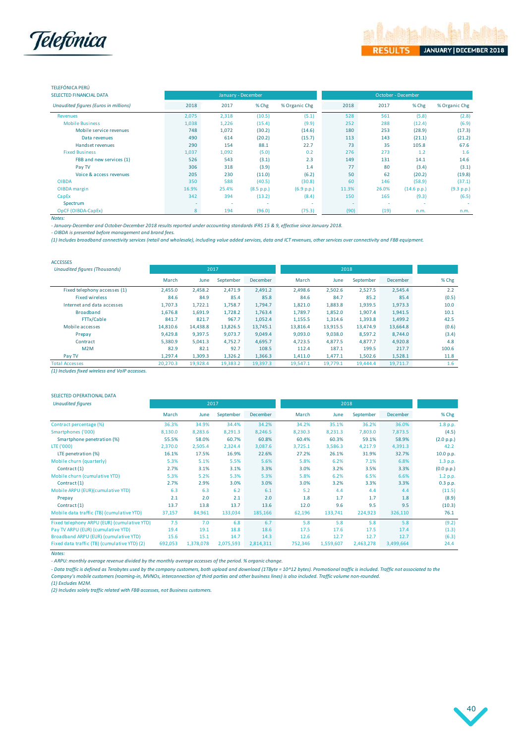

### TELEFÓNICA PERÚ

| SELECTED FINANCIAL DATA               |       |       | January - December |               | October - December |       |             |               |  |  |
|---------------------------------------|-------|-------|--------------------|---------------|--------------------|-------|-------------|---------------|--|--|
| Unaudited figures (Euros in millions) | 2018  | 2017  | % Chg              | % Organic Chg | 2018               | 2017  | % Chg       | % Organic Chg |  |  |
| <b>Revenues</b>                       | 2,075 | 2,318 | (10.5)             | (5.1)         | 528                | 561   | (5.8)       | (2.8)         |  |  |
| <b>Mobile Business</b>                | 1,038 | 1,226 | (15.4)             | (9.9)         | 252                | 288   | (12.4)      | (6.9)         |  |  |
| Mobile service revenues               | 748   | 1,072 | (30.2)             | (14.6)        | 180                | 253   | (28.9)      | (17.3)        |  |  |
| Data revenues                         | 490   | 614   | (20.2)             | (15.7)        | 113                | 143   | (21.1)      | (21.2)        |  |  |
| Handset revenues                      | 290   | 154   | 88.1               | 22.7          | 73                 | 35    | 105.8       | 67.6          |  |  |
| <b>Fixed Business</b>                 | 1,037 | 1,092 | (5.0)              | 0.2           | 276                | 273   | 1.2         | 1.6           |  |  |
| FBB and new services (1)              | 526   | 543   | (3.1)              | 2.3           | 149                | 131   | 14.1        | 14.6          |  |  |
| Pay TV                                | 306   | 318   | (3.9)              | 1.4           | 77                 | 80    | (3.4)       | (3.1)         |  |  |
| Voice & access revenues               | 205   | 230   | (11.0)             | (6.2)         | 50                 | 62    | (20.2)      | (19.8)        |  |  |
| <b>OIBDA</b>                          | 350   | 588   | (40.5)             | (30.8)        | 60                 | 146   | (58.9)      | (37.1)        |  |  |
| OIBDA margin                          | 16.9% | 25.4% | (8.5 p.p.)         | (6.9 p.p.)    | 11.3%              | 26.0% | (14.6 p.p.) | (9.3 p.p.)    |  |  |
| CapEx                                 | 342   | 394   | (13.2)             | (8.4)         | 150                | 165   | (9.3)       | (6.5)         |  |  |
| Spectrum                              |       |       |                    |               |                    |       | ٠           |               |  |  |
| OpCF (OIBDA-CapEx)                    | 8     | 194   | (96.0)             | (75.3)        | (90)               | (19)  | n.m.        | n.m.          |  |  |

*Notes:*

*- January-December and October-December 2018 results reported under accounting standards IFRS 15 & 9, effective since January 2018.*

*- OIBDA is presented before management and brand fees.*

*(1) Includes broadband connectivity services (retail and wholesale), including value added services, data and ICT revenues, other services over connectivity and FBB equipment.*

| <b>ACCESSES</b>                      |          |          |           |                 |          |          |           |          |       |
|--------------------------------------|----------|----------|-----------|-----------------|----------|----------|-----------|----------|-------|
| <b>Unaudited figures (Thousands)</b> |          | 2017     |           |                 |          | 2018     |           |          |       |
|                                      | March    | June     | September | <b>December</b> | March    | June     | September | December | % Chg |
| Fixed telephony accesses (1)         | 2,455.0  | 2,458.2  | 2,471.9   | 2,491.2         | 2.498.6  | 2,502.6  | 2,527.5   | 2,545.4  | 2.2   |
| <b>Fixed wireless</b>                | 84.6     | 84.9     | 85.4      | 85.8            | 84.6     | 84.7     | 85.2      | 85.4     | (0.5) |
| Internet and data accesses           | 1.707.3  | 1,722.1  | 1,758.7   | 1,794.7         | 1,821.0  | 1,883.8  | 1,939.5   | 1,973.3  | 10.0  |
| <b>Broadband</b>                     | 1,676.8  | 1,691.9  | 1,728.2   | 1,763.4         | 1,789.7  | 1,852.0  | 1,907.4   | 1,941.5  | 10.1  |
| FTTx/Cable                           | 841.7    | 821.7    | 967.7     | 1,052.4         | 1,155.5  | 1.314.6  | 1,393.8   | 1.499.2  | 42.5  |
| Mobile accesses                      | 14,810.6 | 14.438.8 | 13.826.5  | 13.745.1        | 13,816.4 | 13.915.5 | 13.474.9  | 13,664.8 | (0.6) |
| Prepay                               | 9,429.8  | 9,397.5  | 9,073.7   | 9,049.4         | 9,093.0  | 9,038.0  | 8,597.2   | 8,744.0  | (3.4) |
| Contract                             | 5.380.9  | 5.041.3  | 4,752.7   | 4,695.7         | 4,723.5  | 4.877.5  | 4.877.7   | 4,920.8  | 4.8   |
| M2M                                  | 82.9     | 82.1     | 92.7      | 108.5           | 112.4    | 187.1    | 199.5     | 217.7    | 100.6 |
| Pay TV                               | 1,297.4  | 1,309.3  | 1,326.2   | 1,366.3         | 1,411.0  | 1,477.1  | 1,502.6   | 1,528.1  | 11.8  |
| <b>Total Accesses</b>                | 20,270.3 | 19,928.4 | 19,383.2  | 19,397.3        | 19,547.1 | 19,779.1 | 19,444.4  | 19,711.7 | 1.6   |

*(1) Includes fixed wireless and VoIP accesses.*

#### SELECTED OPERATIONAL DATA

| <b>Unaudited figures</b>                     |         | 2017      |           |           |         | 2018      |           |           |            |
|----------------------------------------------|---------|-----------|-----------|-----------|---------|-----------|-----------|-----------|------------|
|                                              | March   | June      | September | December  | March   | June      | September | December  | % Chg      |
| Contract percentage (%)                      | 36.3%   | 34.9%     | 34.4%     | 34.2%     | 34.2%   | 35.1%     | 36.2%     | 36.0%     | 1.8 p.p.   |
| Smartphones ('000)                           | 8,130.0 | 8,283.6   | 8,291.3   | 8,246.5   | 8,230.3 | 8,231.3   | 7,803.0   | 7,873.5   | (4.5)      |
| Smartphone penetration (%)                   | 55.5%   | 58.0%     | 60.7%     | 60.8%     | 60.4%   | 60.3%     | 59.1%     | 58.9%     | (2.0 p.p.) |
| LTE ('000)                                   | 2,370.0 | 2,505.4   | 2,324.4   | 3,087.6   | 3,725.1 | 3,586.3   | 4,217.9   | 4,391.3   | 42.2       |
| LTE penetration (%)                          | 16.1%   | 17.5%     | 16.9%     | 22.6%     | 27.2%   | 26.1%     | 31.9%     | 32.7%     | 10.0 p.p.  |
| Mobile churn (quarterly)                     | 5.3%    | 5.1%      | 5.5%      | 5.6%      | 5.8%    | 6.2%      | 7.1%      | 6.8%      | $1.3$ p.p. |
| Contract (1)                                 | 2.7%    | 3.1%      | 3.1%      | 3.3%      | 3.0%    | 3.2%      | 3.5%      | 3.3%      | (0.0 p.p.) |
| Mobile churn (cumulative YTD)                | 5.3%    | 5.2%      | 5.3%      | 5.3%      | 5.8%    | 6.2%      | 6.5%      | 6.6%      | 1.2 p.p.   |
| Contract (1)                                 | 2.7%    | 2.9%      | 3.0%      | 3.0%      | 3.0%    | 3.2%      | 3.3%      | 3.3%      | $0.3$ p.p. |
| Mobile ARPU (EUR)(cumulative YTD)            | 6.3     | 6.3       | 6.2       | 6.1       | 5.2     | 4.4       | 4.4       | 4.4       | (11.5)     |
| Prepay                                       | 2.1     | 2.0       | 2.1       | 2.0       | 1.8     | 1.7       | 1.7       | 1.8       | (8.9)      |
| Contract (1)                                 | 13.7    | 13.8      | 13.7      | 13.6      | 12.0    | 9.6       | 9.5       | 9.5       | (10.3)     |
| Mobile data traffic (TB) (cumulative YTD)    | 37,157  | 84,961    | 133,034   | 185,166   | 62,196  | 133,741   | 224,923   | 326,110   | 76.1       |
| Fixed telephony ARPU (EUR) (cumulative YTD)  | 7.5     | 7.0       | 6.8       | 6.7       | 5.8     | 5.8       | 5.8       | 5.8       | (9.2)      |
| Pay TV ARPU (EUR) (cumulative YTD)           | 19.4    | 19.1      | 18.8      | 18.6      | 17.5    | 17.6      | 17.5      | 17.4      | (1.3)      |
| Broadband ARPU (EUR) (cumulative YTD)        | 15.6    | 15.1      | 14.7      | 14.3      | 12.6    | 12.7      | 12.7      | 12.7      | (6.3)      |
| Fixed data traffic (TB) (cumulative YTD) (2) | 692,053 | 1,378,078 | 2,075,593 | 2,814,311 | 752,346 | 1,559,607 | 2,463,278 | 3,499,664 | 24.4       |

*Notes:*

*- ARPU: monthly average revenue divided by the monthly average accesses of the period. % organic change.*

- Data traffic is defined as Terabytes used by the company customers, both upload and download (1TByte = 10^12 bytes). Promotional traffic is included. Traffic not associated to the<br>Company's mobile customers (roaming-in,

*(1) Excludes M2M.*

*(2) Includes solely traffic related with FBB accesses, not Business customers.*

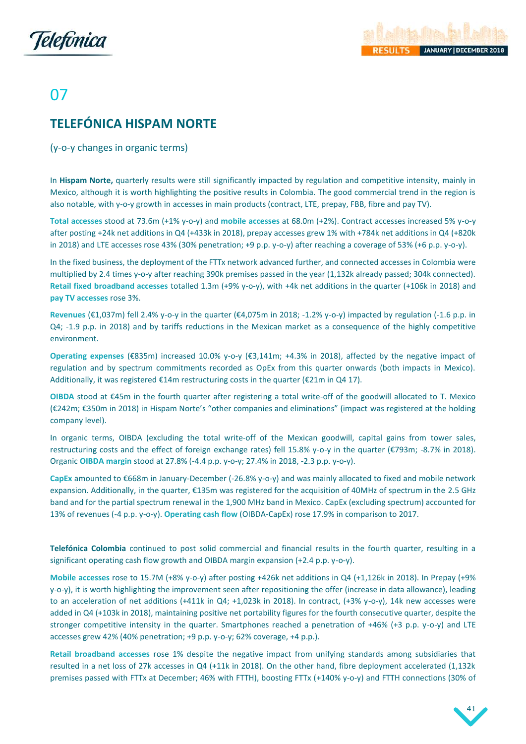



# 07

# <span id="page-41-0"></span>**TELEFÓNICA HISPAM NORTE**

(y-o-y changes in organic terms)

In **Hispam Norte,** quarterly results were still significantly impacted by regulation and competitive intensity, mainly in Mexico, although it is worth highlighting the positive results in Colombia. The good commercial trend in the region is also notable, with y-o-y growth in accesses in main products (contract, LTE, prepay, FBB, fibre and pay TV).

**Total accesses** stood at 73.6m (+1% y-o-y) and **mobile accesses** at 68.0m (+2%). Contract accesses increased 5% y-o-y after posting +24k net additions in Q4 (+433k in 2018), prepay accesses grew 1% with +784k net additions in Q4 (+820k in 2018) and LTE accesses rose 43% (30% penetration; +9 p.p. y-o-y) after reaching a coverage of 53% (+6 p.p. y-o-y).

In the fixed business, the deployment of the FTTx network advanced further, and connected accesses in Colombia were multiplied by 2.4 times y-o-y after reaching 390k premises passed in the year (1,132k already passed; 304k connected). **Retail fixed broadband accesses** totalled 1.3m (+9% y-o-y), with +4k net additions in the quarter (+106k in 2018) and **pay TV accesses** rose 3%.

**Revenues** (€1,037m) fell 2.4% y-o-y in the quarter (€4,075m in 2018; -1.2% y-o-y) impacted by regulation (-1.6 p.p. in Q4; -1.9 p.p. in 2018) and by tariffs reductions in the Mexican market as a consequence of the highly competitive environment.

**Operating expenses** (€835m) increased 10.0% y-o-y (€3,141m; +4.3% in 2018), affected by the negative impact of regulation and by spectrum commitments recorded as OpEx from this quarter onwards (both impacts in Mexico). Additionally, it was registered  $E14m$  restructuring costs in the quarter ( $E21m$  in Q4 17).

**OIBDA** stood at €45m in the fourth quarter after registering a total write-off of the goodwill allocated to T. Mexico (€242m; €350m in 2018) in Hispam Norte's "other companies and eliminations" (impact was registered at the holding company level).

In organic terms, OIBDA (excluding the total write-off of the Mexican goodwill, capital gains from tower sales, restructuring costs and the effect of foreign exchange rates) fell 15.8% y-o-y in the quarter (€793m; -8.7% in 2018). Organic **OIBDA margin** stood at 27.8% (-4.4 p.p. y-o-y; 27.4% in 2018, -2.3 p.p. y-o-y).

**CapEx** amounted to €668m in January-December (-26.8% y-o-y) and was mainly allocated to fixed and mobile network expansion. Additionally, in the quarter, €135m was registered for the acquisition of 40MHz of spectrum in the 2.5 GHz band and for the partial spectrum renewal in the 1,900 MHz band in Mexico. CapEx (excluding spectrum) accounted for 13% of revenues (-4 p.p. y-o-y). **Operating cash flow** (OIBDA-CapEx) rose 17.9% in comparison to 2017.

**Telefónica Colombia** continued to post solid commercial and financial results in the fourth quarter, resulting in a significant operating cash flow growth and OIBDA margin expansion (+2.4 p.p. y-o-y).

**Mobile accesses** rose to 15.7M (+8% y-o-y) after posting +426k net additions in Q4 (+1,126k in 2018). In Prepay (+9% y-o-y), it is worth highlighting the improvement seen after repositioning the offer (increase in data allowance), leading to an acceleration of net additions (+411k in Q4; +1,023k in 2018). In contract, (+3% y-o-y), 14k new accesses were added in Q4 (+103k in 2018), maintaining positive net portability figures for the fourth consecutive quarter, despite the stronger competitive intensity in the quarter. Smartphones reached a penetration of +46% (+3 p.p. y-o-y) and LTE accesses grew 42% (40% penetration; +9 p.p. y-o-y; 62% coverage, +4 p.p.).

**Retail broadband accesses** rose 1% despite the negative impact from unifying standards among subsidiaries that resulted in a net loss of 27k accesses in Q4 (+11k in 2018). On the other hand, fibre deployment accelerated (1,132k premises passed with FTTx at December; 46% with FTTH), boosting FTTx (+140% y-o-y) and FTTH connections (30% of

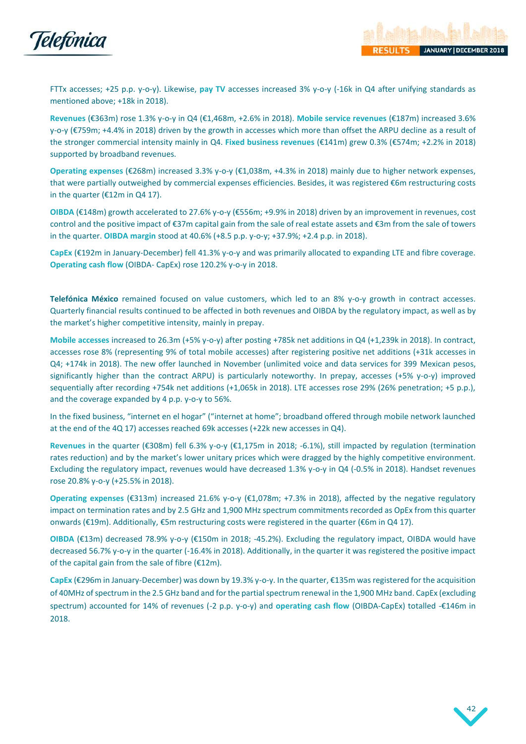

FTTx accesses; +25 p.p. y-o-y). Likewise, **pay TV** accesses increased 3% y-o-y (-16k in Q4 after unifying standards as mentioned above; +18k in 2018).

**Revenues** (€363m) rose 1.3% y-o-y in Q4 (€1,468m, +2.6% in 2018). **Mobile service revenues** (€187m) increased 3.6% y-o-y (€759m; +4.4% in 2018) driven by the growth in accesses which more than offset the ARPU decline as a result of the stronger commercial intensity mainly in Q4. **Fixed business revenues** (€141m) grew 0.3% (€574m; +2.2% in 2018) supported by broadband revenues.

**Operating expenses** (€268m) increased 3.3% y-o-y (€1,038m, +4.3% in 2018) mainly due to higher network expenses, that were partially outweighed by commercial expenses efficiencies. Besides, it was registered €6m restructuring costs in the quarter (€12m in Q4 17).

**OIBDA** (€148m) growth accelerated to 27.6% y-o-y (€556m; +9.9% in 2018) driven by an improvement in revenues, cost control and the positive impact of €37m capital gain from the sale of real estate assets and €3m from the sale of towers in the quarter. **OIBDA margin** stood at 40.6% (+8.5 p.p. y-o-y; +37.9%; +2.4 p.p. in 2018).

**CapEx** (€192m in January-December) fell 41.3% y-o-y and was primarily allocated to expanding LTE and fibre coverage. **Operating cash flow** (OIBDA- CapEx) rose 120.2% y-o-y in 2018.

**Telefónica México** remained focused on value customers, which led to an 8% y-o-y growth in contract accesses. Quarterly financial results continued to be affected in both revenues and OIBDA by the regulatory impact, as well as by the market's higher competitive intensity, mainly in prepay.

**Mobile accesses** increased to 26.3m (+5% y-o-y) after posting +785k net additions in Q4 (+1,239k in 2018). In contract, accesses rose 8% (representing 9% of total mobile accesses) after registering positive net additions (+31k accesses in Q4; +174k in 2018). The new offer launched in November (unlimited voice and data services for 399 Mexican pesos, significantly higher than the contract ARPU) is particularly noteworthy. In prepay, accesses (+5% y-o-y) improved sequentially after recording +754k net additions (+1,065k in 2018). LTE accesses rose 29% (26% penetration; +5 p.p.), and the coverage expanded by 4 p.p. y-o-y to 56%.

In the fixed business, "internet en el hogar" ("internet at home"; broadband offered through mobile network launched at the end of the 4Q 17) accesses reached 69k accesses (+22k new accesses in Q4).

**Revenues** in the quarter (€308m) fell 6.3% y-o-y (€1,175m in 2018; -6.1%), still impacted by regulation (termination rates reduction) and by the market's lower unitary prices which were dragged by the highly competitive environment. Excluding the regulatory impact, revenues would have decreased 1.3% y-o-y in Q4 (-0.5% in 2018). Handset revenues rose 20.8% y-o-y (+25.5% in 2018).

**Operating expenses** (€313m) increased 21.6% y-o-y (€1,078m; +7.3% in 2018), affected by the negative regulatory impact on termination rates and by 2.5 GHz and 1,900 MHz spectrum commitments recorded as OpEx from this quarter onwards (€19m). Additionally, €5m restructuring costs were registered in the quarter (€6m in Q4 17).

**OIBDA** (€13m) decreased 78.9% y-o-y (€150m in 2018; -45.2%). Excluding the regulatory impact, OIBDA would have decreased 56.7% y-o-y in the quarter (-16.4% in 2018). Additionally, in the quarter it was registered the positive impact of the capital gain from the sale of fibre (€12m).

**CapEx** (€296m in January-December) was down by 19.3% y-o-y. In the quarter, €135m was registered for the acquisition of 40MHz of spectrum in the 2.5 GHz band and for the partial spectrum renewal in the 1,900 MHz band. CapEx (excluding spectrum) accounted for 14% of revenues (-2 p.p. y-o-y) and **operating cash flow** (OIBDA-CapEx) totalled -€146m in 2018.

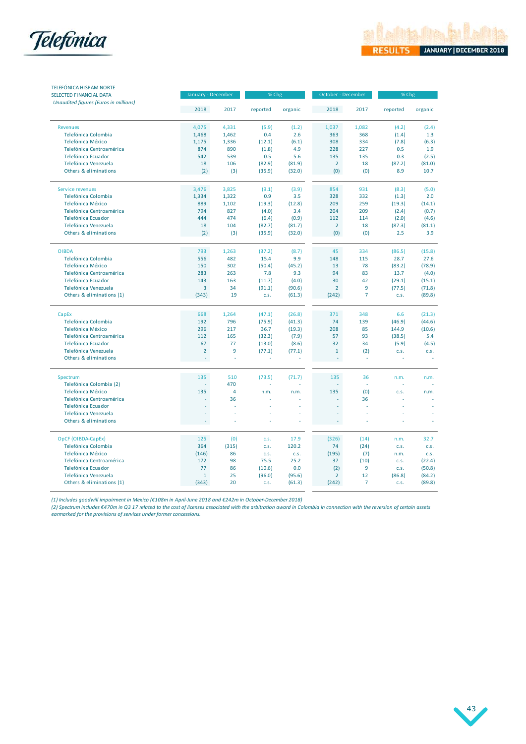



| <b>TELEFÓNICA HISPAM NORTE</b><br>SELECTED FINANCIAL DATA | January - December |       | % Chg    |         | October - December |                | % Chg    |         |
|-----------------------------------------------------------|--------------------|-------|----------|---------|--------------------|----------------|----------|---------|
| Unaudited figures (Euros in millions)                     | 2018               | 2017  | reported | organic | 2018               | 2017           | reported | organic |
| <b>Revenues</b>                                           | 4,075              | 4,331 | (5.9)    | (1.2)   | 1,037              | 1,082          | (4.2)    | (2.4)   |
| Telefónica Colombia                                       | 1,468              | 1,462 | 0.4      | 2.6     | 363                | 368            | (1.4)    | 1.3     |
| Telefónica México                                         | 1,175              | 1,336 | (12.1)   | (6.1)   | 308                | 334            | (7.8)    | (6.3)   |
| Telefónica Centroamérica                                  | 874                | 890   | (1.8)    | 4.9     | 228                | 227            | 0.5      | 1.9     |
| Telefónica Ecuador                                        | 542                | 539   | 0.5      | 5.6     | 135                | 135            | 0.3      | (2.5)   |
| Telefónica Venezuela                                      | 18                 | 106   | (82.9)   | (81.9)  | $\overline{2}$     | 18             | (87.2)   | (81.0)  |
| Others & eliminations                                     | (2)                | (3)   | (35.9)   | (32.0)  | (0)                | (0)            | 8.9      | 10.7    |
| Service revenues                                          | 3,476              | 3,825 | (9.1)    | (3.9)   | 854                | 931            | (8.3)    | (5.0)   |
| Telefónica Colombia                                       | 1,334              | 1,322 | 0.9      | 3.5     | 328                | 332            | (1.3)    | 2.0     |
| Telefónica México                                         | 889                | 1,102 | (19.3)   | (12.8)  | 209                | 259            | (19.3)   | (14.1)  |
| Telefónica Centroamérica                                  | 794                | 827   | (4.0)    | 3.4     | 204                | 209            | (2.4)    | (0.7)   |
| Telefónica Ecuador                                        | 444                | 474   | (6.4)    | (0.9)   | 112                | 114            | (2.0)    | (4.6)   |
| Telefónica Venezuela                                      | 18                 | 104   | (82.7)   | (81.7)  | $\overline{2}$     | 18             | (87.3)   | (81.1)  |
| Others & eliminations                                     | (2)                | (3)   | (35.9)   | (32.0)  | (0)                | (0)            | 2.5      | 3.9     |
| <b>OIBDA</b>                                              | 793                | 1,263 | (37.2)   | (8.7)   | 45                 | 334            | (86.5)   | (15.8)  |
| Telefónica Colombia                                       | 556                | 482   | 15.4     | 9.9     | 148                | 115            | 28.7     | 27.6    |
| Telefónica México                                         | 150                | 302   | (50.4)   | (45.2)  | 13                 | 78             | (83.2)   | (78.9)  |
| Telefónica Centroamérica                                  | 283                | 263   | 7.8      | 9.3     | 94                 | 83             | 13.7     | (4.0)   |
| Telefónica Ecuador                                        | 143                | 163   | (11.7)   | (4.0)   | 30                 | 42             | (29.1)   | (15.1)  |
| Telefónica Venezuela                                      | 3                  | 34    | (91.1)   | (90.6)  | $\overline{2}$     | 9              | (77.5)   | (71.8)  |
| Others & eliminations (1)                                 | (343)              | 19    | C.S.     | (61.3)  | (242)              | $\overline{7}$ | C.S.     | (89.8)  |
| CapEx                                                     | 668                | 1,264 | (47.1)   | (26.8)  | 371                | 348            | 6.6      | (21.3)  |
| Telefónica Colombia                                       | 192                | 796   | (75.9)   | (41.3)  | 74                 | 139            | (46.9)   | (44.6)  |
| Telefónica México                                         | 296                | 217   | 36.7     | (19.3)  | 208                | 85             | 144.9    | (10.6)  |
| Telefónica Centroamérica                                  | 112                | 165   | (32.3)   | (7.9)   | 57                 | 93             | (38.5)   | 5.4     |
| Telefónica Ecuador                                        | 67                 | 77    | (13.0)   | (8.6)   | 32                 | 34             | (5.9)    | (4.5)   |
| Telefónica Venezuela                                      | $\overline{2}$     | 9     | (77.1)   | (77.1)  | $\mathbf{1}$       | (2)            | C.S.     | C.S.    |
| Others & eliminations                                     | ä,                 |       |          |         | ÷,                 |                |          |         |
| Spectrum                                                  | 135                | 510   | (73.5)   | (71.7)  | 135                | 36             | n.m.     | n.m.    |
| Telefónica Colombia (2)                                   |                    | 470   |          |         |                    | Í.             |          |         |
| Telefónica México                                         | 135                | 4     | n.m.     | n.m.    | 135                | (0)            | C.S.     | n.m.    |
| Telefónica Centroamérica                                  |                    | 36    |          |         | ä,                 | 36             |          |         |
| Telefónica Ecuador                                        |                    |       |          |         |                    |                |          |         |
| Telefónica Venezuela                                      |                    |       |          |         |                    |                |          |         |
| Others & eliminations                                     |                    |       |          |         |                    |                |          |         |
| OpCF (OIBDA-CapEx)                                        | 125                | (0)   | C.S.     | 17.9    | (326)              | (14)           | n.m.     | 32.7    |
| Telefónica Colombia                                       | 364                | (315) | C.S.     | 120.2   | 74                 | (24)           | C.S.     | C.S.    |
| Telefónica México                                         | (146)              | 86    | C.S.     | C.S.    | (195)              | (7)            | n.m.     | C.S.    |
| Telefónica Centroamérica                                  | 172                | 98    | 75.5     | 25.2    | 37                 | (10)           | C.S.     | (22.4)  |
| Telefónica Ecuador                                        | 77                 | 86    | (10.6)   | 0.0     | (2)                | 9              | C.S.     | (50.8)  |
| Telefónica Venezuela                                      | $\mathbf{1}$       | 25    | (96.0)   | (95.6)  | $\overline{2}$     | 12             | (86.8)   | (84.2)  |
| Others & eliminations (1)                                 | (343)              | 20    | C.S.     | (61.3)  | (242)              | $\overline{7}$ | C.S.     | (89.8)  |

*(1) Includes goodwill impairment in Mexico (€108m in April-June 2018 and €242m in October-December 2018)*

*(2) Spectrum includes €470m in Q3 17 related to the cost of licenses associated with the arbitration award in Colombia in connection with the reversion of certain assets earmarked for the provisions of services under former concessions.*

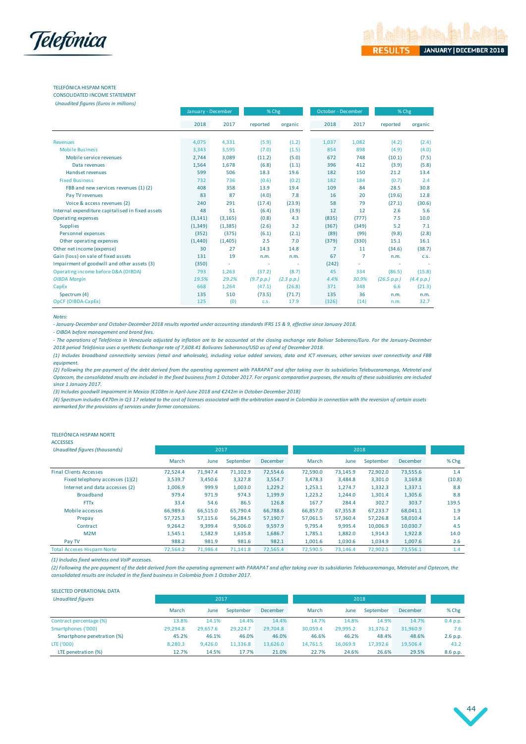

#### TELEFÓNICA HISPAM NORTE CONSOLIDATED INCOME STATEMENT

*Unaudited figures (Euros in millions)*

|                                                  | January - December |          | % Chg      |            |                | October - December | % Chg       |            |
|--------------------------------------------------|--------------------|----------|------------|------------|----------------|--------------------|-------------|------------|
|                                                  | 2018               | 2017     | reported   | organic    | 2018           | 2017               | reported    | organic    |
| Revenues                                         | 4,075              | 4,331    | (5.9)      | (1.2)      | 1,037          | 1,082              | (4.2)       | (2.4)      |
| <b>Mobile Business</b>                           | 3,343              | 3,595    | (7.0)      | (1.5)      | 854            | 898                | (4.9)       | (4.0)      |
| Mobile service revenues                          | 2,744              | 3,089    | (11.2)     | (5.0)      | 672            | 748                | (10.1)      | (7.5)      |
| Data revenues                                    | 1,564              | 1,678    | (6.8)      | (1.1)      | 396            | 412                | (3.9)       | (5.8)      |
| Handset revenues                                 | 599                | 506      | 18.3       | 19.6       | 182            | 150                | 21.2        | 13.4       |
| <b>Fixed Business</b>                            | 732                | 736      | (0.6)      | (0.2)      | 182            | 184                | (0.7)       | 2.4        |
| FBB and new services revenues (1)(2)             | 408                | 358      | 13.9       | 19.4       | 109            | 84                 | 28.5        | 30.8       |
| Pay TV revenues                                  | 83                 | 87       | (4.0)      | 7.8        | 16             | 20                 | (19.6)      | 12.8       |
| Voice & access revenues (2)                      | 240                | 291      | (17.4)     | (23.9)     | 58             | 79                 | (27.1)      | (30.6)     |
| Internal expenditure capitalised in fixed assets | 48                 | 51       | (6.4)      | (3.9)      | 12             | 12                 | 2.6         | 5.6        |
| Operating expenses                               | (3, 141)           | (3, 165) | (0.8)      | 4.3        | (835)          | (777)              | 7.5         | 10.0       |
| <b>Supplies</b>                                  | (1, 349)           | (1, 385) | (2.6)      | 3.2        | (367)          | (349)              | 5.2         | 7.1        |
| Personnel expenses                               | (352)              | (375)    | (6.1)      | (2.1)      | (89)           | (99)               | (9.8)       | (2.8)      |
| Other operating expenses                         | (1,440)            | (1,405)  | 2.5        | 7.0        | (379)          | (330)              | 15.1        | 16.1       |
| Other net income (expense)                       | 30                 | 27       | 14.3       | 14.8       | $\overline{7}$ | 11                 | (34.6)      | (38.7)     |
| Gain (loss) on sale of fixed assets              | 131                | 19       | n.m.       | n.m.       | 67             | $\overline{7}$     | n.m.        | C.S.       |
| Impairment of goodwill and other assets (3)      | (350)              | ÷        |            |            | (242)          | ٠                  |             |            |
| Operating income before D&A (OIBDA)              | 793                | 1,263    | (37.2)     | (8.7)      | 45             | 334                | (86.5)      | (15.8)     |
| <b>OIBDA Margin</b>                              | 19.5%              | 29.2%    | (9.7 p.p.) | (2.3 p.p.) | 4.4%           | 30.9%              | (26.5 p.p.) | (4.4 p.p.) |
| CapEx                                            | 668                | 1,264    | (47.1)     | (26.8)     | 371            | 348                | 6.6         | (21.3)     |
| Spectrum (4)                                     | 135                | 510      | (73.5)     | (71.7)     | 135            | 36                 | n.m.        | n.m.       |
| OpCF (OIBDA-CapEx)                               | 125                | (0)      | C.S.       | 17.9       | (326)          | (14)               | n.m.        | 32.7       |

#### *Notes:*

*- January-December and October-December 2018 results reported under accounting standards IFRS 15 & 9, effective since January 2018.*

*- OIBDA before management and brand fees.*

Notes:<br>- January-December and October-December 2018 results reported under accounting standards IFRS 15 & 9, effective since January 2018.<br>- OIBDA before management and brand fees.<br>- The operations of Telefónica in Venezue *2018 period Telefónica uses a synthetic Exchange rate of 7,608.41 Bolívares Soberanos/USD as of end of December 2018.* 

(1) Includes broadband connectivity services (retail and wholesale), including value added services, data and ICT revenues, other services over connectivity and FBB

equipment.<br>(2) Following the pre-payment of the debt derived from the operating agreement with PARAPAT and after taking over its subsidiaries Telebucaramanga, Metrotel and - One operations of Telefonica in Venezuela adjusted by inflation are to be accounted at the closing exchange rate Bolivar Soberano/Euro. For the January-December<br>- The operations of Telefonica in Venezuela adjusted by inf Optecom, the consolidated results are included in the fixed business from 1 October 2017. For organic comparative purposes, the results of these subsidiaries are included *since 1 January 2017.*

*(3) Includes goodwill impairment in Mexico (€108m in April-June 2018 and €242m in October-December 2018)*

*(4) Spectrum includes €470m in Q3 17 related to the cost of licenses associated with the arbitration award in Colombia in connection with the reversion of certain assets earmarked for the provisions of services under former concessions.*

#### TELEFÓNICA HISPAM NORTE

ACCESSES

| Unaudited figures (thousands)     |          | 2017     |           |          | 2018     |          |           |          |        |
|-----------------------------------|----------|----------|-----------|----------|----------|----------|-----------|----------|--------|
|                                   | March    | June     | September | December | March    | June     | September | December | % Chg  |
| <b>Final Clients Accesses</b>     | 72.524.4 | 71,947.4 | 71,102.9  | 72,554.6 | 72,590.0 | 73,145.9 | 72,902.0  | 73,555.6 | 1.4    |
| Fixed telephony accesses (1)(2)   | 3,539.7  | 3,450.6  | 3,327.8   | 3,554.7  | 3.478.3  | 3,484.8  | 3,301.0   | 3,169.8  | (10.8) |
| Internet and data accesses (2)    | 1,006.9  | 999.9    | 1,003.0   | 1,229.2  | 1,253.1  | 1,274.7  | 1,332.3   | 1,337.1  | 8.8    |
| <b>Broadband</b>                  | 979.4    | 971.9    | 974.3     | 1,199.9  | 1,223.2  | 1.244.0  | 1,301.4   | 1,305.6  | 8.8    |
| <b>FTTx</b>                       | 33.4     | 54.6     | 86.5      | 126.8    | 167.7    | 284.4    | 302.7     | 303.7    | 139.5  |
| Mobile accesses                   | 66.989.6 | 66,515.0 | 65.790.4  | 66.788.6 | 66,857.0 | 67,355.8 | 67,233.7  | 68,041.1 | 1.9    |
| Prepay                            | 57,725.3 | 57,115.6 | 56,284.5  | 57,190.7 | 57,061.5 | 57,360.4 | 57,226.8  | 58,010.4 | 1.4    |
| Contract                          | 9.264.2  | 9,399.4  | 9,506.0   | 9.597.9  | 9.795.4  | 9.995.4  | 10.006.9  | 10,030.7 | 4.5    |
| M2M                               | 1,545.1  | 1,582.9  | 1,635.8   | 1,686.7  | 1,785.1  | 1,882.0  | 1,914.3   | 1,922.8  | 14.0   |
| Pay TV                            | 988.2    | 981.9    | 981.6     | 982.1    | 1,001.6  | 1,030.6  | 1,034.9   | 1,007.6  | 2.6    |
| <b>Total Acceses Hispam Norte</b> | 72,564.2 | 71,986.4 | 71.141.8  | 72.565.4 | 72,590.5 | 73,146.4 | 72,902.5  | 73,556.1 | 1.4    |

*(1) Includes fixed wireless and VoIP accesses.*

*(2) Following the pre-payment of the debt derived from the operating agreement with PARAPAT and after taking over its subsidiaries Telebucaramanga, Metrotel and Optecom, the consolidated results are included in the fixed business in Colombia from 1 October 2017.* 

| SELECTED OPERATIONAL DATA  |          |          |           |          |          |          |           |          |          |
|----------------------------|----------|----------|-----------|----------|----------|----------|-----------|----------|----------|
| <b>Unaudited figures</b>   |          | 2017     |           |          |          | 2018     |           |          |          |
|                            | March    | June     | September | December | March    | June     | September | December | % Chg    |
| Contract percentage (%)    | 13.8%    | 14.1%    | 14.4%     | 14.4%    | 14.7%    | 14.8%    | 14.9%     | 14.7%    | 0.4 p.p. |
| Smartphones ('000)         | 29,294.8 | 29.657.6 | 29.224.7  | 29,704.8 | 30,059.4 | 29,995.2 | 31.376.2  | 31,960.9 | 7.6      |
| Smartphone penetration (%) | 45.2%    | 46.1%    | 46.0%     | 46.0%    | 46.6%    | 46.2%    | 48.4%     | 48.6%    | 2.6 p.p. |
| LTE ('000)                 | 8,280.3  | 9,426.0  | 11,336.8  | 13,626.0 | 14,761.5 | 16.069.9 | 17.392.6  | 19,506.4 | 43.2     |
| LTE penetration (%)        | 12.7%    | 14.5%    | 17.7%     | 21.0%    | 22.7%    | 24.6%    | 26.6%     | 29.5%    | 8.6 p.p. |

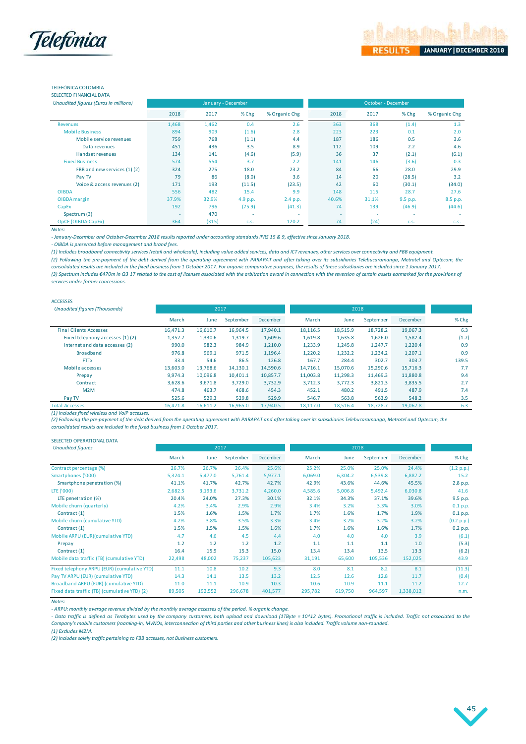

## TELEFÓNICA COLOMBIA

SELECTED FINANCIAL DATA

| Unaudited figures (Euros in millions) |       | January - December |          |               |       | October - December |          |               |
|---------------------------------------|-------|--------------------|----------|---------------|-------|--------------------|----------|---------------|
|                                       | 2018  | 2017               | % Chg    | % Organic Chg | 2018  | 2017               | % Chg    | % Organic Chg |
| <b>Revenues</b>                       | 1,468 | 1,462              | 0.4      | 2.6           | 363   | 368                | (1.4)    | 1.3           |
| <b>Mobile Business</b>                | 894   | 909                | (1.6)    | 2.8           | 223   | 223                | 0.1      | 2.0           |
| Mobile service revenues               | 759   | 768                | (1.1)    | 4.4           | 187   | 186                | 0.5      | 3.6           |
| Data revenues                         | 451   | 436                | 3.5      | 8.9           | 112   | 109                | 2.2      | 4.6           |
| Handset revenues                      | 134   | 141                | (4.6)    | (5.9)         | 36    | 37                 | (2.1)    | (6.1)         |
| <b>Fixed Business</b>                 | 574   | 554                | 3.7      | 2.2           | 141   | 146                | (3.6)    | 0.3           |
| FBB and new services (1)(2)           | 324   | 275                | 18.0     | 23.2          | 84    | 66                 | 28.0     | 29.9          |
| Pay TV                                | 79    | 86                 | (8.0)    | 3.6           | 14    | 20                 | (28.5)   | 3.2           |
| Voice & access revenues (2)           | 171   | 193                | (11.5)   | (23.5)        | 42    | 60                 | (30.1)   | (34.0)        |
| <b>OIBDA</b>                          | 556   | 482                | 15.4     | 9.9           | 148   | 115                | 28.7     | 27.6          |
| OIBDA margin                          | 37.9% | 32.9%              | 4.9 p.p. | 2.4 p.p.      | 40.6% | 31.1%              | 9.5 p.p. | 8.5 p.p.      |
| CapEx                                 | 192   | 796                | (75.9)   | (41.3)        | 74    | 139                | (46.9)   | (44.6)        |
| Spectrum (3)                          |       | 470                |          | ۰             | ۰     |                    |          |               |
| OpCF (OIBDA-CapEx)                    | 364   | (315)              | C.S.     | 120.2         | 74    | (24)               | C.S.     | C.S.          |
| Notes:                                |       |                    |          |               |       |                    |          |               |

*- January-December and October-December 2018 results reported under accounting standards IFRS 15 & 9, effective since January 2018.*

*- OIBDA is presented before management and brand fees.*

*(1) Includes broadband connectivity services (retail and wholesale), including value added services, data and ICT revenues, other services over connectivity and FBB equipment.*

(2) Following the pre-payment of the debt derived from the operating agreement with PARAPAT and after taking over its subsidiaries Telebucaramanga, Metrotel and Optecom, the

*(3) Spectrum includes €470m in Q3 17 related to the cost of licenses associated with the arbitration award in connection with the reversion of certain assets earmarked for the provisions of services under former concessions. consolidated results are included in the fixed business from 1 October 2017. For organic comparative purposes, the results of these subsidiaries are included since 1 January 2017.*

| ACCESSES                             |          |          |           |          |          |          |           |                 |         |
|--------------------------------------|----------|----------|-----------|----------|----------|----------|-----------|-----------------|---------|
| <b>Unaudited figures (Thousands)</b> |          |          | 2017      |          |          | 2018     |           |                 |         |
|                                      | March    | June     | September | December | March    | June     | September | <b>December</b> | $%$ Chg |
| <b>Final Clients Accesses</b>        | 16.471.3 | 16,610.7 | 16,964.5  | 17,940.1 | 18,116.5 | 18,515.9 | 18,728.2  | 19,067.3        | 6.3     |
| Fixed telephony accesses (1)(2)      | 1,352.7  | 1,330.6  | 1,319.7   | 1,609.6  | 1,619.8  | 1,635.8  | 1,626.0   | 1,582.4         | (1.7)   |
| Internet and data accesses (2)       | 990.0    | 982.3    | 984.9     | 1,210.0  | 1,233.9  | 1,245.8  | 1,247.7   | 1,220.4         | 0.9     |
| <b>Broadband</b>                     | 976.8    | 969.1    | 971.5     | 1,196.4  | 1,220.2  | 1,232.2  | 1,234.2   | 1,207.1         | 0.9     |
| <b>FTTx</b>                          | 33.4     | 54.6     | 86.5      | 126.8    | 167.7    | 284.4    | 302.7     | 303.7           | 139.5   |
| Mobile accesses                      | 13,603.0 | 13.768.6 | 14,130.1  | 14,590.6 | 14.716.1 | 15.070.6 | 15,290.6  | 15,716.3        | 7.7     |
| Prepay                               | 9.974.3  | 10,096.8 | 10,401.1  | 10,857.7 | 11,003.8 | 11,298.3 | 11,469.3  | 11,880.8        | 9.4     |
| Contract                             | 3,628.6  | 3,671.8  | 3,729.0   | 3,732.9  | 3.712.3  | 3.772.3  | 3,821.3   | 3,835.5         | 2.7     |
| M <sub>2</sub> M                     | 474.8    | 463.7    | 468.6     | 454.3    | 452.1    | 480.2    | 491.5     | 487.9           | 7.4     |
| Pay TV                               | 525.6    | 529.3    | 529.8     | 529.9    | 546.7    | 563.8    | 563.9     | 548.2           | 3.5     |
| <b>Total Accesses</b>                | 16.471.8 | 16.611.2 | 16,965.0  | 17.940.5 | 18,117.0 | 18,516.4 | 18.728.7  | 19,067.8        | 6.3     |

*(1) Includes fixed wireless and VoIP accesses.*

*(2) Following the pre-payment of the debt derived from the operating agreement with PARAPAT and after taking over its subsidiaries Telebucaramanga, Metrotel and Optecom, the consolidated results are included in the fixed business from 1 October 2017.* 

#### SELECTED OPERATIONAL DATA

| <b>Unaudited figures</b>                     |         | 2017    |           |          |         | 2018    |           |                 |            |
|----------------------------------------------|---------|---------|-----------|----------|---------|---------|-----------|-----------------|------------|
|                                              | March   | June    | September | December | March   | June    | September | <b>December</b> | % Chg      |
| Contract percentage (%)                      | 26.7%   | 26.7%   | 26.4%     | 25.6%    | 25.2%   | 25.0%   | 25.0%     | 24.4%           | (1.2 p.p.) |
| Smartphones ('000)                           | 5,324.1 | 5,477.0 | 5,761.4   | 5,977.1  | 6,069.0 | 6,304.2 | 6,539.8   | 6,887.2         | 15.2       |
| Smartphone penetration (%)                   | 41.1%   | 41.7%   | 42.7%     | 42.7%    | 42.9%   | 43.6%   | 44.6%     | 45.5%           | 2.8 p.p.   |
| LTE ('000)                                   | 2,682.5 | 3,193.6 | 3,731.2   | 4,260.0  | 4,585.6 | 5,006.8 | 5,492.4   | 6,030.8         | 41.6       |
| LTE penetration (%)                          | 20.4%   | 24.0%   | 27.3%     | 30.1%    | 32.1%   | 34.3%   | 37.1%     | 39.6%           | 9.5 p.p.   |
| Mobile churn (quarterly)                     | 4.2%    | 3.4%    | 2.9%      | 2.9%     | 3.4%    | 3.2%    | 3.3%      | 3.0%            | 0.1 p.p.   |
| Contract (1)                                 | 1.5%    | 1.6%    | 1.5%      | 1.7%     | 1.7%    | 1.6%    | 1.7%      | 1.9%            | 0.1 p.p.   |
| Mobile churn (cumulative YTD)                | 4.2%    | 3.8%    | 3.5%      | 3.3%     | 3.4%    | 3.2%    | 3.2%      | 3.2%            | (0.2 p.p.) |
| Contract (1)                                 | 1.5%    | 1.5%    | 1.5%      | 1.6%     | 1.7%    | 1.6%    | 1.6%      | 1.7%            | 0.2 p.p.   |
| Mobile ARPU (EUR)(cumulative YTD)            | 4.7     | 4.6     | 4.5       | 4.4      | 4.0     | 4.0     | 4.0       | 3.9             | (6.1)      |
| Prepay                                       | 1.2     | 1.2     | 1.2       | 1.2      | 1.1     | 1.1     | 1.1       | 1.0             | (5.3)      |
| Contract (1)                                 | 16.4    | 15.9    | 15.3      | 15.0     | 13.4    | 13.4    | 13.5      | 13.3            | (6.2)      |
| Mobile data traffic (TB) (cumulative YTD)    | 22,498  | 48,002  | 75,237    | 105,623  | 31,191  | 65,600  | 105,536   | 152,025         | 43.9       |
| Fixed telephony ARPU (EUR) (cumulative YTD)  | 11.1    | 10.8    | 10.2      | 9.3      | 8.0     | 8.1     | 8.2       | 8.1             | (11.3)     |
| Pay TV ARPU (EUR) (cumulative YTD)           | 14.3    | 14.1    | 13.5      | 13.2     | 12.5    | 12.6    | 12.8      | 11.7            | (0.4)      |
| Broadband ARPU (EUR) (cumulative YTD)        | 11.0    | 11.1    | 10.9      | 10.3     | 10.6    | 10.9    | 11.1      | 11.2            | 12.7       |
| Fixed data traffic (TB) (cumulative YTD) (2) | 89,505  | 192,552 | 296,678   | 401,577  | 295,782 | 619,750 | 964,597   | 1,338,012       | n.m.       |

*Notes:*

*- ARPU: monthly average revenue divided by the monthly average accesses of the period. % organic change.*

- Data traffic is defined as Terabytes used by the company customers, both upload and download (1TByte = 10^12 bytes). Promotional traffic is included. Traffic not associated to the *Company's mobile customers (roaming-in, MVNOs, interconnection of third parties and other business lines) is also included. Traffic volume non-rounded.*

*(1) Excludes M2M.*

*(2) Includes solely traffic pertaining to FBB accesses, not Business customers.*

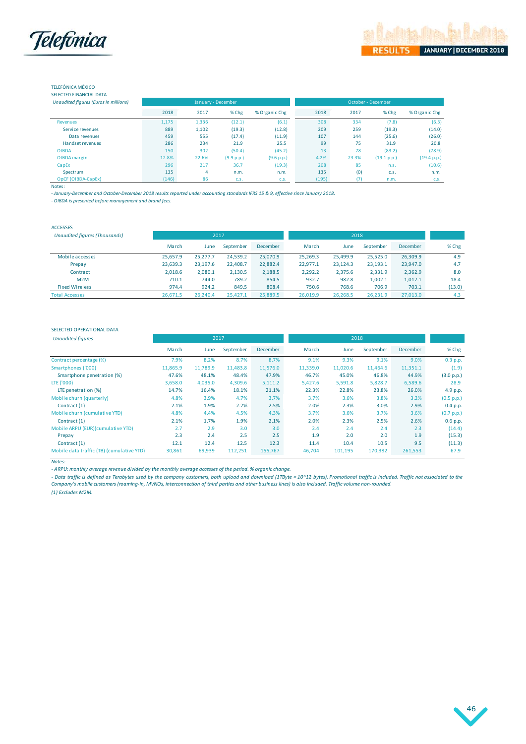

#### TELEFÓNICA MÉXICO SELECTED FINANCIAL DATA

|     |  | <b>BLLLCTLD I INNIVERLATION</b> |  |  |
|-----|--|---------------------------------|--|--|
| . . |  |                                 |  |  |

| Unaudited figures (Euros in millions) |       |       | January - December |               |       | October - December |             |               |
|---------------------------------------|-------|-------|--------------------|---------------|-------|--------------------|-------------|---------------|
|                                       | 2018  | 2017  | % Chg              | % Organic Chg | 2018  | 2017               | % Chg       | % Organic Chg |
| Revenues                              | 1,175 | 1,336 | (12.1)             | (6.1)         | 308   | 334                | (7.8)       | (6.3)         |
| Service revenues                      | 889   | 1,102 | (19.3)             | (12.8)        | 209   | 259                | (19.3)      | (14.0)        |
| Data revenues                         | 459   | 555   | (17.4)             | (11.9)        | 107   | 144                | (25.6)      | (26.0)        |
| Handset revenues                      | 286   | 234   | 21.9               | 25.5          | 99    | 75                 | 31.9        | 20.8          |
| <b>OIBDA</b>                          | 150   | 302   | (50.4)             | (45.2)        | 13    | 78                 | (83.2)      | (78.9)        |
| OIBDA margin                          | 12.8% | 22.6% | (9.9 p.p.)         | (9.6 p.p.)    | 4.2%  | 23.3%              | (19.1 p.p.) | (19.4 p.p.)   |
| CapEx                                 | 296   | 217   | 36.7               | (19.3)        | 208   | 85                 | n.S.        | (10.6)        |
| Spectrum                              | 135   | 4     | n.m.               | n.m.          | 135   | (0)                | C.S.        | n.m.          |
| OpCF (OIBDA-CapEx)                    | (146) | 86    | C.S.               | C.S.          | (195) | (7)                | n.m.        | C.S.          |

Notes:

*- January-December and October-December 2018 results reported under accounting standards IFRS 15 & 9, effective since January 2018.*

*- OIBDA is presented before management and brand fees.*

| . |
|---|
|   |

| <b>Unaudited figures (Thousands)</b> | 2017     |          |           |          | 2018     |          |           |                 |        |
|--------------------------------------|----------|----------|-----------|----------|----------|----------|-----------|-----------------|--------|
|                                      | March    | June     | September | December | March    | June     | September | <b>December</b> | % Chg  |
| Mobile accesses                      | 25.657.9 | 25.277.7 | 24.539.2  | 25.070.9 | 25.269.3 | 25.499.9 | 25.525.0  | 26.309.9        | 4.9    |
| Prepay                               | 23,639.3 | 23.197.6 | 22,408.7  | 22,882.4 | 22,977.1 | 23,124.3 | 23,193.1  | 23,947.0        | 4.7    |
| Contract                             | 2,018.6  | 2,080.1  | 2,130.5   | 2,188.5  | 2,292.2  | 2.375.6  | 2,331.9   | 2,362.9         | 8.0    |
| M <sub>2</sub> M                     | 710.1    | 744.0    | 789.2     | 854.5    | 932.7    | 982.8    | 1,002.1   | 1,012.1         | 18.4   |
| <b>Fixed Wireless</b>                | 974.4    | 924.2    | 849.5     | 808.4    | 750.6    | 768.6    | 706.9     | 703.1           | (13.0) |
| <b>Total Accesses</b>                | 26,671.5 | 26,240.4 | 25,427.1  | 25,889.5 | 26,019.9 | 26,268.5 | 26,231.9  | 27,013.0        | 4.3    |

#### SELECTED OPERATIONAL DATA

| <b>Unaudited figures</b>                                                                                                                                                                                                                                                                                                                                                                                                                                                                       | 2017     |          |           |          | 2018     |          |           |          |            |  |  |  |
|------------------------------------------------------------------------------------------------------------------------------------------------------------------------------------------------------------------------------------------------------------------------------------------------------------------------------------------------------------------------------------------------------------------------------------------------------------------------------------------------|----------|----------|-----------|----------|----------|----------|-----------|----------|------------|--|--|--|
|                                                                                                                                                                                                                                                                                                                                                                                                                                                                                                | March    | June     | September | December | March    | June     | September | December | $%$ Chg    |  |  |  |
| Contract percentage (%)                                                                                                                                                                                                                                                                                                                                                                                                                                                                        | 7.9%     | 8.2%     | 8.7%      | 8.7%     | 9.1%     | 9.3%     | 9.1%      | 9.0%     | 0.3 p.p.   |  |  |  |
| Smartphones ('000)                                                                                                                                                                                                                                                                                                                                                                                                                                                                             | 11,865.9 | 11.789.9 | 11,483.8  | 11,576.0 | 11,339.0 | 11,020.6 | 11,464.6  | 11,351.1 | (1.9)      |  |  |  |
| Smartphone penetration (%)                                                                                                                                                                                                                                                                                                                                                                                                                                                                     | 47.6%    | 48.1%    | 48.4%     | 47.9%    | 46.7%    | 45.0%    | 46.8%     | 44.9%    | (3.0 p.p.) |  |  |  |
| LTE ('000)                                                                                                                                                                                                                                                                                                                                                                                                                                                                                     | 3,658.0  | 4,035.0  | 4,309.6   | 5,111.2  | 5,427.6  | 5,591.8  | 5,828.7   | 6,589.6  | 28.9       |  |  |  |
| LTE penetration (%)                                                                                                                                                                                                                                                                                                                                                                                                                                                                            | 14.7%    | 16.4%    | 18.1%     | 21.1%    | 22.3%    | 22.8%    | 23.8%     | 26.0%    | 4.9 p.p.   |  |  |  |
| Mobile churn (quarterly)                                                                                                                                                                                                                                                                                                                                                                                                                                                                       | 4.8%     | 3.9%     | 4.7%      | 3.7%     | 3.7%     | 3.6%     | 3.8%      | 3.2%     | (0.5 p.p.) |  |  |  |
| Contract (1)                                                                                                                                                                                                                                                                                                                                                                                                                                                                                   | 2.1%     | 1.9%     | 2.2%      | 2.5%     | 2.0%     | 2.3%     | 3.0%      | 2.9%     | 0.4 p.p.   |  |  |  |
| Mobile churn (cumulative YTD)                                                                                                                                                                                                                                                                                                                                                                                                                                                                  | 4.8%     | 4.4%     | 4.5%      | 4.3%     | 3.7%     | 3.6%     | 3.7%      | 3.6%     | (0.7 p.p.) |  |  |  |
| Contract (1)                                                                                                                                                                                                                                                                                                                                                                                                                                                                                   | 2.1%     | 1.7%     | 1.9%      | 2.1%     | 2.0%     | 2.3%     | 2.5%      | 2.6%     | 0.6 p.p.   |  |  |  |
| Mobile ARPU (EUR)(cumulative YTD)                                                                                                                                                                                                                                                                                                                                                                                                                                                              | 2.7      | 2.9      | 3.0       | 3.0      | 2.4      | 2.4      | 2.4       | 2.3      | (14.4)     |  |  |  |
| Prepay                                                                                                                                                                                                                                                                                                                                                                                                                                                                                         | 2.3      | 2.4      | 2.5       | 2.5      | 1.9      | 2.0      | 2.0       | 1.9      | (15.3)     |  |  |  |
| Contract (1)                                                                                                                                                                                                                                                                                                                                                                                                                                                                                   | 12.1     | 12.4     | 12.5      | 12.3     | 11.4     | 10.4     | 10.5      | 9.5      | (11.3)     |  |  |  |
| Mobile data traffic (TB) (cumulative YTD)                                                                                                                                                                                                                                                                                                                                                                                                                                                      | 30,861   | 69,939   | 112,251   | 155,767  | 46,704   | 101,195  | 170,382   | 261,553  | 67.9       |  |  |  |
| Notes:<br>- ARPU: monthly average revenue divided by the monthly average accesses of the period. % organic change.<br>- Data traffic is defined as Terabytes used by the company customers, both upload and download (1TByte = 10^12 bytes). Promotional traffic is included. Traffic not associated to the<br>Company's mobile customers (roaming-in, MVNOs, interconnection of third parties and other business lines) is also included. Traffic volume non-rounded.<br>$(1)$ Eveludge $M2M$ |          |          |           |          |          |          |           |          |            |  |  |  |

*(1) Excludes M2M.*

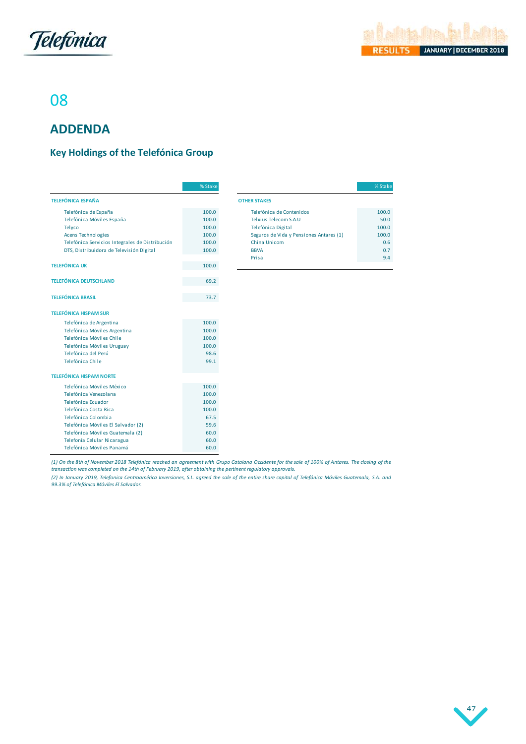

# 08

# **ADDENDA**

## <span id="page-47-0"></span>**Key Holdings of the Telefónica Group**

|                                                 | % Stake |                                         | % Stake |
|-------------------------------------------------|---------|-----------------------------------------|---------|
| <b>TELEFÓNICA ESPAÑA</b>                        |         | <b>OTHER STAKES</b>                     |         |
| Telefónica de España                            | 100.0   | Telefónica de Contenidos                | 100.0   |
| Telefónica Móviles España                       | 100.0   | Telxius Telecom S.A.U                   | 50.0    |
| Telyco                                          | 100.0   | Telefónica Digital                      | 100.0   |
| Acens Technologies                              | 100.0   | Seguros de Vida y Pensiones Antares (1) | 100.0   |
| Telefónica Servicios Integrales de Distribución | 100.0   | China Unicom                            | 0.6     |
| DTS, Distribuidora de Televisión Digital        | 100.0   | <b>BBVA</b>                             | 0.7     |
|                                                 |         | Prisa                                   | 9.4     |
| <b>TELEFÓNICA UK</b>                            | 100.0   |                                         |         |
| <b>TELEFÓNICA DEUTSCHLAND</b>                   | 69.2    |                                         |         |
| <b>TELEFÓNICA BRASIL</b>                        | 73.7    |                                         |         |
| <b>TELEFÓNICA HISPAM SUR</b>                    |         |                                         |         |
| Telefónica de Argentina                         | 100.0   |                                         |         |
| Telefónica Móviles Argentina                    | 100.0   |                                         |         |
| Telefónica Móviles Chile                        | 100.0   |                                         |         |
| Telefónica Móviles Uruguay                      | 100.0   |                                         |         |
| Telefónica del Perú                             | 98.6    |                                         |         |
| Telefónica Chile                                | 99.1    |                                         |         |
| <b>TELEFÓNICA HISPAM NORTE</b>                  |         |                                         |         |
| Telefónica Móviles México                       | 100.0   |                                         |         |
| Telefónica Venezolana                           | 100.0   |                                         |         |
| Telefónica Ecuador                              | 100.0   |                                         |         |
| Telefónica Costa Rica                           | 100.0   |                                         |         |
| Telefónica Colombia                             | 67.5    |                                         |         |
| Telefónica Móviles El Salvador (2)              | 59.6    |                                         |         |
| Telefónica Móviles Guatemala (2)                | 60.0    |                                         |         |
| Telefonía Celular Nicaragua                     | 60.0    |                                         |         |
| Telefónica Móviles Panamá                       | 60.0    |                                         |         |

| % Stake |                                         | % Stake |
|---------|-----------------------------------------|---------|
|         | <b>OTHER STAKES</b>                     |         |
| 100.0   | Telefónica de Contenidos                | 100.0   |
| 100.0   | Telxius Telecom S.A.U                   | 50.0    |
| 100.0   | Telefónica Digital                      | 100.0   |
| 100.0   | Seguros de Vida y Pensiones Antares (1) | 100.0   |
| 100.0   | China Unicom                            | 0.6     |
| 100.0   | <b>BBVA</b>                             | 0.7     |
|         | Prisa                                   | 9.4     |
| 1000    |                                         |         |

(1) On the 8th of November 2018 Telefónica reached an agreement with Grupo Catalana Occidente for the sale of 100% of Antares. The closing of the *transaction was completed on the 14th of February 2019, after obtaining the pertinent regulatory approvals.*

Telefónica Móviles Panamá<br>(1) On the 8th of November 2018 Telefónica reached an agreement with Grupo Catalana Occidente for the sale of 100% of Antares. The closing of the<br>transaction was completed on the 14th of February

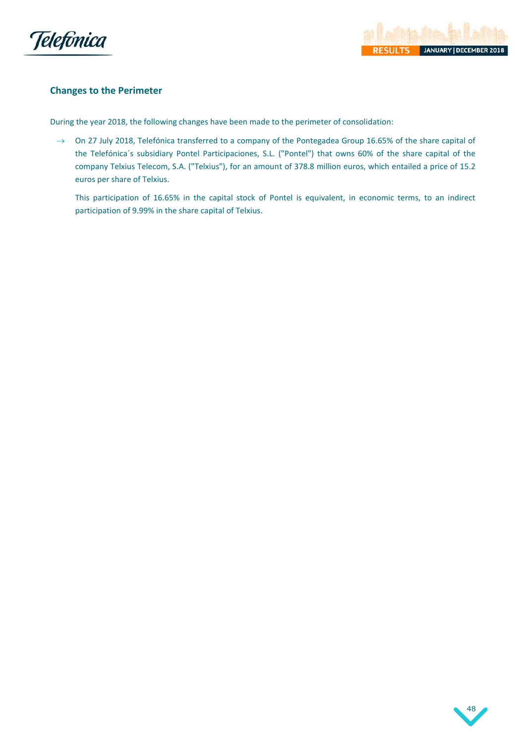



## <span id="page-48-1"></span>**Changes to the Perimeter**

<span id="page-48-0"></span>During the year 2018, the following changes have been made to the perimeter of consolidation:

→ On 27 July 2018, Telefónica transferred to a company of the Pontegadea Group 16.65% of the share capital of the Telefónica´s subsidiary Pontel Participaciones, S.L. ("Pontel") that owns 60% of the share capital of the company Telxius Telecom, S.A. ("Telxius"), for an amount of 378.8 million euros, which entailed a price of 15.2 euros per share of Telxius.

This participation of 16.65% in the capital stock of Pontel is equivalent, in economic terms, to an indirect participation of 9.99% in the share capital of Telxius.

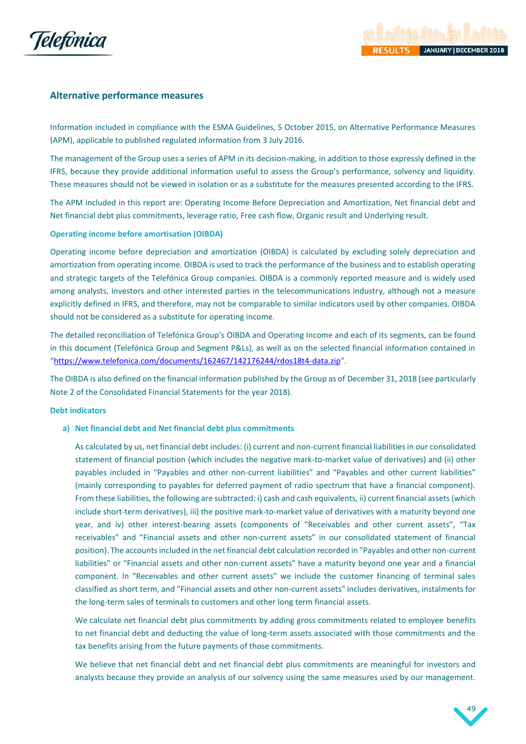

## <span id="page-49-0"></span>**Alternative performance measures**

Information included in compliance with the ESMA Guidelines, 5 October 2015, on Alternative Performance Measures (APM), applicable to published regulated information from 3 July 2016.

The management of the Group uses a series of APM in its decision-making, in addition to those expressly defined in the IFRS, because they provide additional information useful to assess the Group's performance, solvency and liquidity. These measures should not be viewed in isolation or as a substitute for the measures presented according to the IFRS.

The APM included in this report are: Operating Income Before Depreciation and Amortization, Net financial debt and Net financial debt plus commitments, leverage ratio, Free cash flow, Organic result and Underlying result.

## **Operating income before amortisation (OIBDA)**

Operating income before depreciation and amortization (OIBDA) is calculated by excluding solely depreciation and amortization from operating income. OIBDA is used to track the performance of the business and to establish operating and strategic targets of the Telefónica Group companies. OIBDA is a commonly reported measure and is widely used among analysts, investors and other interested parties in the telecommunications industry, although not a measure explicitly defined in IFRS, and therefore, may not be comparable to similar indicators used by other companies. OIBDA should not be considered as a substitute for operating income.

The detailed reconciliation of Telefónica Group's OIBDA and Operating Income and each of its segments, can be found in this document (Telefónica Group and Segment P&Ls), as well as on the selected financial information contained in "https://www.telefonica.com/documents/162467/142176244/rdos18t4-data.zip".

The OIBDA is also defined on the financial information published by the Group as of December 31, 2018 (see particularly Note 2 of the Consolidated Financial Statements for the year 2018).

## **Debt indicators**

## **a) Net financial debt and Net financial debt plus commitments**

As calculated by us, net financial debt includes: (i) current and non-current financial liabilities in our consolidated statement of financial position (which includes the negative mark-to-market value of derivatives) and (ii) other payables included in "Payables and other non-current liabilities" and "Payables and other current liabilities" (mainly corresponding to payables for deferred payment of radio spectrum that have a financial component). From these liabilities, the following are subtracted: i) cash and cash equivalents, ii) current financial assets (which include short-term derivatives), iii) the positive mark-to-market value of derivatives with a maturity beyond one year, and iv) other interest-bearing assets (components of "Receivables and other current assets", "Tax receivables" and "Financial assets and other non-current assets" in our consolidated statement of financial position). The accounts included in the net financial debt calculation recorded in "Payables and other non-current liabilities" or "Financial assets and other non-current assets" have a maturity beyond one year and a financial component. In "Receivables and other current assets" we include the customer financing of terminal sales classified as short term, and "Financial assets and other non-current assets" includes derivatives, instalments for the long-term sales of terminals to customers and other long term financial assets.

We calculate net financial debt plus commitments by adding gross commitments related to employee benefits to net financial debt and deducting the value of long-term assets associated with those commitments and the tax benefits arising from the future payments of those commitments.

We believe that net financial debt and net financial debt plus commitments are meaningful for investors and analysts because they provide an analysis of our solvency using the same measures used by our management.

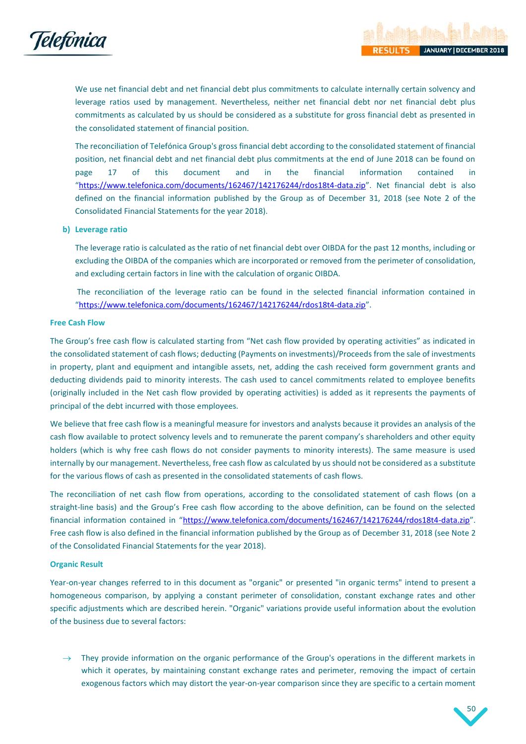

We use net financial debt and net financial debt plus commitments to calculate internally certain solvency and leverage ratios used by management. Nevertheless, neither net financial debt nor net financial debt plus commitments as calculated by us should be considered as a substitute for gross financial debt as presented in the consolidated statement of financial position.

The reconciliation of Telefónica Group's gross financial debt according to the consolidated statement of financial position, net financial debt and net financial debt plus commitments at the end of June 2018 can be found on page 17 of this document and in the financial information contained in "https://www.telefonica.com/documents/162467/142176244/rdos18t4-data.zip". Net financial debt is also defined on the financial information published by the Group as of December 31, 2018 (see Note 2 of the Consolidated Financial Statements for the year 2018).

## **b) Leverage ratio**

The leverage ratio is calculated as the ratio of net financial debt over OIBDA for the past 12 months, including or excluding the OIBDA of the companies which are incorporated or removed from the perimeter of consolidation, and excluding certain factors in line with the calculation of organic OIBDA.

The reconciliation of the leverage ratio can be found in the selected financial information contained in "https://www.telefonica.com/documents/162467/142176244/rdos18t4-data.zip".

## **Free Cash Flow**

The Group's free cash flow is calculated starting from "Net cash flow provided by operating activities" as indicated in the consolidated statement of cash flows; deducting (Payments on investments)/Proceeds from the sale of investments in property, plant and equipment and intangible assets, net, adding the cash received form government grants and deducting dividends paid to minority interests. The cash used to cancel commitments related to employee benefits (originally included in the Net cash flow provided by operating activities) is added as it represents the payments of principal of the debt incurred with those employees.

We believe that free cash flow is a meaningful measure for investors and analysts because it provides an analysis of the cash flow available to protect solvency levels and to remunerate the parent company's shareholders and other equity holders (which is why free cash flows do not consider payments to minority interests). The same measure is used internally by our management. Nevertheless, free cash flow as calculated by us should not be considered as a substitute for the various flows of cash as presented in the consolidated statements of cash flows.

The reconciliation of net cash flow from operations, according to the consolidated statement of cash flows (on a straight-line basis) and the Group's Free cash flow according to the above definition, can be found on the selected financial information contained in "https://www.telefonica.com/documents/162467/142176244/rdos18t4-data.zip". Free cash flow is also defined in the financial information published by the Group as of December 31, 2018 (see Note 2 of the Consolidated Financial Statements for the year 2018).

## **Organic Result**

Year-on-year changes referred to in this document as "organic" or presented "in organic terms" intend to present a homogeneous comparison, by applying a constant perimeter of consolidation, constant exchange rates and other specific adjustments which are described herein. "Organic" variations provide useful information about the evolution of the business due to several factors:

 $\rightarrow$  They provide information on the organic performance of the Group's operations in the different markets in which it operates, by maintaining constant exchange rates and perimeter, removing the impact of certain exogenous factors which may distort the year-on-year comparison since they are specific to a certain moment

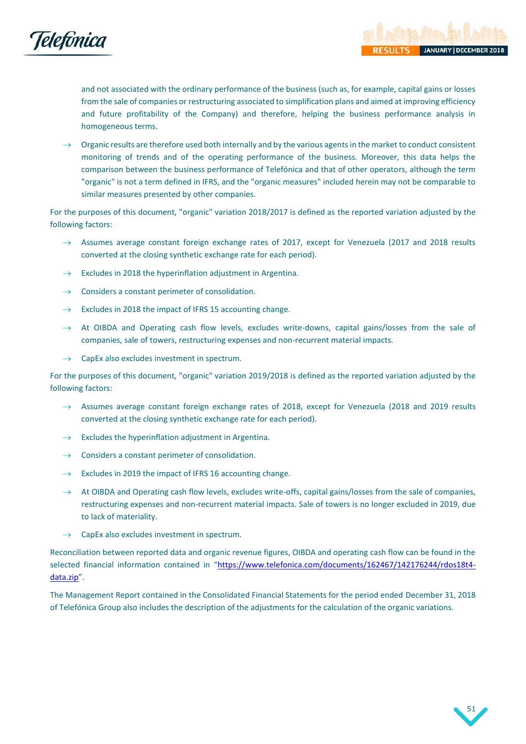

and not associated with the ordinary performance of the business (such as, for example, capital gains or losses from the sale of companies or restructuring associated to simplification plans and aimed at improving efficiency and future profitability of the Company) and therefore, helping the business performance analysis in homogeneous terms.

Organic results are therefore used both internally and by the various agents in the market to conduct consistent monitoring of trends and of the operating performance of the business. Moreover, this data helps the comparison between the business performance of Telefónica and that of other operators, although the term "organic" is not a term defined in IFRS, and the "organic measures" included herein may not be comparable to similar measures presented by other companies.

For the purposes of this document, "organic" variation 2018/2017 is defined as the reported variation adjusted by the following factors:

- $\rightarrow$  Assumes average constant foreign exchange rates of 2017, except for Venezuela (2017 and 2018 results converted at the closing synthetic exchange rate for each period).
- $\rightarrow$  Excludes in 2018 the hyperinflation adjustment in Argentina.
- $\rightarrow$  Considers a constant perimeter of consolidation.
- $\rightarrow$  Excludes in 2018 the impact of IFRS 15 accounting change.
- $\rightarrow$  At OIBDA and Operating cash flow levels, excludes write-downs, capital gains/losses from the sale of companies, sale of towers, restructuring expenses and non-recurrent material impacts.
- $\rightarrow$  CapEx also excludes investment in spectrum.

For the purposes of this document, "organic" variation 2019/2018 is defined as the reported variation adjusted by the following factors:

- $\rightarrow$  Assumes average constant foreign exchange rates of 2018, except for Venezuela (2018 and 2019 results converted at the closing synthetic exchange rate for each period).
- $\rightarrow$  Excludes the hyperinflation adjustment in Argentina.
- $\rightarrow$  Considers a constant perimeter of consolidation.
- $\rightarrow$  Excludes in 2019 the impact of IFRS 16 accounting change.
- $\rightarrow$  At OIBDA and Operating cash flow levels, excludes write-offs, capital gains/losses from the sale of companies, restructuring expenses and non-recurrent material impacts. Sale of towers is no longer excluded in 2019, due to lack of materiality.
- CapEx also excludes investment in spectrum.

Reconciliation between reported data and organic revenue figures, OIBDA and operating cash flow can be found in the selected financial information contained in "https://www.telefonica.com/documents/162467/142176244/rdos18t4data.zip".

The Management Report contained in the Consolidated Financial Statements for the period ended December 31, 2018 of Telefónica Group also includes the description of the adjustments for the calculation of the organic variations.

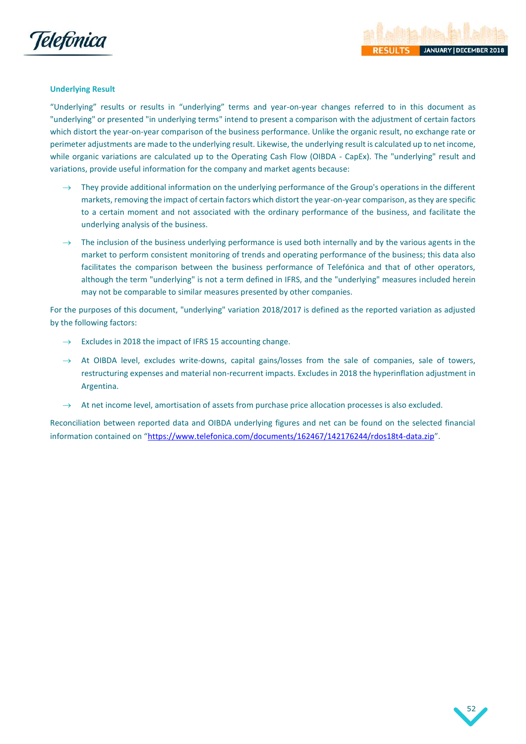

## **Underlying Result**

"Underlying" results or results in "underlying" terms and year-on-year changes referred to in this document as "underlying" or presented "in underlying terms" intend to present a comparison with the adjustment of certain factors which distort the year-on-year comparison of the business performance. Unlike the organic result, no exchange rate or perimeter adjustments are made to the underlying result. Likewise, the underlying result is calculated up to net income, while organic variations are calculated up to the Operating Cash Flow (OIBDA - CapEx). The "underlying" result and variations, provide useful information for the company and market agents because:

- $\rightarrow$  They provide additional information on the underlying performance of the Group's operations in the different markets, removing the impact of certain factors which distort the year-on-year comparison, as they are specific to a certain moment and not associated with the ordinary performance of the business, and facilitate the underlying analysis of the business.
- $\rightarrow$  The inclusion of the business underlying performance is used both internally and by the various agents in the market to perform consistent monitoring of trends and operating performance of the business; this data also facilitates the comparison between the business performance of Telefónica and that of other operators, although the term "underlying" is not a term defined in IFRS, and the "underlying" measures included herein may not be comparable to similar measures presented by other companies.

For the purposes of this document, "underlying" variation 2018/2017 is defined as the reported variation as adjusted by the following factors:

- Excludes in 2018 the impact of IFRS 15 accounting change.
- $\rightarrow$  At OIBDA level, excludes write-downs, capital gains/losses from the sale of companies, sale of towers, restructuring expenses and material non-recurrent impacts. Excludes in 2018 the hyperinflation adjustment in Argentina.
- At net income level, amortisation of assets from purchase price allocation processes is also excluded.

Reconciliation between reported data and OIBDA underlying figures and net can be found on the selected financial information contained on "https://www.telefonica.com/documents/162467/142176244/rdos18t4-data.zip".